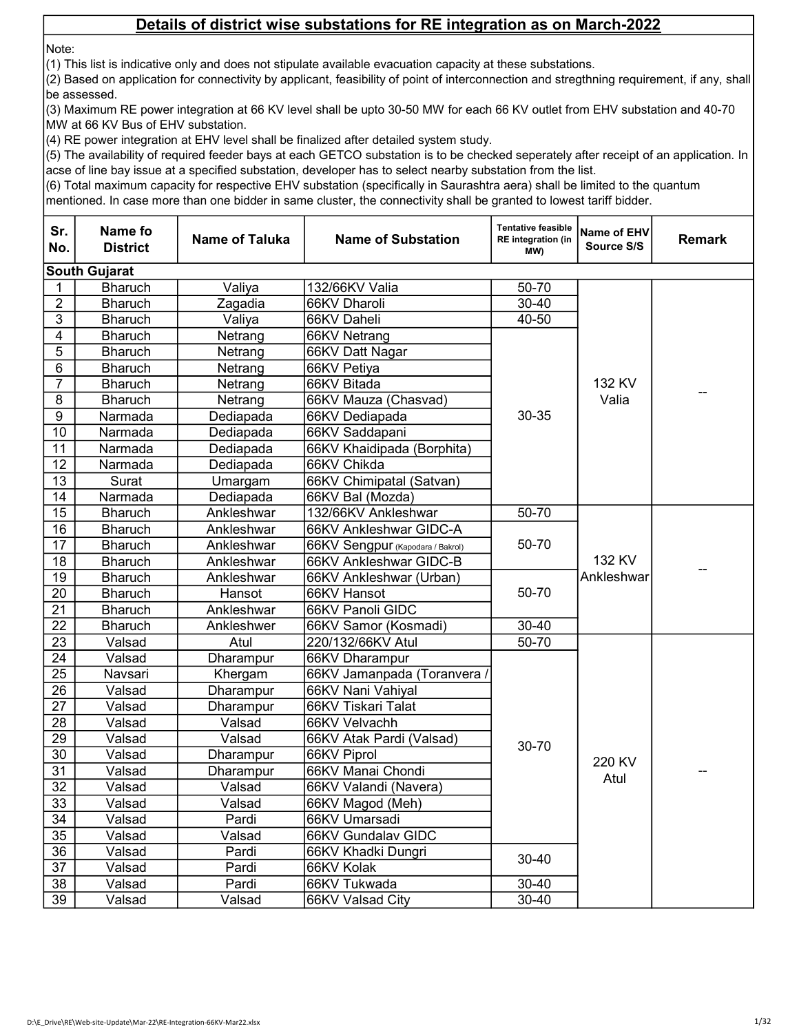Note:

(1) This list is indicative only and does not stipulate available evacuation capacity at these substations.

(2) Based on application for connectivity by applicant, feasibility of point of interconnection and stregthning requirement, if any, shall be assessed.

(3) Maximum RE power integration at 66 KV level shall be upto 30-50 MW for each 66 KV outlet from EHV substation and 40-70 MW at 66 KV Bus of EHV substation.

(4) RE power integration at EHV level shall be finalized after detailed system study.

(5) The availability of required feeder bays at each GETCO substation is to be checked seperately after receipt of an application. In acse of line bay issue at a specified substation, developer has to select nearby substation from the list.

(6) Total maximum capacity for respective EHV substation (specifically in Saurashtra aera) shall be limited to the quantum

| Sr.<br>No.      | Name fo<br><b>District</b> | <b>Name of Taluka</b> | <b>Name of Substation</b>        | <b>Tentative feasible</b><br><b>RE</b> integration (in<br>(MW | Name of EHV<br>Source S/S | <b>Remark</b> |
|-----------------|----------------------------|-----------------------|----------------------------------|---------------------------------------------------------------|---------------------------|---------------|
|                 | <b>South Gujarat</b>       |                       |                                  |                                                               |                           |               |
| 1               | <b>Bharuch</b>             | Valiya                | 132/66KV Valia                   | 50-70                                                         |                           |               |
| $\overline{2}$  | <b>Bharuch</b>             | Zagadia               | 66KV Dharoli                     | $30 - 40$                                                     |                           |               |
| $\overline{3}$  | <b>Bharuch</b>             | Valiya                | 66KV Daheli                      | 40-50                                                         |                           |               |
| 4               | <b>Bharuch</b>             | Netrang               | 66KV Netrang                     |                                                               |                           |               |
| 5               | <b>Bharuch</b>             | Netrang               | 66KV Datt Nagar                  |                                                               |                           |               |
| 6               | <b>Bharuch</b>             | Netrang               | 66KV Petiya                      |                                                               |                           |               |
| 7               | <b>Bharuch</b>             | Netrang               | 66KV Bitada                      |                                                               | 132 KV                    |               |
| 8               | <b>Bharuch</b>             | Netrang               | 66KV Mauza (Chasvad)             |                                                               | Valia                     |               |
| 9               | Narmada                    | Dediapada             | 66KV Dediapada                   | 30-35                                                         |                           |               |
| 10              | Narmada                    | Dediapada             | 66KV Saddapani                   |                                                               |                           |               |
| 11              | Narmada                    | Dediapada             | 66KV Khaidipada (Borphita)       |                                                               |                           |               |
| 12              | Narmada                    | Dediapada             | 66KV Chikda                      |                                                               |                           |               |
| 13              | Surat                      | Umargam               | 66KV Chimipatal (Satvan)         |                                                               |                           |               |
| 14              | Narmada                    | Dediapada             | 66KV Bal (Mozda)                 |                                                               |                           |               |
| 15              | <b>Bharuch</b>             | Ankleshwar            | 132/66KV Ankleshwar              | 50-70                                                         |                           |               |
| 16              | <b>Bharuch</b>             | Ankleshwar            | 66KV Ankleshwar GIDC-A           |                                                               |                           |               |
| 17              | <b>Bharuch</b>             | Ankleshwar            | 66KV Sengpur (Kapodara / Bakrol) | 50-70                                                         |                           |               |
| $\overline{18}$ | <b>Bharuch</b>             | Ankleshwar            | 66KV Ankleshwar GIDC-B           |                                                               | 132 KV                    |               |
| 19              | <b>Bharuch</b>             | Ankleshwar            | 66KV Ankleshwar (Urban)          |                                                               | Ankleshwar                |               |
| $\overline{20}$ | <b>Bharuch</b>             | Hansot                | 66KV Hansot                      | 50-70                                                         |                           |               |
| 21              | <b>Bharuch</b>             | Ankleshwar            | 66KV Panoli GIDC                 |                                                               |                           |               |
| $\overline{22}$ | <b>Bharuch</b>             | Ankleshwer            | 66KV Samor (Kosmadi)             | $30 - 40$                                                     |                           |               |
| 23              | Valsad                     | Atul                  | 220/132/66KV Atul                | 50-70                                                         |                           |               |
| 24              | Valsad                     | Dharampur             | 66KV Dharampur                   |                                                               |                           |               |
| 25              | Navsari                    | Khergam               | 66KV Jamanpada (Toranvera /      |                                                               |                           |               |
| 26              | Valsad                     | Dharampur             | 66KV Nani Vahiyal                |                                                               |                           |               |
| 27              | Valsad                     | Dharampur             | 66KV Tiskari Talat               |                                                               |                           |               |
| 28              | Valsad                     | Valsad                | 66KV Velvachh                    |                                                               |                           |               |
| 29              | Valsad                     | Valsad                | 66KV Atak Pardi (Valsad)         | 30-70                                                         |                           |               |
| 30              | Valsad                     | Dharampur             | 66KV Piprol                      |                                                               | 220 KV                    |               |
| 31              | Valsad                     | Dharampur             | 66KV Manai Chondi                |                                                               | Atul                      |               |
| 32              | Valsad                     | Valsad                | 66KV Valandi (Navera)            |                                                               |                           |               |
| $\overline{33}$ | Valsad                     | Valsad                | 66KV Magod (Meh)                 |                                                               |                           |               |
| 34              | Valsad                     | Pardi                 | 66KV Umarsadi                    | $30 - 40$<br>30-40                                            |                           |               |
| $\overline{35}$ | Valsad                     | Valsad                | 66KV Gundalav GIDC               |                                                               |                           |               |
| $\overline{36}$ | Valsad                     | Pardi                 | 66KV Khadki Dungri               |                                                               |                           |               |
| 37              | Valsad                     | Pardi                 | 66KV Kolak                       |                                                               |                           |               |
| 38              | Valsad                     | Pardi                 | 66KV Tukwada                     |                                                               |                           |               |
| 39              | Valsad                     | Valsad                | 66KV Valsad City                 | $30 - 40$                                                     |                           |               |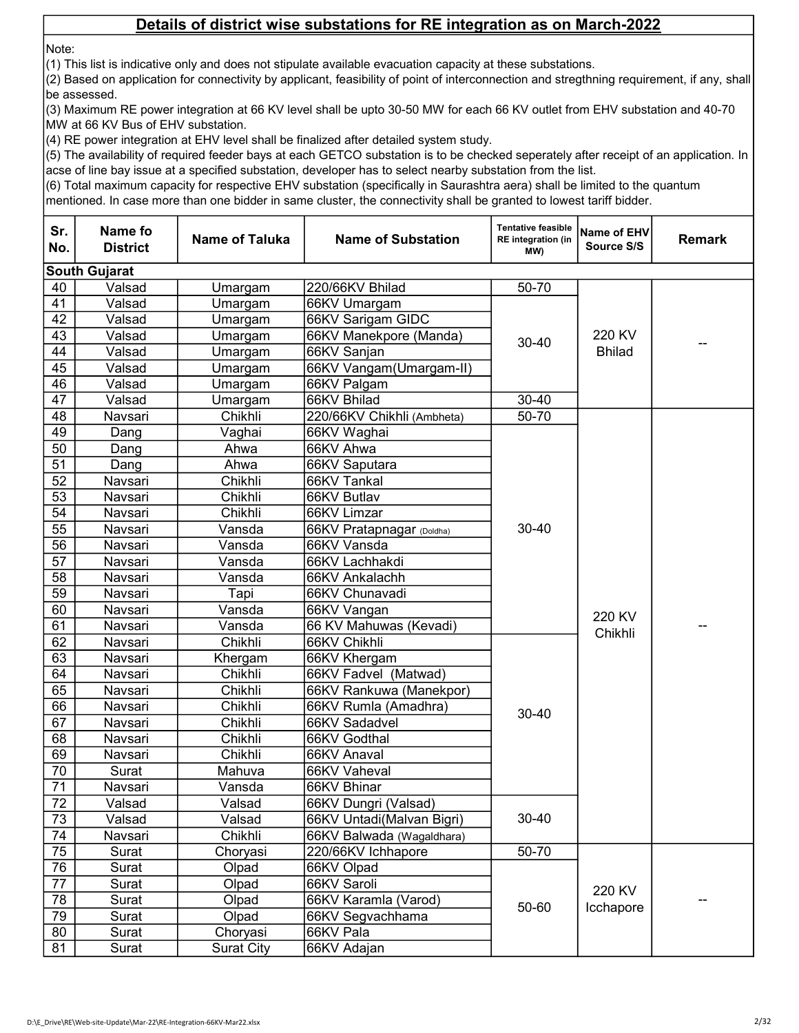Note:

(1) This list is indicative only and does not stipulate available evacuation capacity at these substations.

(2) Based on application for connectivity by applicant, feasibility of point of interconnection and stregthning requirement, if any, shall be assessed.

(3) Maximum RE power integration at 66 KV level shall be upto 30-50 MW for each 66 KV outlet from EHV substation and 40-70 MW at 66 KV Bus of EHV substation.

(4) RE power integration at EHV level shall be finalized after detailed system study.

(5) The availability of required feeder bays at each GETCO substation is to be checked seperately after receipt of an application. In acse of line bay issue at a specified substation, developer has to select nearby substation from the list.

(6) Total maximum capacity for respective EHV substation (specifically in Saurashtra aera) shall be limited to the quantum

| Sr.<br>No.      | Name fo<br><b>District</b> | <b>Name of Taluka</b> | <b>Name of Substation</b>  | <b>Tentative feasible</b><br><b>RE</b> integration (in<br>(MW | Name of EHV<br>Source S/S | <b>Remark</b> |
|-----------------|----------------------------|-----------------------|----------------------------|---------------------------------------------------------------|---------------------------|---------------|
|                 | <b>South Gujarat</b>       |                       |                            |                                                               |                           |               |
| 40              | Valsad                     | Umargam               | 220/66KV Bhilad            | 50-70                                                         |                           |               |
| 41              | Valsad                     | Umargam               | 66KV Umargam               |                                                               |                           |               |
| 42              | Valsad                     | Umargam               | 66KV Sarigam GIDC          |                                                               |                           |               |
| 43              | Valsad                     | Umargam               | 66KV Manekpore (Manda)     |                                                               | 220 KV                    |               |
| 44              | Valsad                     | Umargam               | 66KV Sanjan                | 30-40                                                         | <b>Bhilad</b>             |               |
| 45              | Valsad                     | Umargam               | 66KV Vangam(Umargam-II)    |                                                               |                           |               |
| 46              | Valsad                     | Umargam               | 66KV Palgam                |                                                               |                           |               |
| 47              | Valsad                     | Umargam               | 66KV Bhilad                | 30-40                                                         |                           |               |
| 48              | Navsari                    | Chikhli               | 220/66KV Chikhli (Ambheta) | 50-70                                                         |                           |               |
| 49              | Dang                       | Vaghai                | 66KV Waghai                |                                                               |                           |               |
| 50              | Dang                       | Ahwa                  | 66KV Ahwa                  |                                                               |                           |               |
| 51              | Dang                       | Ahwa                  | 66KV Saputara              |                                                               |                           |               |
| 52              | Navsari                    | Chikhli               | 66KV Tankal                |                                                               |                           |               |
| 53              | Navsari                    | Chikhli               | 66KV Butlav                |                                                               |                           |               |
| 54              | Navsari                    | Chikhli               | 66KV Limzar                |                                                               |                           |               |
| 55              | Navsari                    | Vansda                | 66KV Pratapnagar (Doldha)  | 30-40                                                         |                           |               |
| 56              | Navsari                    | Vansda                | 66KV Vansda                |                                                               |                           |               |
| 57              | Navsari                    | Vansda                | 66KV Lachhakdi             |                                                               |                           |               |
| 58              | Navsari                    | Vansda                | 66KV Ankalachh             |                                                               |                           |               |
| 59              | Navsari                    | Tapi                  | 66KV Chunavadi             |                                                               |                           |               |
| 60              | Navsari                    | Vansda                | 66KV Vangan                |                                                               | 220 KV                    |               |
| 61              | Navsari                    | Vansda                | 66 KV Mahuwas (Kevadi)     |                                                               | Chikhli                   |               |
| 62              | Navsari                    | Chikhli               | 66KV Chikhli               |                                                               |                           |               |
| 63              | Navsari                    | Khergam               | 66KV Khergam               |                                                               |                           |               |
| 64              | Navsari                    | Chikhli               | 66KV Fadvel (Matwad)       |                                                               |                           |               |
| 65              | Navsari                    | Chikhli               | 66KV Rankuwa (Manekpor)    |                                                               |                           |               |
| 66              | Navsari                    | Chikhli               | 66KV Rumla (Amadhra)       | $30 - 40$                                                     |                           |               |
| 67              | Navsari                    | Chikhli               | 66KV Sadadvel              |                                                               |                           |               |
| 68              | Navsari                    | Chikhli               | 66KV Godthal               |                                                               |                           |               |
| 69              | Navsari                    | Chikhli               | 66KV Anaval                |                                                               |                           |               |
| 70              | Surat                      | Mahuva                | 66KV Vaheval               |                                                               |                           |               |
| 71              | Navsari                    | Vansda                | 66KV Bhinar                |                                                               |                           |               |
| $\overline{72}$ | Valsad                     | Valsad                | 66KV Dungri (Valsad)       |                                                               |                           |               |
| 73              | Valsad                     | Valsad                | 66KV Untadi(Malvan Bigri)  | 30-40                                                         |                           |               |
| 74              | Navsari                    | Chikhli               | 66KV Balwada (Wagaldhara)  |                                                               |                           |               |
| 75              | Surat                      | Choryasi              | 220/66KV Ichhapore         | 50-70                                                         |                           |               |
| 76              | Surat                      | Olpad                 | 66KV Olpad                 |                                                               |                           |               |
| $\overline{77}$ | Surat                      | Olpad                 | 66KV Saroli                |                                                               | 220 KV                    |               |
| 78              | Surat                      | Olpad                 | 66KV Karamla (Varod)       | 50-60                                                         | Icchapore                 |               |
| 79              | Surat                      | Olpad                 | 66KV Segvachhama           |                                                               |                           |               |
| 80              | Surat                      | Choryasi              | 66KV Pala                  |                                                               |                           |               |
| 81              | Surat                      | <b>Surat City</b>     | 66KV Adajan                |                                                               |                           |               |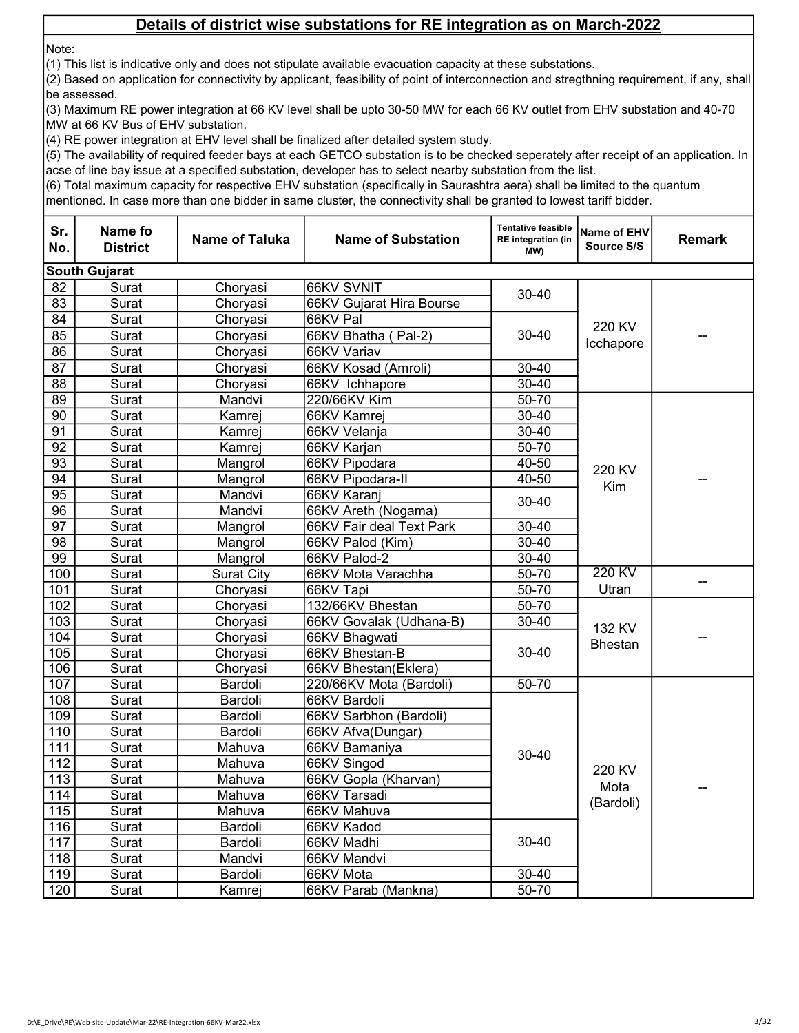Note:

(1) This list is indicative only and does not stipulate available evacuation capacity at these substations.

(2) Based on application for connectivity by applicant, feasibility of point of interconnection and stregthning requirement, if any, shall be assessed.

(3) Maximum RE power integration at 66 KV level shall be upto 30-50 MW for each 66 KV outlet from EHV substation and 40-70 MW at 66 KV Bus of EHV substation.

(4) RE power integration at EHV level shall be finalized after detailed system study.

(5) The availability of required feeder bays at each GETCO substation is to be checked seperately after receipt of an application. In acse of line bay issue at a specified substation, developer has to select nearby substation from the list.

(6) Total maximum capacity for respective EHV substation (specifically in Saurashtra aera) shall be limited to the quantum

| Sr.<br>No.       | <b>Name fo</b><br><b>District</b> | Name of Taluka    | <b>Name of Substation</b> | <b>Tentative feasible</b><br><b>RE</b> integration (in<br>(MW | <b>Name of EHV</b><br>Source S/S | <b>Remark</b> |
|------------------|-----------------------------------|-------------------|---------------------------|---------------------------------------------------------------|----------------------------------|---------------|
|                  | <b>South Gujarat</b>              |                   |                           |                                                               |                                  |               |
| 82               | Surat                             | Choryasi          | 66KV SVNIT                |                                                               |                                  |               |
| $\overline{83}$  | Surat                             | Choryasi          | 66KV Gujarat Hira Bourse  | 30-40                                                         |                                  |               |
| 84               | Surat                             | Choryasi          | 66KV Pal                  |                                                               |                                  |               |
| 85               | Surat                             | Choryasi          | 66KV Bhatha (Pal-2)       | 30-40                                                         | 220 KV                           |               |
| 86               | Surat                             | Choryasi          | 66KV Variav               |                                                               | Icchapore                        |               |
| 87               | Surat                             | Choryasi          | 66KV Kosad (Amroli)       | 30-40                                                         |                                  |               |
| 88               | Surat                             | Choryasi          | 66KV Ichhapore            | $30 - 40$                                                     |                                  |               |
| 89               | Surat                             | Mandvi            | 220/66KV Kim              | $50 - 70$                                                     |                                  |               |
| 90               | Surat                             | Kamrej            | 66KV Kamrej               | 30-40                                                         |                                  |               |
| $\overline{91}$  | Surat                             | Kamrej            | 66KV Velanja              | $30 - 40$                                                     |                                  |               |
| 92               | Surat                             | Kamrej            | 66KV Karjan               | 50-70                                                         |                                  |               |
| $\overline{93}$  | Surat                             | Mangrol           | 66KV Pipodara             | $40 - 50$                                                     |                                  |               |
| 94               | Surat                             | Mangrol           | 66KV Pipodara-II          | $40 - 50$                                                     | 220 KV                           |               |
| $\overline{95}$  | Surat                             | Mandvi            | 66KV Karanj               | $30 - 40$                                                     | Kim                              |               |
| 96               | Surat                             | Mandvi            | 66KV Areth (Nogama)       |                                                               |                                  |               |
| $\overline{97}$  | Surat                             | Mangrol           | 66KV Fair deal Text Park  | $30 - 40$                                                     |                                  |               |
| $\overline{98}$  | Surat                             | Mangrol           | 66KV Palod (Kim)          | $30 - 40$                                                     |                                  |               |
| 99               | Surat                             | Mangrol           | 66KV Palod-2              | $30 - 40$                                                     |                                  |               |
| 100              | Surat                             | <b>Surat City</b> | 66KV Mota Varachha        | $50 - 70$                                                     | 220 KV                           |               |
| 101              | Surat                             | Choryasi          | 66KV Tapi                 | $50 - 70$                                                     | Utran                            |               |
| 102              | Surat                             | Choryasi          | 132/66KV Bhestan          | 50-70                                                         |                                  |               |
| 103              | Surat                             | Choryasi          | 66KV Govalak (Udhana-B)   | $30 - 40$                                                     | 132 KV                           |               |
| 104              | Surat                             | Choryasi          | 66KV Bhagwati             |                                                               | <b>Bhestan</b>                   |               |
| 105              | Surat                             | Choryasi          | 66KV Bhestan-B            | $30 - 40$                                                     |                                  |               |
| 106              | Surat                             | Choryasi          | 66KV Bhestan(Eklera)      |                                                               |                                  |               |
| 107              | Surat                             | Bardoli           | 220/66KV Mota (Bardoli)   | $50 - 70$                                                     |                                  |               |
| 108              | Surat                             | Bardoli           | 66KV Bardoli              |                                                               |                                  |               |
| 109              | Surat                             | Bardoli           | 66KV Sarbhon (Bardoli)    |                                                               |                                  |               |
| 110              | Surat                             | Bardoli           | 66KV Afva(Dungar)         |                                                               |                                  |               |
| 111              | Surat                             | Mahuva            | 66KV Bamaniya             | 30-40                                                         |                                  |               |
| $\overline{112}$ | Surat                             | Mahuva            | 66KV Singod               |                                                               | 220 KV                           |               |
| $\overline{113}$ | Surat                             | Mahuva            | 66KV Gopla (Kharvan)      |                                                               | Mota                             |               |
| 114              | Surat                             | Mahuva            | 66KV Tarsadi              |                                                               | (Bardoli)                        |               |
| 115              | Surat                             | Mahuva            | 66KV Mahuva               |                                                               |                                  |               |
| 116              | Surat                             | Bardoli           | 66KV Kadod                |                                                               |                                  |               |
| $\overline{117}$ | Surat                             | Bardoli           | 66KV Madhi                | $30 - 40$                                                     |                                  |               |
| $\overline{118}$ | Surat                             | Mandvi            | 66KV Mandvi               | $30 - 40$                                                     |                                  |               |
| 119              | Surat                             | Bardoli           | 66KV Mota                 |                                                               |                                  |               |
| 120              | Surat                             | Kamrej            | 66KV Parab (Mankna)       | $50 - 70$                                                     |                                  |               |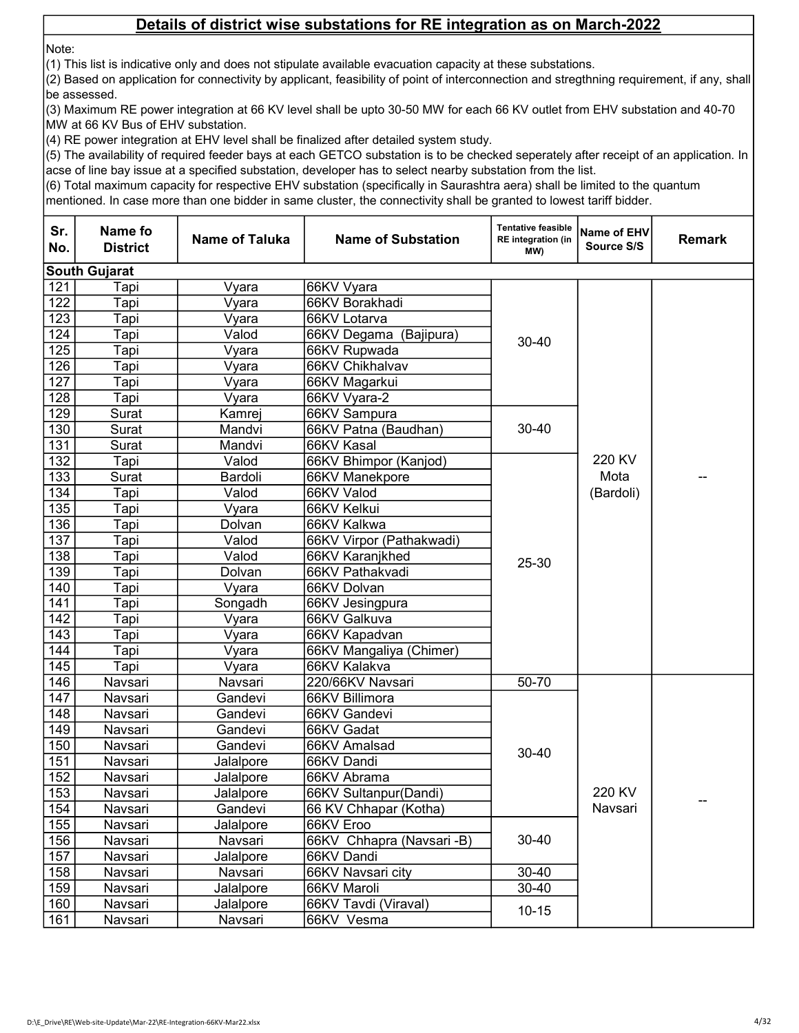Note:

(1) This list is indicative only and does not stipulate available evacuation capacity at these substations.

(2) Based on application for connectivity by applicant, feasibility of point of interconnection and stregthning requirement, if any, shall be assessed.

(3) Maximum RE power integration at 66 KV level shall be upto 30-50 MW for each 66 KV outlet from EHV substation and 40-70 MW at 66 KV Bus of EHV substation.

(4) RE power integration at EHV level shall be finalized after detailed system study.

(5) The availability of required feeder bays at each GETCO substation is to be checked seperately after receipt of an application. In acse of line bay issue at a specified substation, developer has to select nearby substation from the list.

(6) Total maximum capacity for respective EHV substation (specifically in Saurashtra aera) shall be limited to the quantum

| Sr.<br>No. | Name fo<br><b>District</b> | <b>Name of Taluka</b> | <b>Name of Substation</b> | <b>Tentative feasible</b><br><b>RE</b> integration (in<br>MW) | <b>Name of EHV</b><br>Source S/S | <b>Remark</b> |
|------------|----------------------------|-----------------------|---------------------------|---------------------------------------------------------------|----------------------------------|---------------|
|            | <b>South Gujarat</b>       |                       |                           |                                                               |                                  |               |
| 121        | Tapi                       | Vyara                 | 66KV Vyara                |                                                               |                                  |               |
| 122        | Tapi                       | Vyara                 | 66KV Borakhadi            |                                                               |                                  |               |
| 123        | Tapi                       | Vyara                 | 66KV Lotarva              |                                                               |                                  |               |
| 124        | Tapi                       | Valod                 | 66KV Degama (Bajipura)    | 30-40                                                         |                                  |               |
| 125        | Tapi                       | Vyara                 | 66KV Rupwada              |                                                               |                                  |               |
| 126        | Tapi                       | Vyara                 | 66KV Chikhalvav           |                                                               |                                  |               |
| 127        | Tapi                       | Vyara                 | 66KV Magarkui             |                                                               |                                  |               |
| 128        | Tapi                       | Vyara                 | 66KV Vyara-2              |                                                               |                                  |               |
| 129        | Surat                      | Kamrej                | 66KV Sampura              |                                                               |                                  |               |
| 130        | Surat                      | Mandvi                | 66KV Patna (Baudhan)      | 30-40                                                         |                                  |               |
| 131        | Surat                      | Mandvi                | 66KV Kasal                |                                                               |                                  |               |
| 132        | Tapi                       | Valod                 | 66KV Bhimpor (Kanjod)     |                                                               | 220 KV                           |               |
| 133        | Surat                      | Bardoli               | 66KV Manekpore            |                                                               | Mota                             |               |
| 134        | Tapi                       | Valod                 | 66KV Valod                | 25-30                                                         | (Bardoli)                        |               |
| 135        | Tapi                       | Vyara                 | 66KV Kelkui               |                                                               |                                  |               |
| 136        | Tapi                       | Dolvan                | 66KV Kalkwa               |                                                               |                                  |               |
| 137        | Tapi                       | Valod                 | 66KV Virpor (Pathakwadi)  |                                                               |                                  |               |
| 138        | Tapi                       | Valod                 | 66KV Karanjkhed           |                                                               |                                  |               |
| 139        | Tapi                       | Dolvan                | 66KV Pathakvadi           |                                                               |                                  |               |
| 140        | Tapi                       | Vyara                 | 66KV Dolvan               |                                                               |                                  |               |
| 141        | Tapi                       | Songadh               | 66KV Jesingpura           |                                                               |                                  |               |
| 142        | Tapi                       | Vyara                 | 66KV Galkuva              |                                                               |                                  |               |
| 143        | Tapi                       | Vyara                 | 66KV Kapadvan             |                                                               |                                  |               |
| 144        | Tapi                       | Vyara                 | 66KV Mangaliya (Chimer)   |                                                               |                                  |               |
| 145        | Tapi                       | Vyara                 | 66KV Kalakva              |                                                               |                                  |               |
| 146        | Navsari                    | Navsari               | 220/66KV Navsari          | 50-70                                                         |                                  |               |
| 147        | Navsari                    | Gandevi               | 66KV Billimora            |                                                               |                                  |               |
| 148        | Navsari                    | Gandevi               | 66KV Gandevi              |                                                               |                                  |               |
| 149        | Navsari                    | Gandevi               | 66KV Gadat                |                                                               |                                  |               |
| 150        | Navsari                    | Gandevi               | 66KV Amalsad              | 30-40                                                         |                                  |               |
| 151        | Navsari                    | Jalalpore             | 66KV Dandi                |                                                               |                                  |               |
| 152        | Navsari                    | Jalalpore             | 66KV Abrama               |                                                               |                                  |               |
| 153        | Navsari                    | Jalalpore             | 66KV Sultanpur(Dandi)     |                                                               | 220 KV                           |               |
| 154        | Navsari                    | Gandevi               | 66 KV Chhapar (Kotha)     |                                                               | Navsari                          |               |
| 155        | Navsari                    | Jalalpore             | 66KV Eroo                 |                                                               |                                  |               |
| 156        | Navsari                    | Navsari               | 66KV Chhapra (Navsari -B) | 30-40                                                         |                                  |               |
| 157        | Navsari                    | Jalalpore             | 66KV Dandi                |                                                               |                                  |               |
| 158        | Navsari                    | Navsari               | 66KV Navsari city         | 30-40                                                         |                                  |               |
| 159        | Navsari                    | Jalalpore             | 66KV Maroli               | $30 - 40$                                                     |                                  |               |
| 160        | Navsari                    | Jalalpore             | 66KV Tavdi (Viraval)      | $10 - 15$                                                     |                                  |               |
| 161        | Navsari                    | Navsari               | 66KV Vesma                |                                                               |                                  |               |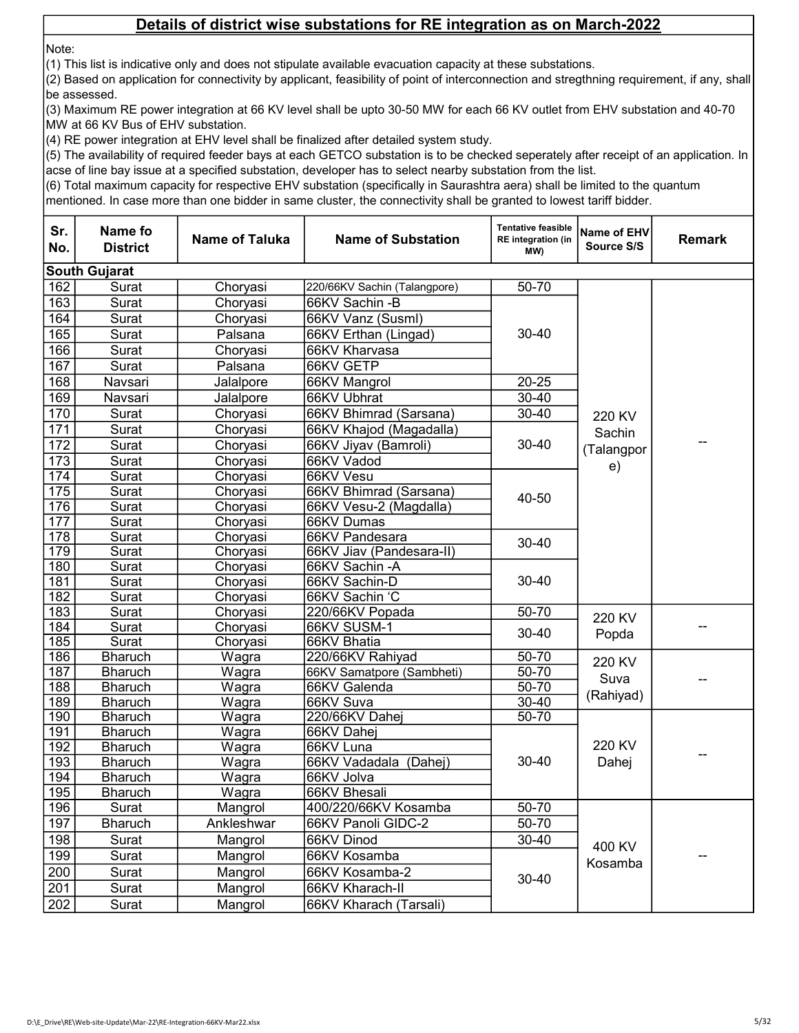Note:

(1) This list is indicative only and does not stipulate available evacuation capacity at these substations.

(2) Based on application for connectivity by applicant, feasibility of point of interconnection and stregthning requirement, if any, shall be assessed.

(3) Maximum RE power integration at 66 KV level shall be upto 30-50 MW for each 66 KV outlet from EHV substation and 40-70 MW at 66 KV Bus of EHV substation.

(4) RE power integration at EHV level shall be finalized after detailed system study.

(5) The availability of required feeder bays at each GETCO substation is to be checked seperately after receipt of an application. In acse of line bay issue at a specified substation, developer has to select nearby substation from the list.

(6) Total maximum capacity for respective EHV substation (specifically in Saurashtra aera) shall be limited to the quantum

| Sr.<br>No.       | Name fo<br><b>District</b> | <b>Name of Taluka</b> | <b>Name of Substation</b>    | <b>Tentative feasible</b><br><b>RE</b> integration (in<br>MW) | Name of EHV<br>Source S/S | <b>Remark</b> |
|------------------|----------------------------|-----------------------|------------------------------|---------------------------------------------------------------|---------------------------|---------------|
|                  | <b>South Gujarat</b>       |                       |                              |                                                               |                           |               |
| 162              | Surat                      | Choryasi              | 220/66KV Sachin (Talangpore) | 50-70                                                         |                           |               |
| 163              | Surat                      | Choryasi              | 66KV Sachin - B              |                                                               |                           |               |
| 164              | Surat                      | Choryasi              | 66KV Vanz (Susml)            |                                                               |                           |               |
| 165              | Surat                      | Palsana               | 66KV Erthan (Lingad)         | $30 - 40$                                                     |                           |               |
| 166              | Surat                      | Choryasi              | 66KV Kharvasa                |                                                               |                           |               |
| 167              | Surat                      | Palsana               | 66KV GETP                    |                                                               |                           |               |
| 168              | Navsari                    | Jalalpore             | 66KV Mangrol                 | $20 - 25$                                                     |                           |               |
| 169              | Navsari                    | Jalalpore             | 66KV Ubhrat                  | $30 - 40$                                                     |                           |               |
| 170              | Surat                      | Choryasi              | 66KV Bhimrad (Sarsana)       | $30 - 40$                                                     | 220 KV                    |               |
| 171              | Surat                      | Choryasi              | 66KV Khajod (Magadalla)      |                                                               | Sachin                    |               |
| 172              | Surat                      | Choryasi              | 66KV Jiyav (Bamroli)         | $30 - 40$                                                     | (Talangpor                | --            |
| 173              | Surat                      | Choryasi              | 66KV Vadod                   |                                                               |                           |               |
| 174              | Surat                      | Chorvasi              | 66KV Vesu                    |                                                               | e)                        |               |
| 175              | Surat                      | Choryasi              | 66KV Bhimrad (Sarsana)       |                                                               |                           |               |
| 176              | Surat                      | Choryasi              | 66KV Vesu-2 (Magdalla)       | 40-50                                                         |                           |               |
| 177              | Surat                      | Choryasi              | 66KV Dumas                   |                                                               |                           |               |
| $\overline{178}$ | Surat                      | Choryasi              | 66KV Pandesara               | $30 - 40$                                                     |                           |               |
| $\overline{179}$ | Surat                      | Choryasi              | 66KV Jiav (Pandesara-II)     |                                                               |                           |               |
| 180              | Surat                      | Choryasi              | 66KV Sachin - A              |                                                               |                           |               |
| 181              | Surat                      | Choryasi              | 66KV Sachin-D                | $30 - 40$                                                     |                           |               |
| 182              | Surat                      | Choryasi              | 66KV Sachin 'C               |                                                               |                           |               |
| 183              | Surat                      | Choryasi              | 220/66KV Popada              | $50 - 70$                                                     | 220 KV                    |               |
| 184              | Surat                      | Choryasi              | 66KV SUSM-1                  | $30 - 40$                                                     | Popda                     |               |
| 185              | Surat                      | Choryasi              | 66KV Bhatia                  |                                                               |                           |               |
| 186              | <b>Bharuch</b>             | Wagra                 | 220/66KV Rahiyad             | 50-70                                                         | 220 KV                    |               |
| 187              | <b>Bharuch</b>             | Wagra                 | 66KV Samatpore (Sambheti)    | $50 - 70$                                                     | Suva                      |               |
| 188              | <b>Bharuch</b>             | Wagra                 | 66KV Galenda                 | $50 - 70$                                                     | (Rahiyad)                 |               |
| 189              | <b>Bharuch</b>             | Wagra                 | 66KV Suva                    | 30-40                                                         |                           |               |
| 190              | <b>Bharuch</b>             | Wagra                 | 220/66KV Dahej               | $50 - 70$                                                     |                           |               |
| 191              | <b>Bharuch</b>             | Wagra                 | 66KV Dahej                   |                                                               |                           |               |
| 192              | <b>Bharuch</b>             | Wagra                 | 66KV Luna                    |                                                               | 220 KV                    | --            |
| 193              | <b>Bharuch</b>             | Wagra                 | 66KV Vadadala (Dahej)        | $30 - 40$                                                     | Dahej                     |               |
| 194              | <b>Bharuch</b>             | Wagra                 | 66KV Jolva                   |                                                               |                           |               |
| 195              | <b>Bharuch</b>             | Wagra                 | 66KV Bhesali                 |                                                               |                           |               |
| 196              | Surat                      | Mangrol               | 400/220/66KV Kosamba         | 50-70                                                         |                           |               |
| 197              | <b>Bharuch</b>             | Ankleshwar            | 66KV Panoli GIDC-2           | 50-70                                                         |                           |               |
| 198              | Surat                      | Mangrol               | 66KV Dinod                   | $30 - 40$                                                     | 400 KV                    |               |
| 199              | Surat                      | Mangrol               | 66KV Kosamba                 |                                                               | Kosamba                   | --            |
| 200              | Surat                      | Mangrol               | 66KV Kosamba-2               | $30 - 40$                                                     |                           |               |
| 201              | Surat                      | Mangrol               | 66KV Kharach-II              |                                                               |                           |               |
| 202              | Surat                      | Mangrol               | 66KV Kharach (Tarsali)       |                                                               |                           |               |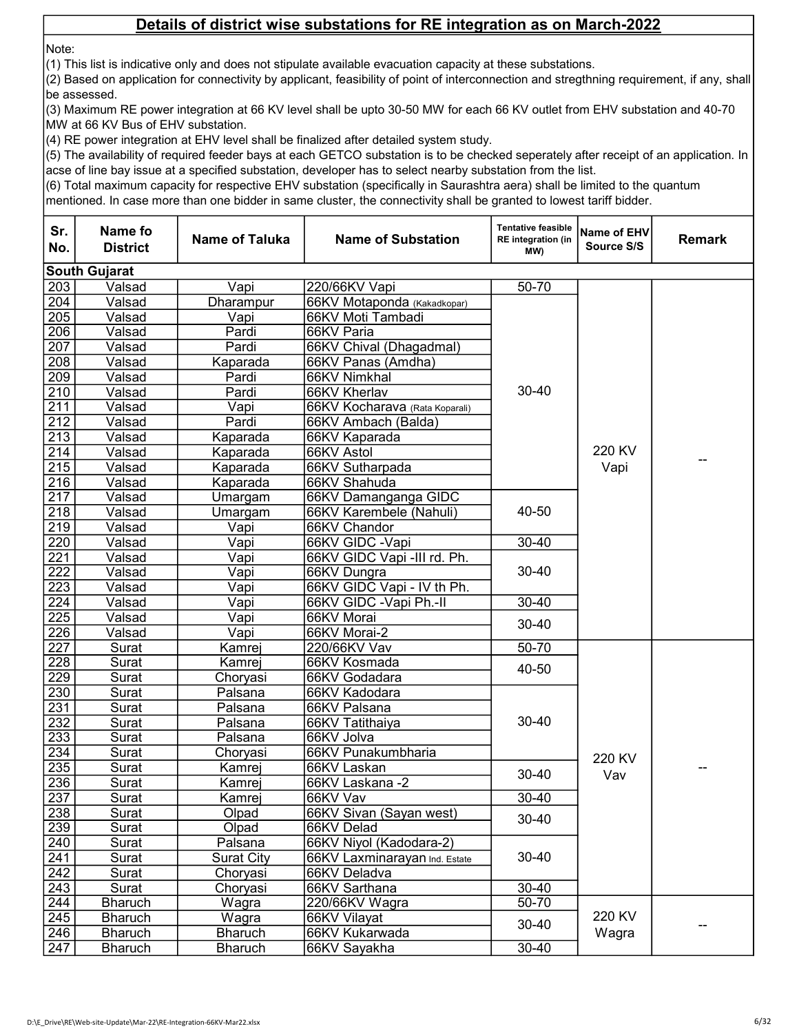Note:

(1) This list is indicative only and does not stipulate available evacuation capacity at these substations.

(2) Based on application for connectivity by applicant, feasibility of point of interconnection and stregthning requirement, if any, shall be assessed.

(3) Maximum RE power integration at 66 KV level shall be upto 30-50 MW for each 66 KV outlet from EHV substation and 40-70 MW at 66 KV Bus of EHV substation.

(4) RE power integration at EHV level shall be finalized after detailed system study.

(5) The availability of required feeder bays at each GETCO substation is to be checked seperately after receipt of an application. In acse of line bay issue at a specified substation, developer has to select nearby substation from the list.

(6) Total maximum capacity for respective EHV substation (specifically in Saurashtra aera) shall be limited to the quantum

| Sr.<br>No.       | Name fo<br><b>District</b> | <b>Name of Taluka</b> | <b>Name of Substation</b>      | <b>Tentative feasible</b><br><b>RE</b> integration (in<br>(MW | <b>Name of EHV</b><br>Source S/S | <b>Remark</b> |
|------------------|----------------------------|-----------------------|--------------------------------|---------------------------------------------------------------|----------------------------------|---------------|
|                  | <b>South Gujarat</b>       |                       |                                |                                                               |                                  |               |
| 203              | Valsad                     | Vapi                  | 220/66KV Vapi                  | 50-70                                                         |                                  |               |
| 204              | Valsad                     | Dharampur             | 66KV Motaponda (Kakadkopar)    |                                                               |                                  |               |
| 205              | Valsad                     | Vapi                  | 66KV Moti Tambadi              |                                                               |                                  |               |
| 206              | Valsad                     | Pardi                 | 66KV Paria                     |                                                               |                                  |               |
| 207              | Valsad                     | Pardi                 | 66KV Chival (Dhagadmal)        |                                                               |                                  |               |
| $\overline{208}$ | Valsad                     | Kaparada              | 66KV Panas (Amdha)             |                                                               |                                  |               |
| 209              | Valsad                     | Pardi                 | 66KV Nimkhal                   |                                                               |                                  |               |
| 210              | Valsad                     | Pardi                 | 66KV Kherlav                   | 30-40                                                         |                                  |               |
| 211              | Valsad                     | Vapi                  | 66KV Kocharava (Rata Koparali) |                                                               |                                  |               |
| 212              | Valsad                     | Pardi                 | 66KV Ambach (Balda)            |                                                               |                                  |               |
| $\overline{213}$ | Valsad                     | Kaparada              | 66KV Kaparada                  |                                                               |                                  |               |
| 214              | Valsad                     | Kaparada              | 66KV Astol                     |                                                               | 220 KV                           |               |
| $\overline{215}$ | Valsad                     | Kaparada              | 66KV Sutharpada                |                                                               | Vapi                             |               |
| 216              | Valsad                     | Kaparada              | 66KV Shahuda                   |                                                               |                                  |               |
| 217              | Valsad                     | Umargam               | 66KV Damanganga GIDC           |                                                               |                                  |               |
| 218              | Valsad                     | Umargam               | 66KV Karembele (Nahuli)        | 40-50                                                         |                                  |               |
| 219              | Valsad                     | Vapi                  | 66KV Chandor                   |                                                               |                                  |               |
| $\overline{220}$ | Valsad                     | Vapi                  | 66KV GIDC - Vapi               | $30 - 40$                                                     |                                  |               |
| $\overline{221}$ | Valsad                     | Vapi                  | 66KV GIDC Vapi -III rd. Ph.    | $30 - 40$                                                     |                                  |               |
| 222              | Valsad                     | Vapi                  | 66KV Dungra                    |                                                               |                                  |               |
| 223              | Valsad                     | Vapi                  | 66KV GIDC Vapi - IV th Ph.     |                                                               |                                  |               |
| 224              | Valsad                     | Vapi                  | 66KV GIDC - Vapi Ph.-II        | $30 - 40$                                                     |                                  |               |
| $\overline{225}$ | Valsad                     | Vapi                  | 66KV Morai                     | $30 - 40$                                                     |                                  |               |
| <u>226</u>       | Valsad                     | Vapi                  | 66KV Morai-2                   |                                                               |                                  |               |
| $\overline{227}$ | Surat                      | Kamrej                | 220/66KV Vav                   | $50 - 70$                                                     |                                  |               |
| 228              | Surat                      | Kamrej                | 66KV Kosmada                   | 40-50                                                         |                                  |               |
| 229              | Surat                      | Choryasi              | 66KV Godadara                  |                                                               |                                  |               |
| 230              | Surat                      | Palsana               | 66KV Kadodara                  |                                                               |                                  |               |
| 231              | Surat                      | Palsana               | 66KV Palsana                   |                                                               |                                  |               |
| 232              | Surat                      | Palsana               | 66KV Tatithaiya                | 30-40                                                         |                                  |               |
| 233              | Surat                      | Palsana               | 66KV Jolva                     |                                                               |                                  |               |
| 234              | Surat                      | Choryasi              | 66KV Punakumbharia             |                                                               | 220 KV                           |               |
| 235              | Surat                      | Kamrej                | 66KV Laskan                    | $30 - 40$                                                     | Vav                              |               |
| 236              | Surat                      | Kamrej                | 66KV Laskana -2                |                                                               |                                  |               |
| 237              | <b>Surat</b>               | Kamrej                | 66KV Vav                       | 30-40                                                         |                                  |               |
| 238              | Surat                      | Olpad                 | 66KV Sivan (Sayan west)        | $30 - 40$                                                     |                                  |               |
| 239              | Surat                      | Olpad                 | 66KV Delad                     |                                                               |                                  |               |
| 240              | Surat                      | Palsana               | 66KV Niyol (Kadodara-2)        |                                                               |                                  |               |
| 241              | Surat                      | <b>Surat City</b>     | 66KV Laxminarayan Ind. Estate  | $30 - 40$                                                     |                                  |               |
| 242              | Surat                      | Choryasi              | 66KV Deladva                   |                                                               |                                  |               |
| $\overline{243}$ | Surat                      | Choryasi              | 66KV Sarthana                  | $30 - 40$                                                     |                                  |               |
| 244              | <b>Bharuch</b>             | Wagra                 | 220/66KV Wagra                 | 50-70                                                         | 220 KV                           |               |
| 245              | <b>Bharuch</b>             | Wagra                 | 66KV Vilayat                   | $30 - 40$                                                     |                                  |               |
| 246              | <b>Bharuch</b>             | <b>Bharuch</b>        | 66KV Kukarwada                 |                                                               | Wagra                            |               |
| 247              | <b>Bharuch</b>             | <b>Bharuch</b>        | 66KV Sayakha                   | $30 - 40$                                                     |                                  |               |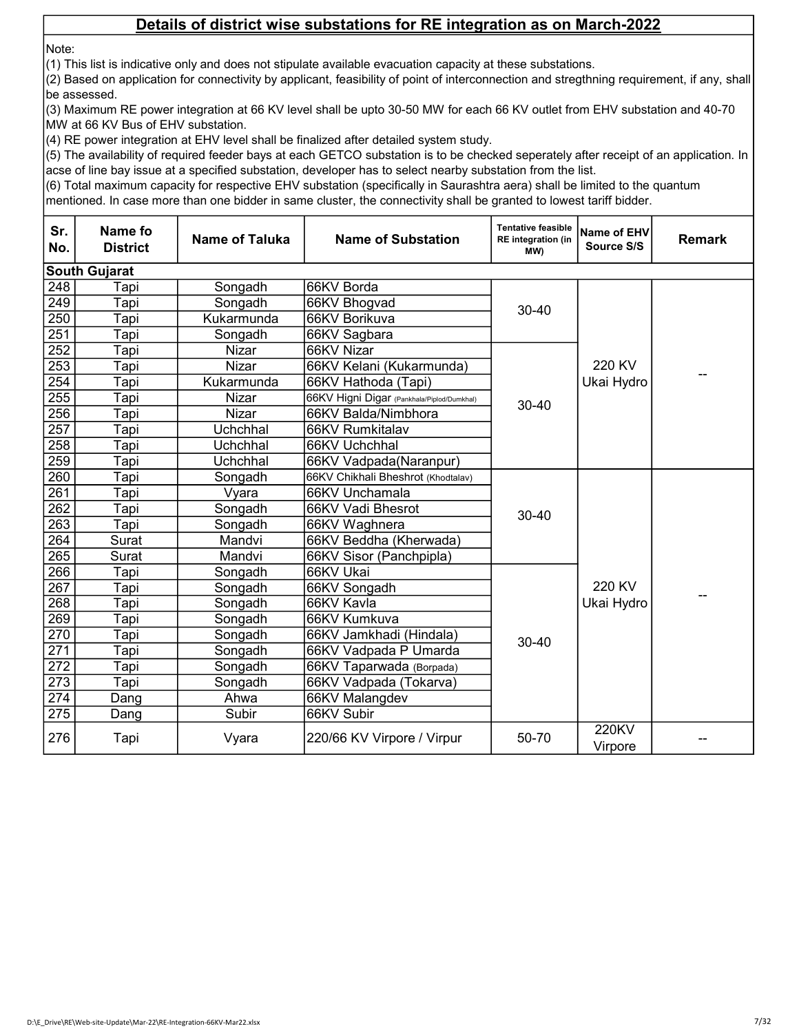Note:

(1) This list is indicative only and does not stipulate available evacuation capacity at these substations.

(2) Based on application for connectivity by applicant, feasibility of point of interconnection and stregthning requirement, if any, shall be assessed.

(3) Maximum RE power integration at 66 KV level shall be upto 30-50 MW for each 66 KV outlet from EHV substation and 40-70 MW at 66 KV Bus of EHV substation.

(4) RE power integration at EHV level shall be finalized after detailed system study.

(5) The availability of required feeder bays at each GETCO substation is to be checked seperately after receipt of an application. In acse of line bay issue at a specified substation, developer has to select nearby substation from the list.

(6) Total maximum capacity for respective EHV substation (specifically in Saurashtra aera) shall be limited to the quantum

| Sr.<br>No. | Name fo<br><b>District</b> | <b>Name of Taluka</b> | <b>Name of Substation</b>                  | <b>Tentative feasible</b><br><b>RE</b> integration (in<br>(MW | Name of EHV<br>Source S/S | <b>Remark</b> |
|------------|----------------------------|-----------------------|--------------------------------------------|---------------------------------------------------------------|---------------------------|---------------|
|            | <b>South Gujarat</b>       |                       |                                            |                                                               |                           |               |
| 248        | Tapi                       | Songadh               | 66KV Borda                                 |                                                               |                           |               |
| 249        | Tapi                       | Songadh               | 66KV Bhogvad                               | $30 - 40$                                                     |                           |               |
| 250        | Tapi                       | Kukarmunda            | 66KV Borikuva                              |                                                               |                           |               |
| 251        | Tapi                       | Songadh               | 66KV Sagbara                               |                                                               |                           |               |
| 252        | Tapi                       | Nizar                 | 66KV Nizar                                 |                                                               |                           |               |
| 253        | Tapi                       | <b>Nizar</b>          | 66KV Kelani (Kukarmunda)                   |                                                               | 220 KV                    |               |
| 254        | Tapi                       | Kukarmunda            | 66KV Hathoda (Tapi)                        |                                                               | Ukai Hydro                |               |
| 255        | Tapi                       | Nizar                 | 66KV Higni Digar (Pankhala/Piplod/Dumkhal) | $30 - 40$                                                     |                           |               |
| 256        | Tapi                       | Nizar                 | 66KV Balda/Nimbhora                        |                                                               |                           |               |
| 257        | Tapi                       | Uchchhal              | 66KV Rumkitalav                            |                                                               |                           |               |
| 258        | Tapi                       | Uchchhal              | 66KV Uchchhal                              |                                                               |                           |               |
| 259        | Tapi                       | Uchchhal              | 66KV Vadpada(Naranpur)                     |                                                               |                           |               |
| 260        | Tapi                       | Songadh               | 66KV Chikhali Bheshrot (Khodtalav)         |                                                               |                           |               |
| 261        | Tapi                       | Vyara                 | 66KV Unchamala                             |                                                               |                           |               |
| 262        | Tapi                       | Songadh               | 66KV Vadi Bhesrot                          | $30 - 40$                                                     |                           |               |
| 263        | Tapi                       | Songadh               | 66KV Waghnera                              |                                                               |                           |               |
| 264        | Surat                      | Mandvi                | 66KV Beddha (Kherwada)                     |                                                               |                           |               |
| 265        | Surat                      | Mandvi                | 66KV Sisor (Panchpipla)                    |                                                               |                           |               |
| 266        | Tapi                       | Songadh               | 66KV Ukai                                  |                                                               |                           |               |
| 267        | Tapi                       | Songadh               | 66KV Songadh                               |                                                               | 220 KV                    |               |
| 268        | Tapi                       | Songadh               | 66KV Kavla                                 |                                                               | Ukai Hydro                |               |
| 269        | Tapi                       | Songadh               | 66KV Kumkuva                               |                                                               |                           |               |
| 270        | Tapi                       | Songadh               | 66KV Jamkhadi (Hindala)                    | $30 - 40$                                                     |                           |               |
| 271        | Tapi                       | Songadh               | 66KV Vadpada P Umarda                      |                                                               |                           |               |
| 272        | Tapi                       | Songadh               | 66KV Taparwada (Borpada)                   |                                                               |                           |               |
| 273        | Tapi                       | Songadh               | 66KV Vadpada (Tokarva)                     |                                                               |                           |               |
| 274        | Dang                       | Ahwa                  | 66KV Malangdev                             |                                                               |                           |               |
| 275        | Dang                       | Subir                 | 66KV Subir                                 |                                                               |                           |               |
| 276        | Tapi                       | Vyara                 | 220/66 KV Virpore / Virpur                 | 50-70                                                         | 220KV<br>Virpore          |               |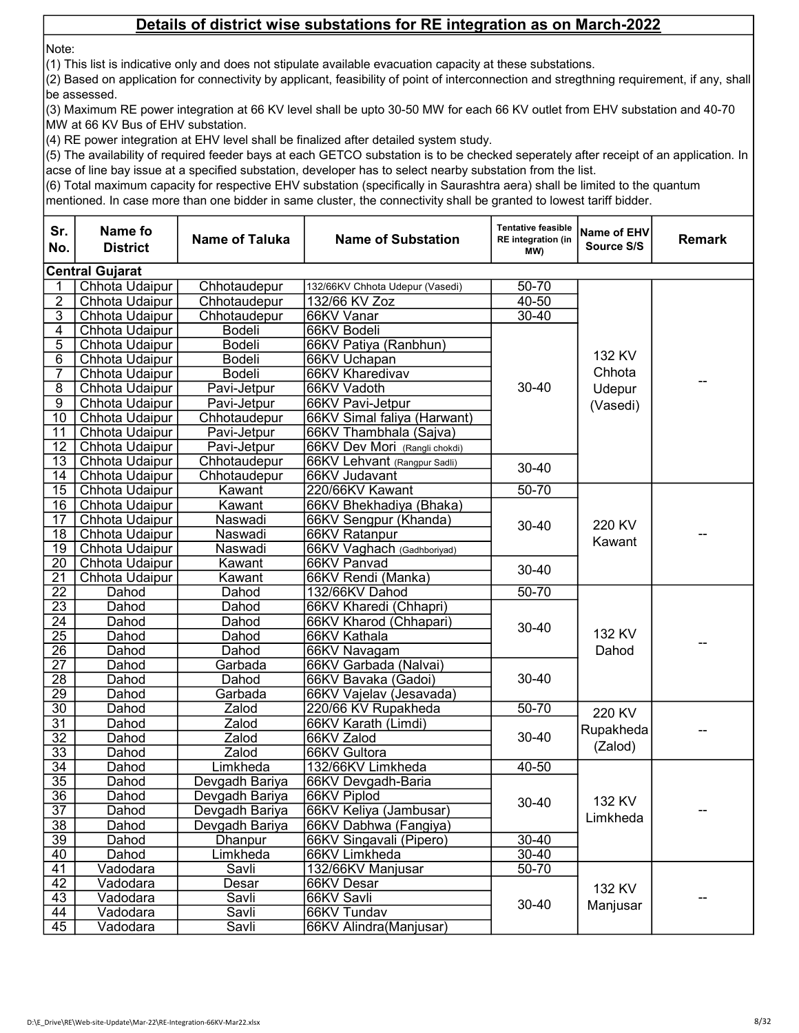Note:

(1) This list is indicative only and does not stipulate available evacuation capacity at these substations.

(2) Based on application for connectivity by applicant, feasibility of point of interconnection and stregthning requirement, if any, shall be assessed.

(3) Maximum RE power integration at 66 KV level shall be upto 30-50 MW for each 66 KV outlet from EHV substation and 40-70 MW at 66 KV Bus of EHV substation.

(4) RE power integration at EHV level shall be finalized after detailed system study.

(5) The availability of required feeder bays at each GETCO substation is to be checked seperately after receipt of an application. In acse of line bay issue at a specified substation, developer has to select nearby substation from the list.

(6) Total maximum capacity for respective EHV substation (specifically in Saurashtra aera) shall be limited to the quantum

| <b>Central Gujarat</b><br>132/66KV Chhota Udepur (Vasedi)<br>50-70<br>Chhota Udaipur<br>Chhotaudepur<br>$\overline{2}$<br>$40 - 50$<br>132/66 KV Zoz<br>Chhota Udaipur<br>Chhotaudepur<br>$\overline{3}$<br>$30 - 40$<br>Chhota Udaipur<br>66KV Vanar<br>Chhotaudepur<br>4<br>Chhota Udaipur<br>Bodeli<br>66KV Bodeli<br>5<br>Bodeli<br>Chhota Udaipur<br>66KV Patiya (Ranbhun)<br>132 KV<br>6<br>Bodeli<br>Chhota Udaipur<br>66KV Uchapan<br>Chhota<br>7<br>Bodeli<br>66KV Kharedivav<br>Chhota Udaipur<br>$\overline{8}$<br>30-40<br>66KV Vadoth<br>Udepur<br>Chhota Udaipur<br>Pavi-Jetpur<br>$\overline{9}$<br>Chhota Udaipur<br>66KV Pavi-Jetpur<br>Pavi-Jetpur<br>(Vasedi)<br>$\overline{10}$<br>Chhota Udaipur<br>66KV Simal faliya (Harwant)<br>Chhotaudepur<br>$\overline{11}$<br>Chhota Udaipur<br>Pavi-Jetpur<br>66KV Thambhala (Sajva)<br>$\overline{12}$<br>Chhota Udaipur<br>Pavi-Jetpur<br>66KV Dev Mori (Rangli chokdi)<br>13<br>Chhota Udaipur<br>Chhotaudepur<br>66KV Lehvant (Rangpur Sadli)<br>$30 - 40$<br>14<br>Chhota Udaipur<br>66KV Judavant<br>Chhotaudepur<br>$\overline{15}$<br>$50 - 70$<br>Kawant<br>220/66KV Kawant<br>Chhota Udaipur<br>16<br>Chhota Udaipur<br>Kawant<br>66KV Bhekhadiya (Bhaka)<br>17<br>Chhota Udaipur<br>Naswadi<br>66KV Sengpur (Khanda)<br>220 KV<br>30-40<br>$\overline{18}$<br>Chhota Udaipur<br>Naswadi<br>66KV Ratanpur<br>Kawant<br>19<br>Naswadi<br>Chhota Udaipur<br>66KV Vaghach (Gadhboriyad)<br>$\overline{20}$<br>Kawant<br>66KV Panvad<br>Chhota Udaipur<br>$30 - 40$<br>$\overline{21}$<br>Kawant<br>Chhota Udaipur<br>66KV Rendi (Manka)<br>$\overline{22}$<br>$50 - 70$<br>Dahod<br>132/66KV Dahod<br>Dahod<br>$\overline{23}$<br>66KV Kharedi (Chhapri)<br>Dahod<br>Dahod<br>$\overline{24}$<br>66KV Kharod (Chhapari)<br>Dahod<br>Dahod<br>$30 - 40$<br>132 KV<br>$\overline{25}$<br>66KV Kathala<br>Dahod<br>Dahod<br>26<br>Dahod<br>Dahod<br>66KV Navagam<br>Dahod<br>$\overline{27}$<br>Dahod<br>Garbada<br>66KV Garbada (Nalvai)<br>$\overline{28}$<br>30-40<br>Dahod<br>Dahod<br>66KV Bavaka (Gadoi)<br>$\overline{29}$<br>Dahod<br>Garbada<br>66KV Vajelav (Jesavada)<br>$\overline{30}$<br>$50 - 70$<br>Zalod<br>220/66 KV Rupakheda<br>Dahod<br>220 KV<br>31<br>Zalod<br>Dahod<br>66KV Karath (Limdi)<br>Rupakheda<br>$\overline{32}$<br>66KV Zalod<br>Zalod<br>$30 - 40$<br>Dahod<br>(Zalod)<br>$\overline{33}$<br>Zalod<br>Dahod<br>66KV Gultora<br>34<br>Limkheda<br>132/66KV Limkheda<br>40-50<br>Dahod<br>$\overline{35}$<br>Dahod<br>66KV Devgadh-Baria<br>Devgadh Bariya<br>$\overline{36}$<br>Dahod<br>66KV Piplod<br>Devgadh Bariya<br>132 KV<br>$30 - 40$<br>66KV Keliya (Jambusar)<br>37<br>Dahod<br>Devgadh Bariya<br>Limkheda<br>$\overline{38}$<br>Devgadh Bariya<br>Dahod<br>66KV Dabhwa (Fangiya)<br>39<br>$30 - 40$<br>Dahod<br><b>Dhanpur</b><br>66KV Singavali (Pipero)<br>Limkheda<br>$30 - 40$<br>40<br>66KV Limkheda<br>Dahod<br>$50 - 70$<br>$\overline{41}$<br>Savli<br>Vadodara<br>132/66KV Manjusar<br>42<br>Vadodara<br>Desar<br>66KV Desar<br>132 KV<br>43<br>Savli<br>66KV Savli<br>Vadodara<br>$30 - 40$<br>Manjusar<br>44<br>66KV Tundav<br>Vadodara<br>Savli<br>45<br>Savli<br>Vadodara<br>66KV Alindra(Manjusar) | Sr.<br>No. | Name fo<br><b>District</b> | <b>Name of Taluka</b> | <b>Name of Substation</b> | <b>Tentative feasible</b><br><b>RE</b> integration (in<br>(MW | <b>Name of EHV</b><br>Source S/S | <b>Remark</b> |
|----------------------------------------------------------------------------------------------------------------------------------------------------------------------------------------------------------------------------------------------------------------------------------------------------------------------------------------------------------------------------------------------------------------------------------------------------------------------------------------------------------------------------------------------------------------------------------------------------------------------------------------------------------------------------------------------------------------------------------------------------------------------------------------------------------------------------------------------------------------------------------------------------------------------------------------------------------------------------------------------------------------------------------------------------------------------------------------------------------------------------------------------------------------------------------------------------------------------------------------------------------------------------------------------------------------------------------------------------------------------------------------------------------------------------------------------------------------------------------------------------------------------------------------------------------------------------------------------------------------------------------------------------------------------------------------------------------------------------------------------------------------------------------------------------------------------------------------------------------------------------------------------------------------------------------------------------------------------------------------------------------------------------------------------------------------------------------------------------------------------------------------------------------------------------------------------------------------------------------------------------------------------------------------------------------------------------------------------------------------------------------------------------------------------------------------------------------------------------------------------------------------------------------------------------------------------------------------------------------------------------------------------------------------------------------------------------------------------------------------------------------------------------------------------------------------------------------------------------------------------------------------------------------------------------------------------------------------------------------------------------------------------------------------------------------------------------------------------------------------------------------------------------------------------------------------------------------------------------------|------------|----------------------------|-----------------------|---------------------------|---------------------------------------------------------------|----------------------------------|---------------|
|                                                                                                                                                                                                                                                                                                                                                                                                                                                                                                                                                                                                                                                                                                                                                                                                                                                                                                                                                                                                                                                                                                                                                                                                                                                                                                                                                                                                                                                                                                                                                                                                                                                                                                                                                                                                                                                                                                                                                                                                                                                                                                                                                                                                                                                                                                                                                                                                                                                                                                                                                                                                                                                                                                                                                                                                                                                                                                                                                                                                                                                                                                                                                                                                                                  |            |                            |                       |                           |                                                               |                                  |               |
|                                                                                                                                                                                                                                                                                                                                                                                                                                                                                                                                                                                                                                                                                                                                                                                                                                                                                                                                                                                                                                                                                                                                                                                                                                                                                                                                                                                                                                                                                                                                                                                                                                                                                                                                                                                                                                                                                                                                                                                                                                                                                                                                                                                                                                                                                                                                                                                                                                                                                                                                                                                                                                                                                                                                                                                                                                                                                                                                                                                                                                                                                                                                                                                                                                  |            |                            |                       |                           |                                                               |                                  |               |
|                                                                                                                                                                                                                                                                                                                                                                                                                                                                                                                                                                                                                                                                                                                                                                                                                                                                                                                                                                                                                                                                                                                                                                                                                                                                                                                                                                                                                                                                                                                                                                                                                                                                                                                                                                                                                                                                                                                                                                                                                                                                                                                                                                                                                                                                                                                                                                                                                                                                                                                                                                                                                                                                                                                                                                                                                                                                                                                                                                                                                                                                                                                                                                                                                                  |            |                            |                       |                           |                                                               |                                  |               |
|                                                                                                                                                                                                                                                                                                                                                                                                                                                                                                                                                                                                                                                                                                                                                                                                                                                                                                                                                                                                                                                                                                                                                                                                                                                                                                                                                                                                                                                                                                                                                                                                                                                                                                                                                                                                                                                                                                                                                                                                                                                                                                                                                                                                                                                                                                                                                                                                                                                                                                                                                                                                                                                                                                                                                                                                                                                                                                                                                                                                                                                                                                                                                                                                                                  |            |                            |                       |                           |                                                               |                                  |               |
|                                                                                                                                                                                                                                                                                                                                                                                                                                                                                                                                                                                                                                                                                                                                                                                                                                                                                                                                                                                                                                                                                                                                                                                                                                                                                                                                                                                                                                                                                                                                                                                                                                                                                                                                                                                                                                                                                                                                                                                                                                                                                                                                                                                                                                                                                                                                                                                                                                                                                                                                                                                                                                                                                                                                                                                                                                                                                                                                                                                                                                                                                                                                                                                                                                  |            |                            |                       |                           |                                                               |                                  |               |
|                                                                                                                                                                                                                                                                                                                                                                                                                                                                                                                                                                                                                                                                                                                                                                                                                                                                                                                                                                                                                                                                                                                                                                                                                                                                                                                                                                                                                                                                                                                                                                                                                                                                                                                                                                                                                                                                                                                                                                                                                                                                                                                                                                                                                                                                                                                                                                                                                                                                                                                                                                                                                                                                                                                                                                                                                                                                                                                                                                                                                                                                                                                                                                                                                                  |            |                            |                       |                           |                                                               |                                  |               |
|                                                                                                                                                                                                                                                                                                                                                                                                                                                                                                                                                                                                                                                                                                                                                                                                                                                                                                                                                                                                                                                                                                                                                                                                                                                                                                                                                                                                                                                                                                                                                                                                                                                                                                                                                                                                                                                                                                                                                                                                                                                                                                                                                                                                                                                                                                                                                                                                                                                                                                                                                                                                                                                                                                                                                                                                                                                                                                                                                                                                                                                                                                                                                                                                                                  |            |                            |                       |                           |                                                               |                                  |               |
|                                                                                                                                                                                                                                                                                                                                                                                                                                                                                                                                                                                                                                                                                                                                                                                                                                                                                                                                                                                                                                                                                                                                                                                                                                                                                                                                                                                                                                                                                                                                                                                                                                                                                                                                                                                                                                                                                                                                                                                                                                                                                                                                                                                                                                                                                                                                                                                                                                                                                                                                                                                                                                                                                                                                                                                                                                                                                                                                                                                                                                                                                                                                                                                                                                  |            |                            |                       |                           |                                                               |                                  |               |
|                                                                                                                                                                                                                                                                                                                                                                                                                                                                                                                                                                                                                                                                                                                                                                                                                                                                                                                                                                                                                                                                                                                                                                                                                                                                                                                                                                                                                                                                                                                                                                                                                                                                                                                                                                                                                                                                                                                                                                                                                                                                                                                                                                                                                                                                                                                                                                                                                                                                                                                                                                                                                                                                                                                                                                                                                                                                                                                                                                                                                                                                                                                                                                                                                                  |            |                            |                       |                           |                                                               |                                  |               |
|                                                                                                                                                                                                                                                                                                                                                                                                                                                                                                                                                                                                                                                                                                                                                                                                                                                                                                                                                                                                                                                                                                                                                                                                                                                                                                                                                                                                                                                                                                                                                                                                                                                                                                                                                                                                                                                                                                                                                                                                                                                                                                                                                                                                                                                                                                                                                                                                                                                                                                                                                                                                                                                                                                                                                                                                                                                                                                                                                                                                                                                                                                                                                                                                                                  |            |                            |                       |                           |                                                               |                                  |               |
|                                                                                                                                                                                                                                                                                                                                                                                                                                                                                                                                                                                                                                                                                                                                                                                                                                                                                                                                                                                                                                                                                                                                                                                                                                                                                                                                                                                                                                                                                                                                                                                                                                                                                                                                                                                                                                                                                                                                                                                                                                                                                                                                                                                                                                                                                                                                                                                                                                                                                                                                                                                                                                                                                                                                                                                                                                                                                                                                                                                                                                                                                                                                                                                                                                  |            |                            |                       |                           |                                                               |                                  |               |
|                                                                                                                                                                                                                                                                                                                                                                                                                                                                                                                                                                                                                                                                                                                                                                                                                                                                                                                                                                                                                                                                                                                                                                                                                                                                                                                                                                                                                                                                                                                                                                                                                                                                                                                                                                                                                                                                                                                                                                                                                                                                                                                                                                                                                                                                                                                                                                                                                                                                                                                                                                                                                                                                                                                                                                                                                                                                                                                                                                                                                                                                                                                                                                                                                                  |            |                            |                       |                           |                                                               |                                  |               |
|                                                                                                                                                                                                                                                                                                                                                                                                                                                                                                                                                                                                                                                                                                                                                                                                                                                                                                                                                                                                                                                                                                                                                                                                                                                                                                                                                                                                                                                                                                                                                                                                                                                                                                                                                                                                                                                                                                                                                                                                                                                                                                                                                                                                                                                                                                                                                                                                                                                                                                                                                                                                                                                                                                                                                                                                                                                                                                                                                                                                                                                                                                                                                                                                                                  |            |                            |                       |                           |                                                               |                                  |               |
|                                                                                                                                                                                                                                                                                                                                                                                                                                                                                                                                                                                                                                                                                                                                                                                                                                                                                                                                                                                                                                                                                                                                                                                                                                                                                                                                                                                                                                                                                                                                                                                                                                                                                                                                                                                                                                                                                                                                                                                                                                                                                                                                                                                                                                                                                                                                                                                                                                                                                                                                                                                                                                                                                                                                                                                                                                                                                                                                                                                                                                                                                                                                                                                                                                  |            |                            |                       |                           |                                                               |                                  |               |
|                                                                                                                                                                                                                                                                                                                                                                                                                                                                                                                                                                                                                                                                                                                                                                                                                                                                                                                                                                                                                                                                                                                                                                                                                                                                                                                                                                                                                                                                                                                                                                                                                                                                                                                                                                                                                                                                                                                                                                                                                                                                                                                                                                                                                                                                                                                                                                                                                                                                                                                                                                                                                                                                                                                                                                                                                                                                                                                                                                                                                                                                                                                                                                                                                                  |            |                            |                       |                           |                                                               |                                  |               |
|                                                                                                                                                                                                                                                                                                                                                                                                                                                                                                                                                                                                                                                                                                                                                                                                                                                                                                                                                                                                                                                                                                                                                                                                                                                                                                                                                                                                                                                                                                                                                                                                                                                                                                                                                                                                                                                                                                                                                                                                                                                                                                                                                                                                                                                                                                                                                                                                                                                                                                                                                                                                                                                                                                                                                                                                                                                                                                                                                                                                                                                                                                                                                                                                                                  |            |                            |                       |                           |                                                               |                                  |               |
|                                                                                                                                                                                                                                                                                                                                                                                                                                                                                                                                                                                                                                                                                                                                                                                                                                                                                                                                                                                                                                                                                                                                                                                                                                                                                                                                                                                                                                                                                                                                                                                                                                                                                                                                                                                                                                                                                                                                                                                                                                                                                                                                                                                                                                                                                                                                                                                                                                                                                                                                                                                                                                                                                                                                                                                                                                                                                                                                                                                                                                                                                                                                                                                                                                  |            |                            |                       |                           |                                                               |                                  |               |
|                                                                                                                                                                                                                                                                                                                                                                                                                                                                                                                                                                                                                                                                                                                                                                                                                                                                                                                                                                                                                                                                                                                                                                                                                                                                                                                                                                                                                                                                                                                                                                                                                                                                                                                                                                                                                                                                                                                                                                                                                                                                                                                                                                                                                                                                                                                                                                                                                                                                                                                                                                                                                                                                                                                                                                                                                                                                                                                                                                                                                                                                                                                                                                                                                                  |            |                            |                       |                           |                                                               |                                  |               |
|                                                                                                                                                                                                                                                                                                                                                                                                                                                                                                                                                                                                                                                                                                                                                                                                                                                                                                                                                                                                                                                                                                                                                                                                                                                                                                                                                                                                                                                                                                                                                                                                                                                                                                                                                                                                                                                                                                                                                                                                                                                                                                                                                                                                                                                                                                                                                                                                                                                                                                                                                                                                                                                                                                                                                                                                                                                                                                                                                                                                                                                                                                                                                                                                                                  |            |                            |                       |                           |                                                               |                                  |               |
|                                                                                                                                                                                                                                                                                                                                                                                                                                                                                                                                                                                                                                                                                                                                                                                                                                                                                                                                                                                                                                                                                                                                                                                                                                                                                                                                                                                                                                                                                                                                                                                                                                                                                                                                                                                                                                                                                                                                                                                                                                                                                                                                                                                                                                                                                                                                                                                                                                                                                                                                                                                                                                                                                                                                                                                                                                                                                                                                                                                                                                                                                                                                                                                                                                  |            |                            |                       |                           |                                                               |                                  |               |
|                                                                                                                                                                                                                                                                                                                                                                                                                                                                                                                                                                                                                                                                                                                                                                                                                                                                                                                                                                                                                                                                                                                                                                                                                                                                                                                                                                                                                                                                                                                                                                                                                                                                                                                                                                                                                                                                                                                                                                                                                                                                                                                                                                                                                                                                                                                                                                                                                                                                                                                                                                                                                                                                                                                                                                                                                                                                                                                                                                                                                                                                                                                                                                                                                                  |            |                            |                       |                           |                                                               |                                  |               |
|                                                                                                                                                                                                                                                                                                                                                                                                                                                                                                                                                                                                                                                                                                                                                                                                                                                                                                                                                                                                                                                                                                                                                                                                                                                                                                                                                                                                                                                                                                                                                                                                                                                                                                                                                                                                                                                                                                                                                                                                                                                                                                                                                                                                                                                                                                                                                                                                                                                                                                                                                                                                                                                                                                                                                                                                                                                                                                                                                                                                                                                                                                                                                                                                                                  |            |                            |                       |                           |                                                               |                                  |               |
|                                                                                                                                                                                                                                                                                                                                                                                                                                                                                                                                                                                                                                                                                                                                                                                                                                                                                                                                                                                                                                                                                                                                                                                                                                                                                                                                                                                                                                                                                                                                                                                                                                                                                                                                                                                                                                                                                                                                                                                                                                                                                                                                                                                                                                                                                                                                                                                                                                                                                                                                                                                                                                                                                                                                                                                                                                                                                                                                                                                                                                                                                                                                                                                                                                  |            |                            |                       |                           |                                                               |                                  |               |
|                                                                                                                                                                                                                                                                                                                                                                                                                                                                                                                                                                                                                                                                                                                                                                                                                                                                                                                                                                                                                                                                                                                                                                                                                                                                                                                                                                                                                                                                                                                                                                                                                                                                                                                                                                                                                                                                                                                                                                                                                                                                                                                                                                                                                                                                                                                                                                                                                                                                                                                                                                                                                                                                                                                                                                                                                                                                                                                                                                                                                                                                                                                                                                                                                                  |            |                            |                       |                           |                                                               |                                  |               |
|                                                                                                                                                                                                                                                                                                                                                                                                                                                                                                                                                                                                                                                                                                                                                                                                                                                                                                                                                                                                                                                                                                                                                                                                                                                                                                                                                                                                                                                                                                                                                                                                                                                                                                                                                                                                                                                                                                                                                                                                                                                                                                                                                                                                                                                                                                                                                                                                                                                                                                                                                                                                                                                                                                                                                                                                                                                                                                                                                                                                                                                                                                                                                                                                                                  |            |                            |                       |                           |                                                               |                                  |               |
|                                                                                                                                                                                                                                                                                                                                                                                                                                                                                                                                                                                                                                                                                                                                                                                                                                                                                                                                                                                                                                                                                                                                                                                                                                                                                                                                                                                                                                                                                                                                                                                                                                                                                                                                                                                                                                                                                                                                                                                                                                                                                                                                                                                                                                                                                                                                                                                                                                                                                                                                                                                                                                                                                                                                                                                                                                                                                                                                                                                                                                                                                                                                                                                                                                  |            |                            |                       |                           |                                                               |                                  |               |
|                                                                                                                                                                                                                                                                                                                                                                                                                                                                                                                                                                                                                                                                                                                                                                                                                                                                                                                                                                                                                                                                                                                                                                                                                                                                                                                                                                                                                                                                                                                                                                                                                                                                                                                                                                                                                                                                                                                                                                                                                                                                                                                                                                                                                                                                                                                                                                                                                                                                                                                                                                                                                                                                                                                                                                                                                                                                                                                                                                                                                                                                                                                                                                                                                                  |            |                            |                       |                           |                                                               |                                  |               |
|                                                                                                                                                                                                                                                                                                                                                                                                                                                                                                                                                                                                                                                                                                                                                                                                                                                                                                                                                                                                                                                                                                                                                                                                                                                                                                                                                                                                                                                                                                                                                                                                                                                                                                                                                                                                                                                                                                                                                                                                                                                                                                                                                                                                                                                                                                                                                                                                                                                                                                                                                                                                                                                                                                                                                                                                                                                                                                                                                                                                                                                                                                                                                                                                                                  |            |                            |                       |                           |                                                               |                                  |               |
|                                                                                                                                                                                                                                                                                                                                                                                                                                                                                                                                                                                                                                                                                                                                                                                                                                                                                                                                                                                                                                                                                                                                                                                                                                                                                                                                                                                                                                                                                                                                                                                                                                                                                                                                                                                                                                                                                                                                                                                                                                                                                                                                                                                                                                                                                                                                                                                                                                                                                                                                                                                                                                                                                                                                                                                                                                                                                                                                                                                                                                                                                                                                                                                                                                  |            |                            |                       |                           |                                                               |                                  |               |
|                                                                                                                                                                                                                                                                                                                                                                                                                                                                                                                                                                                                                                                                                                                                                                                                                                                                                                                                                                                                                                                                                                                                                                                                                                                                                                                                                                                                                                                                                                                                                                                                                                                                                                                                                                                                                                                                                                                                                                                                                                                                                                                                                                                                                                                                                                                                                                                                                                                                                                                                                                                                                                                                                                                                                                                                                                                                                                                                                                                                                                                                                                                                                                                                                                  |            |                            |                       |                           |                                                               |                                  |               |
|                                                                                                                                                                                                                                                                                                                                                                                                                                                                                                                                                                                                                                                                                                                                                                                                                                                                                                                                                                                                                                                                                                                                                                                                                                                                                                                                                                                                                                                                                                                                                                                                                                                                                                                                                                                                                                                                                                                                                                                                                                                                                                                                                                                                                                                                                                                                                                                                                                                                                                                                                                                                                                                                                                                                                                                                                                                                                                                                                                                                                                                                                                                                                                                                                                  |            |                            |                       |                           |                                                               |                                  |               |
|                                                                                                                                                                                                                                                                                                                                                                                                                                                                                                                                                                                                                                                                                                                                                                                                                                                                                                                                                                                                                                                                                                                                                                                                                                                                                                                                                                                                                                                                                                                                                                                                                                                                                                                                                                                                                                                                                                                                                                                                                                                                                                                                                                                                                                                                                                                                                                                                                                                                                                                                                                                                                                                                                                                                                                                                                                                                                                                                                                                                                                                                                                                                                                                                                                  |            |                            |                       |                           |                                                               |                                  |               |
|                                                                                                                                                                                                                                                                                                                                                                                                                                                                                                                                                                                                                                                                                                                                                                                                                                                                                                                                                                                                                                                                                                                                                                                                                                                                                                                                                                                                                                                                                                                                                                                                                                                                                                                                                                                                                                                                                                                                                                                                                                                                                                                                                                                                                                                                                                                                                                                                                                                                                                                                                                                                                                                                                                                                                                                                                                                                                                                                                                                                                                                                                                                                                                                                                                  |            |                            |                       |                           |                                                               |                                  |               |
|                                                                                                                                                                                                                                                                                                                                                                                                                                                                                                                                                                                                                                                                                                                                                                                                                                                                                                                                                                                                                                                                                                                                                                                                                                                                                                                                                                                                                                                                                                                                                                                                                                                                                                                                                                                                                                                                                                                                                                                                                                                                                                                                                                                                                                                                                                                                                                                                                                                                                                                                                                                                                                                                                                                                                                                                                                                                                                                                                                                                                                                                                                                                                                                                                                  |            |                            |                       |                           |                                                               |                                  |               |
|                                                                                                                                                                                                                                                                                                                                                                                                                                                                                                                                                                                                                                                                                                                                                                                                                                                                                                                                                                                                                                                                                                                                                                                                                                                                                                                                                                                                                                                                                                                                                                                                                                                                                                                                                                                                                                                                                                                                                                                                                                                                                                                                                                                                                                                                                                                                                                                                                                                                                                                                                                                                                                                                                                                                                                                                                                                                                                                                                                                                                                                                                                                                                                                                                                  |            |                            |                       |                           |                                                               |                                  |               |
|                                                                                                                                                                                                                                                                                                                                                                                                                                                                                                                                                                                                                                                                                                                                                                                                                                                                                                                                                                                                                                                                                                                                                                                                                                                                                                                                                                                                                                                                                                                                                                                                                                                                                                                                                                                                                                                                                                                                                                                                                                                                                                                                                                                                                                                                                                                                                                                                                                                                                                                                                                                                                                                                                                                                                                                                                                                                                                                                                                                                                                                                                                                                                                                                                                  |            |                            |                       |                           |                                                               |                                  |               |
|                                                                                                                                                                                                                                                                                                                                                                                                                                                                                                                                                                                                                                                                                                                                                                                                                                                                                                                                                                                                                                                                                                                                                                                                                                                                                                                                                                                                                                                                                                                                                                                                                                                                                                                                                                                                                                                                                                                                                                                                                                                                                                                                                                                                                                                                                                                                                                                                                                                                                                                                                                                                                                                                                                                                                                                                                                                                                                                                                                                                                                                                                                                                                                                                                                  |            |                            |                       |                           |                                                               |                                  |               |
|                                                                                                                                                                                                                                                                                                                                                                                                                                                                                                                                                                                                                                                                                                                                                                                                                                                                                                                                                                                                                                                                                                                                                                                                                                                                                                                                                                                                                                                                                                                                                                                                                                                                                                                                                                                                                                                                                                                                                                                                                                                                                                                                                                                                                                                                                                                                                                                                                                                                                                                                                                                                                                                                                                                                                                                                                                                                                                                                                                                                                                                                                                                                                                                                                                  |            |                            |                       |                           |                                                               |                                  |               |
|                                                                                                                                                                                                                                                                                                                                                                                                                                                                                                                                                                                                                                                                                                                                                                                                                                                                                                                                                                                                                                                                                                                                                                                                                                                                                                                                                                                                                                                                                                                                                                                                                                                                                                                                                                                                                                                                                                                                                                                                                                                                                                                                                                                                                                                                                                                                                                                                                                                                                                                                                                                                                                                                                                                                                                                                                                                                                                                                                                                                                                                                                                                                                                                                                                  |            |                            |                       |                           |                                                               |                                  |               |
|                                                                                                                                                                                                                                                                                                                                                                                                                                                                                                                                                                                                                                                                                                                                                                                                                                                                                                                                                                                                                                                                                                                                                                                                                                                                                                                                                                                                                                                                                                                                                                                                                                                                                                                                                                                                                                                                                                                                                                                                                                                                                                                                                                                                                                                                                                                                                                                                                                                                                                                                                                                                                                                                                                                                                                                                                                                                                                                                                                                                                                                                                                                                                                                                                                  |            |                            |                       |                           |                                                               |                                  |               |
|                                                                                                                                                                                                                                                                                                                                                                                                                                                                                                                                                                                                                                                                                                                                                                                                                                                                                                                                                                                                                                                                                                                                                                                                                                                                                                                                                                                                                                                                                                                                                                                                                                                                                                                                                                                                                                                                                                                                                                                                                                                                                                                                                                                                                                                                                                                                                                                                                                                                                                                                                                                                                                                                                                                                                                                                                                                                                                                                                                                                                                                                                                                                                                                                                                  |            |                            |                       |                           |                                                               |                                  |               |
|                                                                                                                                                                                                                                                                                                                                                                                                                                                                                                                                                                                                                                                                                                                                                                                                                                                                                                                                                                                                                                                                                                                                                                                                                                                                                                                                                                                                                                                                                                                                                                                                                                                                                                                                                                                                                                                                                                                                                                                                                                                                                                                                                                                                                                                                                                                                                                                                                                                                                                                                                                                                                                                                                                                                                                                                                                                                                                                                                                                                                                                                                                                                                                                                                                  |            |                            |                       |                           |                                                               |                                  |               |
|                                                                                                                                                                                                                                                                                                                                                                                                                                                                                                                                                                                                                                                                                                                                                                                                                                                                                                                                                                                                                                                                                                                                                                                                                                                                                                                                                                                                                                                                                                                                                                                                                                                                                                                                                                                                                                                                                                                                                                                                                                                                                                                                                                                                                                                                                                                                                                                                                                                                                                                                                                                                                                                                                                                                                                                                                                                                                                                                                                                                                                                                                                                                                                                                                                  |            |                            |                       |                           |                                                               |                                  |               |
|                                                                                                                                                                                                                                                                                                                                                                                                                                                                                                                                                                                                                                                                                                                                                                                                                                                                                                                                                                                                                                                                                                                                                                                                                                                                                                                                                                                                                                                                                                                                                                                                                                                                                                                                                                                                                                                                                                                                                                                                                                                                                                                                                                                                                                                                                                                                                                                                                                                                                                                                                                                                                                                                                                                                                                                                                                                                                                                                                                                                                                                                                                                                                                                                                                  |            |                            |                       |                           |                                                               |                                  |               |
|                                                                                                                                                                                                                                                                                                                                                                                                                                                                                                                                                                                                                                                                                                                                                                                                                                                                                                                                                                                                                                                                                                                                                                                                                                                                                                                                                                                                                                                                                                                                                                                                                                                                                                                                                                                                                                                                                                                                                                                                                                                                                                                                                                                                                                                                                                                                                                                                                                                                                                                                                                                                                                                                                                                                                                                                                                                                                                                                                                                                                                                                                                                                                                                                                                  |            |                            |                       |                           |                                                               |                                  |               |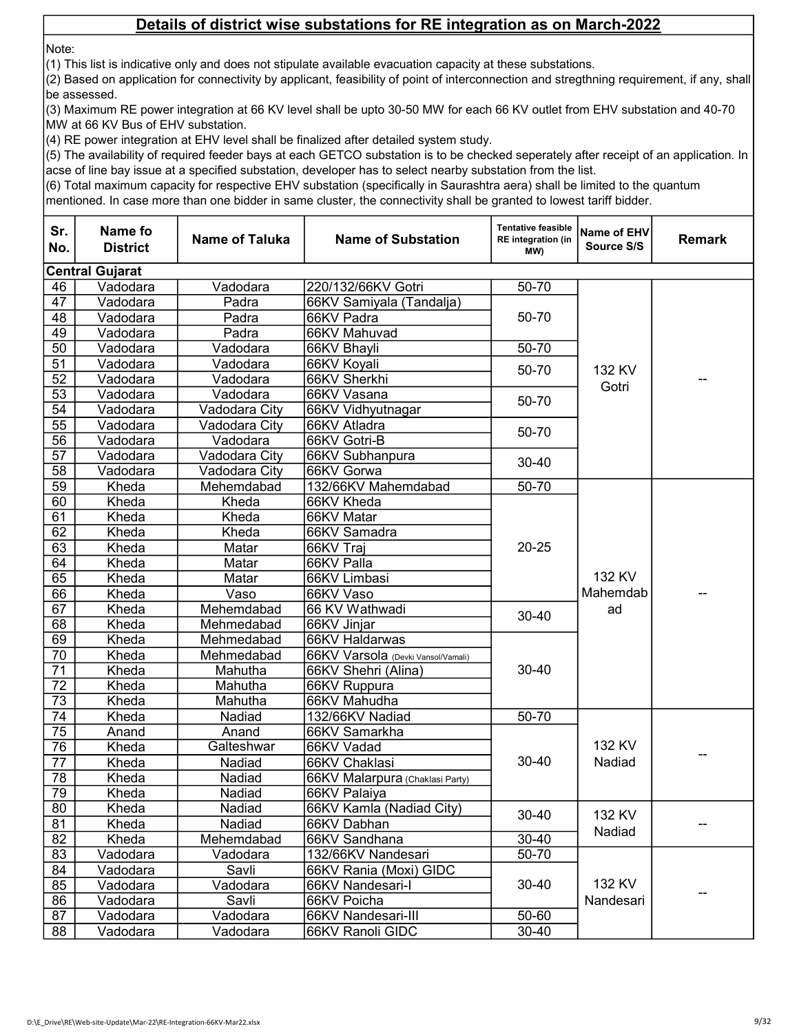Note:

(1) This list is indicative only and does not stipulate available evacuation capacity at these substations.

(2) Based on application for connectivity by applicant, feasibility of point of interconnection and stregthning requirement, if any, shall be assessed.

(3) Maximum RE power integration at 66 KV level shall be upto 30-50 MW for each 66 KV outlet from EHV substation and 40-70 MW at 66 KV Bus of EHV substation.

(4) RE power integration at EHV level shall be finalized after detailed system study.

(5) The availability of required feeder bays at each GETCO substation is to be checked seperately after receipt of an application. In acse of line bay issue at a specified substation, developer has to select nearby substation from the list.

(6) Total maximum capacity for respective EHV substation (specifically in Saurashtra aera) shall be limited to the quantum

| Sr.<br>No.      | Name fo<br><b>District</b> | Name of Taluka | <b>Name of Substation</b>          | <b>Tentative feasible</b><br><b>RE</b> integration (in<br>(MW | Name of EHV<br>Source S/S | <b>Remark</b> |
|-----------------|----------------------------|----------------|------------------------------------|---------------------------------------------------------------|---------------------------|---------------|
|                 | <b>Central Gujarat</b>     |                |                                    |                                                               |                           |               |
| 46              | Vadodara                   | Vadodara       | 220/132/66KV Gotri                 | 50-70                                                         |                           |               |
| 47              | Vadodara                   | Padra          | 66KV Samiyala (Tandalja)           |                                                               |                           |               |
| 48              | Vadodara                   | Padra          | 66KV Padra                         | 50-70                                                         |                           |               |
| 49              | Vadodara                   | Padra          | 66KV Mahuvad                       |                                                               |                           |               |
| 50              | Vadodara                   | Vadodara       | 66KV Bhayli                        | 50-70                                                         |                           |               |
| 51              | Vadodara                   | Vadodara       | 66KV Koyali                        | 50-70                                                         | 132 KV                    |               |
| 52              | Vadodara                   | Vadodara       | 66KV Sherkhi                       |                                                               | Gotri                     |               |
| 53              | Vadodara                   | Vadodara       | 66KV Vasana                        | 50-70                                                         |                           |               |
| 54              | Vadodara                   | Vadodara City  | 66KV Vidhyutnagar                  |                                                               |                           |               |
| $\overline{55}$ | Vadodara                   | Vadodara City  | 66KV Atladra                       | 50-70                                                         |                           |               |
| 56              | Vadodara                   | Vadodara       | 66KV Gotri-B                       |                                                               |                           |               |
| $\overline{57}$ | Vadodara                   | Vadodara City  | 66KV Subhanpura                    | 30-40                                                         |                           |               |
| 58              | Vadodara                   | Vadodara City  | 66KV Gorwa                         |                                                               |                           |               |
| $\overline{59}$ | Kheda                      | Mehemdabad     | 132/66KV Mahemdabad                | 50-70                                                         |                           |               |
| 60              | Kheda                      | Kheda          | 66KV Kheda                         | $20 - 25$                                                     | 132 KV                    |               |
| 61              | Kheda                      | Kheda          | 66KV Matar                         |                                                               |                           |               |
| 62              | Kheda                      | Kheda          | 66KV Samadra                       |                                                               |                           |               |
| 63              | Kheda                      | Matar          | 66KV Traj                          |                                                               |                           |               |
| 64              | Kheda                      | Matar          | 66KV Palla                         |                                                               |                           |               |
| 65              | Kheda                      | Matar          | 66KV Limbasi                       |                                                               |                           |               |
| 66              | Kheda                      | Vaso           | 66KV Vaso                          |                                                               | Mahemdab                  |               |
| $\overline{67}$ | Kheda                      | Mehemdabad     | 66 KV Wathwadi                     | 30-40                                                         | ad                        |               |
| 68              | Kheda                      | Mehmedabad     | 66KV Jinjar                        |                                                               |                           |               |
| 69              | Kheda                      | Mehmedabad     | 66KV Haldarwas                     |                                                               |                           |               |
| 70              | Kheda                      | Mehmedabad     | 66KV Varsola (Devki Vansol/Vamali) |                                                               |                           |               |
| $\overline{71}$ | Kheda                      | Mahutha        | 66KV Shehri (Alina)                | $30 - 40$                                                     |                           |               |
| $\overline{72}$ | Kheda                      | Mahutha        | 66KV Ruppura                       |                                                               |                           |               |
| $\overline{73}$ | Kheda                      | Mahutha        | 66KV Mahudha                       |                                                               |                           |               |
| 74              | Kheda                      | Nadiad         | 132/66KV Nadiad                    | 50-70                                                         |                           |               |
| 75              | Anand                      | Anand          | 66KV Samarkha                      |                                                               |                           |               |
| 76              | Kheda                      | Galteshwar     | 66KV Vadad                         |                                                               | 132 KV                    |               |
| 77              | Kheda                      | Nadiad         | 66KV Chaklasi                      | $30 - 40$                                                     | Nadiad                    |               |
| 78              | Kheda                      | Nadiad         | 66KV Malarpura (Chaklasi Party)    |                                                               |                           |               |
| 79              | Kheda                      | Nadiad         | 66KV Palaiya                       |                                                               |                           |               |
| 80              | Kheda                      | Nadiad         | 66KV Kamla (Nadiad City)           | 30-40                                                         | 132 KV                    |               |
| 81              | Kheda                      | Nadiad         | 66KV Dabhan                        |                                                               | Nadiad                    |               |
| 82              | Kheda                      | Mehemdabad     | 66KV Sandhana                      | $30 - 40$                                                     |                           |               |
| 83              | Vadodara                   | Vadodara       | 132/66KV Nandesari                 | $50 - 70$                                                     |                           |               |
| 84              | Vadodara                   | Savli          | 66KV Rania (Moxi) GIDC             |                                                               |                           |               |
| 85              | Vadodara                   | Vadodara       | 66KV Nandesari-I                   | $30 - 40$                                                     | 132 KV                    |               |
| 86              | Vadodara                   | Savli          | 66KV Poicha                        |                                                               | Nandesari                 |               |
| 87              | Vadodara                   | Vadodara       | 66KV Nandesari-III                 | 50-60                                                         |                           |               |
| 88              | Vadodara                   | Vadodara       | 66KV Ranoli GIDC                   | 30-40                                                         |                           |               |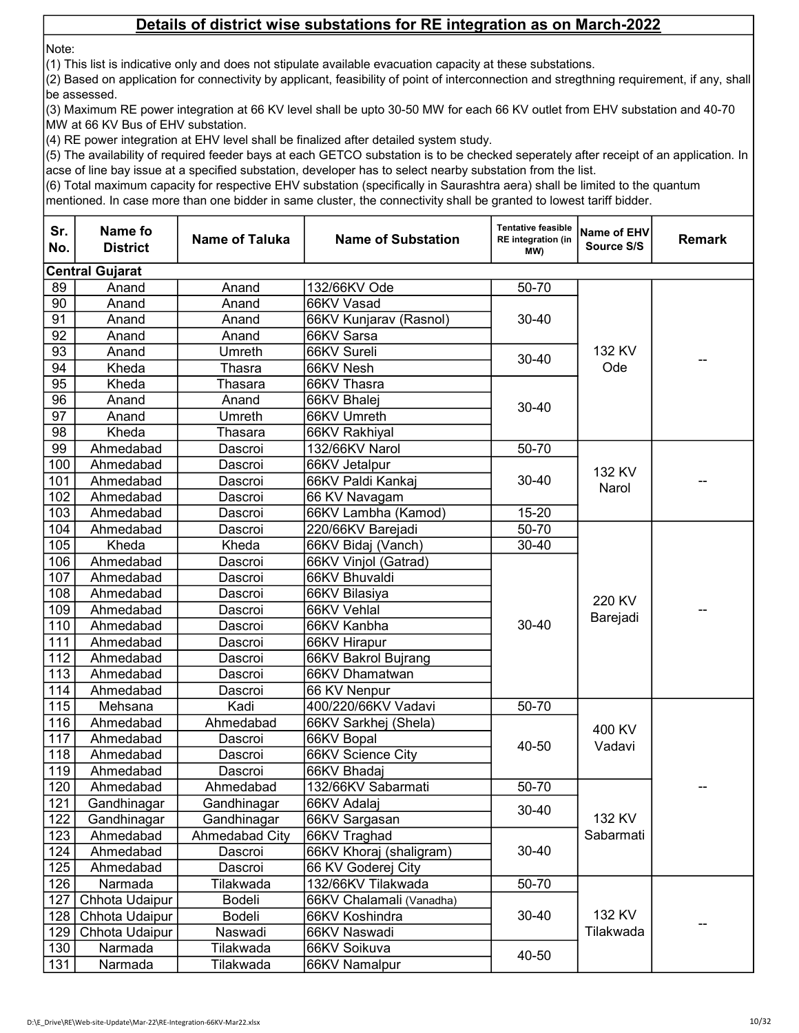Note:

(1) This list is indicative only and does not stipulate available evacuation capacity at these substations.

(2) Based on application for connectivity by applicant, feasibility of point of interconnection and stregthning requirement, if any, shall be assessed.

(3) Maximum RE power integration at 66 KV level shall be upto 30-50 MW for each 66 KV outlet from EHV substation and 40-70 MW at 66 KV Bus of EHV substation.

(4) RE power integration at EHV level shall be finalized after detailed system study.

(5) The availability of required feeder bays at each GETCO substation is to be checked seperately after receipt of an application. In acse of line bay issue at a specified substation, developer has to select nearby substation from the list.

(6) Total maximum capacity for respective EHV substation (specifically in Saurashtra aera) shall be limited to the quantum

| Sr.<br>No.       | Name fo<br><b>District</b> | <b>Name of Taluka</b> | <b>Name of Substation</b> | <b>Tentative feasible</b><br><b>RE</b> integration (in<br>(MW | Name of EHV<br>Source S/S | <b>Remark</b> |
|------------------|----------------------------|-----------------------|---------------------------|---------------------------------------------------------------|---------------------------|---------------|
|                  | <b>Central Gujarat</b>     |                       |                           |                                                               |                           |               |
| 89               | Anand                      | Anand                 | 132/66KV Ode              | 50-70                                                         |                           |               |
| 90               | Anand                      | Anand                 | 66KV Vasad                |                                                               |                           |               |
| 91               | Anand                      | Anand                 | 66KV Kunjarav (Rasnol)    | $30 - 40$                                                     |                           |               |
| 92               | Anand                      | Anand                 | 66KV Sarsa                |                                                               |                           |               |
| 93               | Anand                      | Umreth                | 66KV Sureli               | 30-40                                                         | 132 KV<br>Ode             |               |
| 94               | Kheda                      | Thasra                | 66KV Nesh                 |                                                               |                           |               |
| 95               | Kheda                      | Thasara               | 66KV Thasra               |                                                               |                           |               |
| 96               | Anand                      | Anand                 | 66KV Bhalej               | $30 - 40$                                                     |                           |               |
| 97               | Anand                      | Umreth                | 66KV Umreth               |                                                               |                           |               |
| 98               | Kheda                      | Thasara               | 66KV Rakhiyal             |                                                               |                           |               |
| 99               | Ahmedabad                  | Dascroi               | 132/66KV Narol            | 50-70                                                         |                           |               |
| 100              | Ahmedabad                  | Dascroi               | 66KV Jetalpur             |                                                               | 132 KV                    |               |
| 101              | Ahmedabad                  | Dascroi               | 66KV Paldi Kankaj         | $30 - 40$                                                     | Narol                     |               |
| $10\overline{2}$ | Ahmedabad                  | Dascroi               | 66 KV Navagam             |                                                               |                           |               |
| 103              | Ahmedabad                  | Dascroi               | 66KV Lambha (Kamod)       | $15 - 20$                                                     |                           |               |
| 104              | Ahmedabad                  | Dascroi               | 220/66KV Barejadi         | 50-70                                                         |                           |               |
| 105              | Kheda                      | Kheda                 | 66KV Bidaj (Vanch)        | $30 - 40$                                                     |                           |               |
| 106              | Ahmedabad                  | Dascroi               | 66KV Vinjol (Gatrad)      |                                                               |                           |               |
| 107              | Ahmedabad                  | Dascroi               | 66KV Bhuvaldi             |                                                               |                           |               |
| 108              | Ahmedabad                  | Dascroi               | 66KV Bilasiya             |                                                               | 220 KV                    |               |
| 109              | Ahmedabad                  | Dascroi               | 66KV Vehlal               |                                                               | Barejadi                  |               |
| 110              | Ahmedabad                  | Dascroi               | 66KV Kanbha               | 30-40                                                         |                           |               |
| 111              | Ahmedabad                  | Dascroi               | 66KV Hirapur              |                                                               |                           |               |
| 112              | Ahmedabad                  | Dascroi               | 66KV Bakrol Bujrang       |                                                               |                           |               |
| 113              | Ahmedabad                  | Dascroi               | 66KV Dhamatwan            |                                                               |                           |               |
| 114              | Ahmedabad                  | Dascroi               | 66 KV Nenpur              |                                                               |                           |               |
| 115              | Mehsana                    | Kadi                  | 400/220/66KV Vadavi       | 50-70                                                         |                           |               |
| 116              | Ahmedabad                  | Ahmedabad             | 66KV Sarkhej (Shela)      |                                                               | 400 KV                    |               |
| 117              | Ahmedabad                  | Dascroi               | 66KV Bopal                | 40-50                                                         | Vadavi                    |               |
| 118              | Ahmedabad                  | Dascroi               | 66KV Science City         |                                                               |                           |               |
| 119              | Ahmedabad                  | Dascroi               | 66KV Bhadaj               |                                                               |                           |               |
| 120              | Ahmedabad                  | Ahmedabad             | 132/66KV Sabarmati        | 50-70                                                         |                           |               |
| 121              | Gandhinagar                | Gandhinagar           | 66KV Adalaj               | 30-40                                                         |                           |               |
| 122              | Gandhinagar                | Gandhinagar           | 66KV Sargasan             |                                                               | 132 KV                    |               |
| 123              | Ahmedabad                  | Ahmedabad City        | 66KV Traghad              |                                                               | Sabarmati                 |               |
| 124              | Ahmedabad                  | Dascroi               | 66KV Khoraj (shaligram)   | 30-40                                                         |                           |               |
| 125              | Ahmedabad                  | Dascroi               | 66 KV Goderej City        |                                                               |                           |               |
| 126              | Narmada                    | Tilakwada             | 132/66KV Tilakwada        | 50-70                                                         |                           |               |
| 127              | Chhota Udaipur             | <b>Bodeli</b>         | 66KV Chalamali (Vanadha)  | $30 - 40$                                                     |                           |               |
| 128              | Chhota Udaipur             | Bodeli                | 66KV Koshindra            |                                                               | 132 KV                    |               |
| 129              | Chhota Udaipur             | Naswadi               | 66KV Naswadi              |                                                               | Tilakwada                 |               |
| 130              | Narmada                    | Tilakwada             | 66KV Soikuva              | 40-50                                                         |                           |               |
| 131              | Narmada                    | Tilakwada             | 66KV Namalpur             |                                                               |                           |               |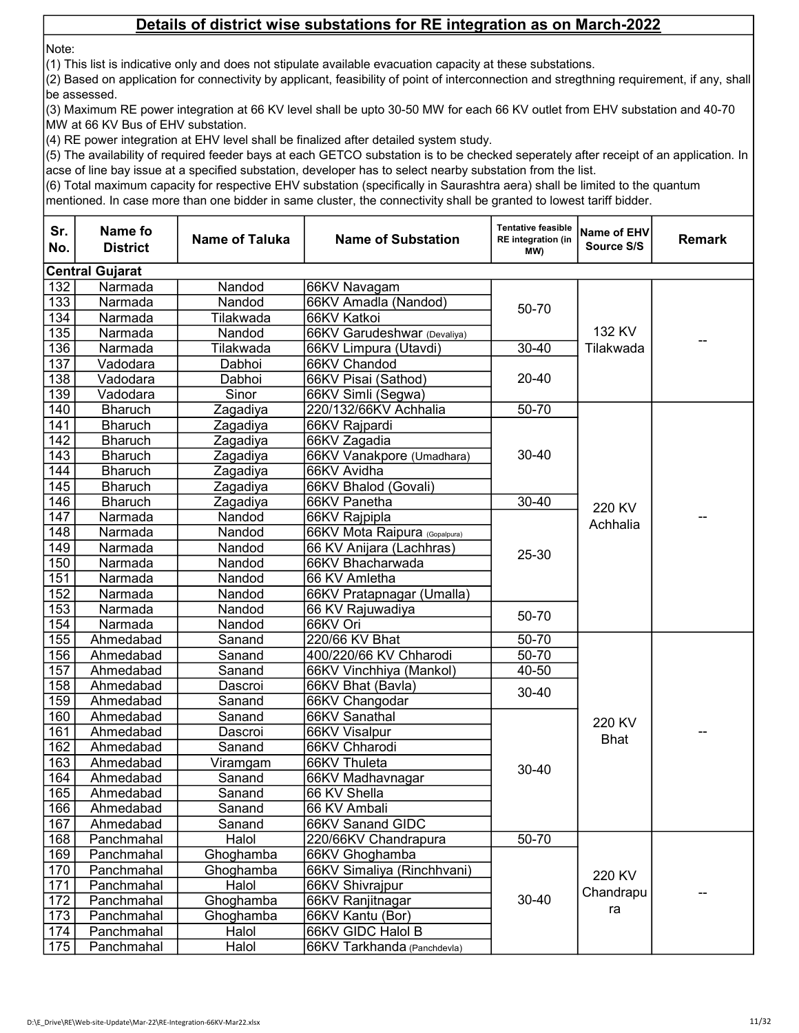Note:

(1) This list is indicative only and does not stipulate available evacuation capacity at these substations.

(2) Based on application for connectivity by applicant, feasibility of point of interconnection and stregthning requirement, if any, shall be assessed.

(3) Maximum RE power integration at 66 KV level shall be upto 30-50 MW for each 66 KV outlet from EHV substation and 40-70 MW at 66 KV Bus of EHV substation.

(4) RE power integration at EHV level shall be finalized after detailed system study.

(5) The availability of required feeder bays at each GETCO substation is to be checked seperately after receipt of an application. In acse of line bay issue at a specified substation, developer has to select nearby substation from the list.

(6) Total maximum capacity for respective EHV substation (specifically in Saurashtra aera) shall be limited to the quantum

| Sr.<br>No.       | Name fo<br><b>District</b> | <b>Name of Taluka</b> | <b>Name of Substation</b>     | <b>Tentative feasible</b><br><b>RE</b> integration (in<br>(MW | Name of EHV<br>Source S/S | <b>Remark</b> |
|------------------|----------------------------|-----------------------|-------------------------------|---------------------------------------------------------------|---------------------------|---------------|
|                  | <b>Central Gujarat</b>     |                       |                               |                                                               |                           |               |
| 132              | Narmada                    | Nandod                | 66KV Navagam                  |                                                               |                           |               |
| 133              | Narmada                    | Nandod                | 66KV Amadla (Nandod)          |                                                               |                           |               |
| 134              | Narmada                    | Tilakwada             | 66KV Katkoi                   | 50-70                                                         |                           |               |
| 135              | Narmada                    | Nandod                | 66KV Garudeshwar (Devaliya)   |                                                               | 132 KV                    |               |
| 136              | Narmada                    | Tilakwada             | 66KV Limpura (Utavdi)         | $30 - 40$                                                     | Tilakwada                 |               |
| 137              | Vadodara                   | Dabhoi                | 66KV Chandod                  |                                                               |                           |               |
| 138              | Vadodara                   | Dabhoi                | 66KV Pisai (Sathod)           | $20 - 40$                                                     |                           |               |
| 139              | Vadodara                   | Sinor                 | 66KV Simli (Segwa)            |                                                               |                           |               |
| 140              | <b>Bharuch</b>             | Zagadiya              | 220/132/66KV Achhalia         | 50-70                                                         |                           |               |
| 141              | <b>Bharuch</b>             | Zagadiya              | 66KV Rajpardi                 |                                                               |                           |               |
| $\overline{142}$ | <b>Bharuch</b>             | Zagadiya              | 66KV Zagadia                  |                                                               |                           |               |
| 143              | <b>Bharuch</b>             | Zagadiya              | 66KV Vanakpore (Umadhara)     | 30-40                                                         |                           |               |
| 144              | <b>Bharuch</b>             | Zagadiya              | 66KV Avidha                   |                                                               |                           |               |
| 145              | <b>Bharuch</b>             | Zagadiya              | 66KV Bhalod (Govali)          |                                                               |                           |               |
| 146              | <b>Bharuch</b>             | Zagadiya              | 66KV Panetha                  | $30 - 40$                                                     | 220 KV                    |               |
| 147              | Narmada                    | Nandod                | 66KV Rajpipla                 |                                                               | Achhalia                  |               |
| 148              | Narmada                    | Nandod                | 66KV Mota Raipura (Gopalpura) |                                                               |                           |               |
| 149              | Narmada                    | Nandod                | 66 KV Anijara (Lachhras)      | 25-30                                                         |                           |               |
| 150              | Narmada                    | Nandod                | 66KV Bhacharwada              |                                                               |                           |               |
| 151              | Narmada                    | Nandod                | 66 KV Amletha                 |                                                               |                           |               |
| 152              | Narmada                    | Nandod                | 66KV Pratapnagar (Umalla)     |                                                               |                           |               |
| 153              | Narmada                    | Nandod                | 66 KV Rajuwadiya              | 50-70                                                         |                           |               |
| 154              | Narmada                    | Nandod                | 66KV Ori                      |                                                               |                           |               |
| 155              | Ahmedabad                  | Sanand                | 220/66 KV Bhat                | $50 - 70$                                                     |                           |               |
| 156              | Ahmedabad                  | Sanand                | 400/220/66 KV Chharodi        | $50 - 70$                                                     |                           |               |
| 157              | Ahmedabad                  | Sanand                | 66KV Vinchhiya (Mankol)       | $40 - 50$                                                     |                           |               |
| 158              | Ahmedabad                  | Dascroi               | 66KV Bhat (Bavla)             | 30-40                                                         |                           |               |
| 159              | Ahmedabad                  | Sanand                | 66KV Changodar                |                                                               |                           |               |
| 160              | Ahmedabad                  | Sanand                | 66KV Sanathal                 |                                                               | 220 KV                    |               |
| 161              | Ahmedabad                  | Dascroi               | 66KV Visalpur                 |                                                               | <b>Bhat</b>               |               |
| 162              | Ahmedabad                  | Sanand                | 66KV Chharodi                 |                                                               |                           |               |
| 163              | Ahmedabad                  | Viramgam              | 66KV Thuleta                  | 30-40                                                         |                           |               |
| 164              | Ahmedabad                  | Sanand                | 66KV Madhavnagar              |                                                               |                           |               |
| 165              | Ahmedabad                  | Sanand                | 66 KV Shella                  |                                                               |                           |               |
| 166              | Ahmedabad                  | Sanand                | 66 KV Ambali                  |                                                               |                           |               |
| 167              | Ahmedabad                  | Sanand                | 66KV Sanand GIDC              |                                                               |                           |               |
| 168              | Panchmahal                 | Halol                 | 220/66KV Chandrapura          | $50 - 70$                                                     |                           |               |
| 169              | Panchmahal                 | Ghoghamba             | 66KV Ghoghamba                |                                                               |                           |               |
| 170              | Panchmahal                 | Ghoghamba             | 66KV Simaliya (Rinchhvani)    |                                                               | 220 KV                    |               |
| 171              | Panchmahal                 | Halol                 | 66KV Shivrajpur               | $30 - 40$                                                     | Chandrapu                 |               |
| 172              | Panchmahal                 | Ghoghamba             | 66KV Ranjitnagar              |                                                               | ra                        |               |
| 173              | Panchmahal                 | Ghoghamba             | 66KV Kantu (Bor)              |                                                               |                           |               |
| 174              | Panchmahal                 | Halol                 | 66KV GIDC Halol B             |                                                               |                           |               |
| 175              | Panchmahal                 | Halol                 | 66KV Tarkhanda (Panchdevla)   |                                                               |                           |               |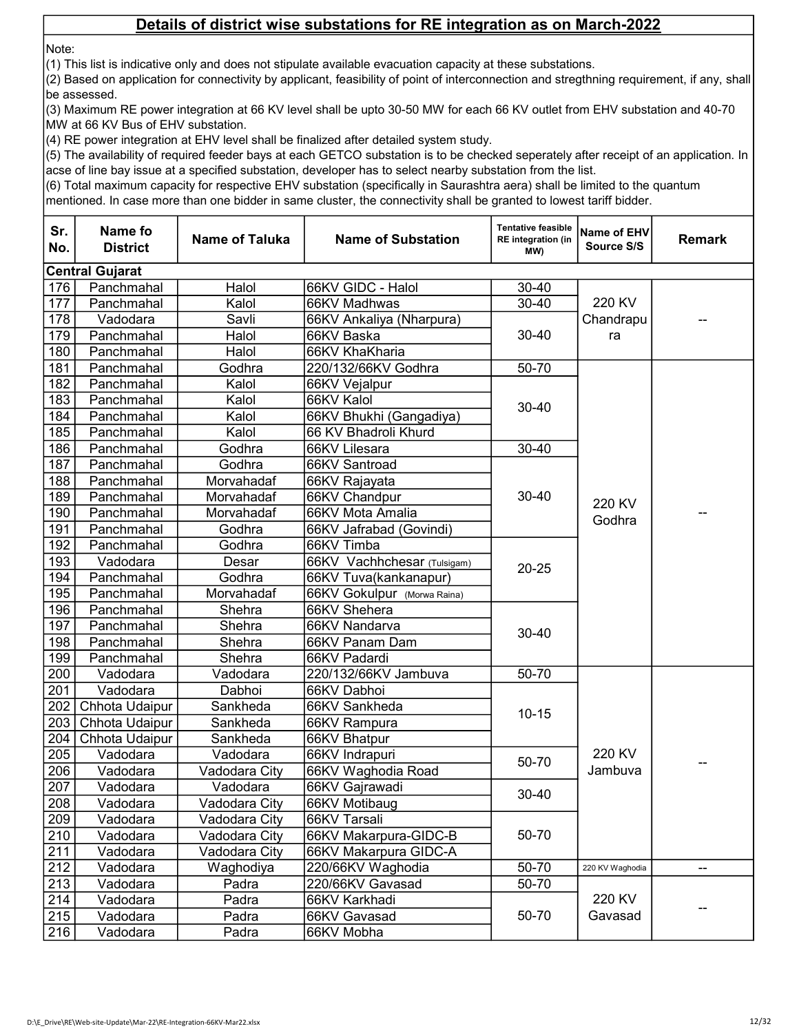Note:

(1) This list is indicative only and does not stipulate available evacuation capacity at these substations.

(2) Based on application for connectivity by applicant, feasibility of point of interconnection and stregthning requirement, if any, shall be assessed.

(3) Maximum RE power integration at 66 KV level shall be upto 30-50 MW for each 66 KV outlet from EHV substation and 40-70 MW at 66 KV Bus of EHV substation.

(4) RE power integration at EHV level shall be finalized after detailed system study.

(5) The availability of required feeder bays at each GETCO substation is to be checked seperately after receipt of an application. In acse of line bay issue at a specified substation, developer has to select nearby substation from the list.

(6) Total maximum capacity for respective EHV substation (specifically in Saurashtra aera) shall be limited to the quantum

| Sr.<br>No. | Name fo<br><b>District</b> | <b>Name of Taluka</b> | <b>Name of Substation</b>   | <b>Tentative feasible</b><br><b>RE</b> integration (in<br>MW) | Name of EHV<br>Source S/S | <b>Remark</b> |
|------------|----------------------------|-----------------------|-----------------------------|---------------------------------------------------------------|---------------------------|---------------|
|            | <b>Central Gujarat</b>     |                       |                             |                                                               |                           |               |
| 176        | Panchmahal                 | Halol                 | 66KV GIDC - Halol           | $30 - 40$                                                     |                           |               |
| 177        | Panchmahal                 | Kalol                 | 66KV Madhwas                | $30 - 40$                                                     | 220 KV                    |               |
| 178        | Vadodara                   | Savli                 | 66KV Ankaliya (Nharpura)    |                                                               | Chandrapu                 |               |
| 179        | Panchmahal                 | Halol                 | 66KV Baska                  | $30 - 40$                                                     | ra                        |               |
| 180        | Panchmahal                 | Halol                 | 66KV KhaKharia              |                                                               |                           |               |
| 181        | Panchmahal                 | Godhra                | 220/132/66KV Godhra         | 50-70                                                         |                           |               |
| 182        | Panchmahal                 | Kalol                 | 66KV Vejalpur               |                                                               |                           |               |
| 183        | Panchmahal                 | Kalol                 | 66KV Kalol                  | $30 - 40$                                                     |                           |               |
| 184        | Panchmahal                 | Kalol                 | 66KV Bhukhi (Gangadiya)     |                                                               |                           |               |
| 185        | Panchmahal                 | Kalol                 | 66 KV Bhadroli Khurd        |                                                               |                           |               |
| 186        | Panchmahal                 | Godhra                | 66KV Lilesara               | $30 - 40$                                                     |                           |               |
| 187        | Panchmahal                 | Godhra                | 66KV Santroad               |                                                               |                           |               |
| 188        | Panchmahal                 | Morvahadaf            | 66KV Rajayata               |                                                               |                           |               |
| 189        | Panchmahal                 | Morvahadaf            | 66KV Chandpur               | $30 - 40$                                                     | 220 KV                    |               |
| 190        | Panchmahal                 | Morvahadaf            | 66KV Mota Amalia            |                                                               | Godhra                    |               |
| 191        | Panchmahal                 | Godhra                | 66KV Jafrabad (Govindi)     |                                                               |                           |               |
| 192        | Panchmahal                 | Godhra                | 66KV Timba                  |                                                               |                           |               |
| 193        | Vadodara                   | Desar                 | 66KV Vachhchesar (Tulsigam) | $20 - 25$                                                     |                           |               |
| 194        | Panchmahal                 | Godhra                | 66KV Tuva(kankanapur)       |                                                               |                           |               |
| 195        | Panchmahal                 | Morvahadaf            | 66KV Gokulpur (Morwa Raina) |                                                               |                           |               |
| 196        | Panchmahal                 | Shehra                | 66KV Shehera                |                                                               |                           |               |
| 197        | Panchmahal                 | Shehra                | 66KV Nandarva               | $30 - 40$                                                     |                           |               |
| 198        | Panchmahal                 | Shehra                | 66KV Panam Dam              |                                                               |                           |               |
| 199        | Panchmahal                 | Shehra                | 66KV Padardi                |                                                               |                           |               |
| 200        | Vadodara                   | Vadodara              | 220/132/66KV Jambuva        | 50-70                                                         |                           |               |
| 201        | Vadodara                   | Dabhoi                | 66KV Dabhoi                 |                                                               |                           |               |
| 202        | Chhota Udaipur             | Sankheda              | 66KV Sankheda               | $10 - 15$                                                     |                           |               |
| 203        | Chhota Udaipur             | Sankheda              | 66KV Rampura                |                                                               |                           |               |
| 204        | Chhota Udaipur             | Sankheda              | 66KV Bhatpur                |                                                               |                           |               |
| 205        | Vadodara                   | Vadodara              | 66KV Indrapuri              | 50-70                                                         | 220 KV                    |               |
| 206        | Vadodara                   | Vadodara City         | 66KV Waghodia Road          |                                                               | Jambuva                   |               |
| 207        | Vadodara                   | Vadodara              | 66KV Gajrawadi              | $30 - 40$                                                     |                           |               |
| 208        | Vadodara                   | Vadodara City         | 66KV Motibaug               |                                                               |                           |               |
| 209        | Vadodara                   | Vadodara City         | 66KV Tarsali                |                                                               |                           |               |
| 210        | Vadodara                   | Vadodara City         | 66KV Makarpura-GIDC-B       | 50-70                                                         |                           |               |
| 211        | Vadodara                   | Vadodara City         | 66KV Makarpura GIDC-A       |                                                               |                           |               |
| 212        | Vadodara                   | Waghodiya             | 220/66KV Waghodia           | 50-70                                                         | 220 KV Waghodia           | --            |
| 213        | Vadodara                   | Padra                 | 220/66KV Gavasad            | 50-70                                                         |                           |               |
| 214        | Vadodara                   | Padra                 | 66KV Karkhadi               |                                                               | 220 KV                    |               |
| 215        | Vadodara                   | Padra                 | 66KV Gavasad                | 50-70                                                         | Gavasad                   |               |
| 216        | Vadodara                   | Padra                 | 66KV Mobha                  |                                                               |                           |               |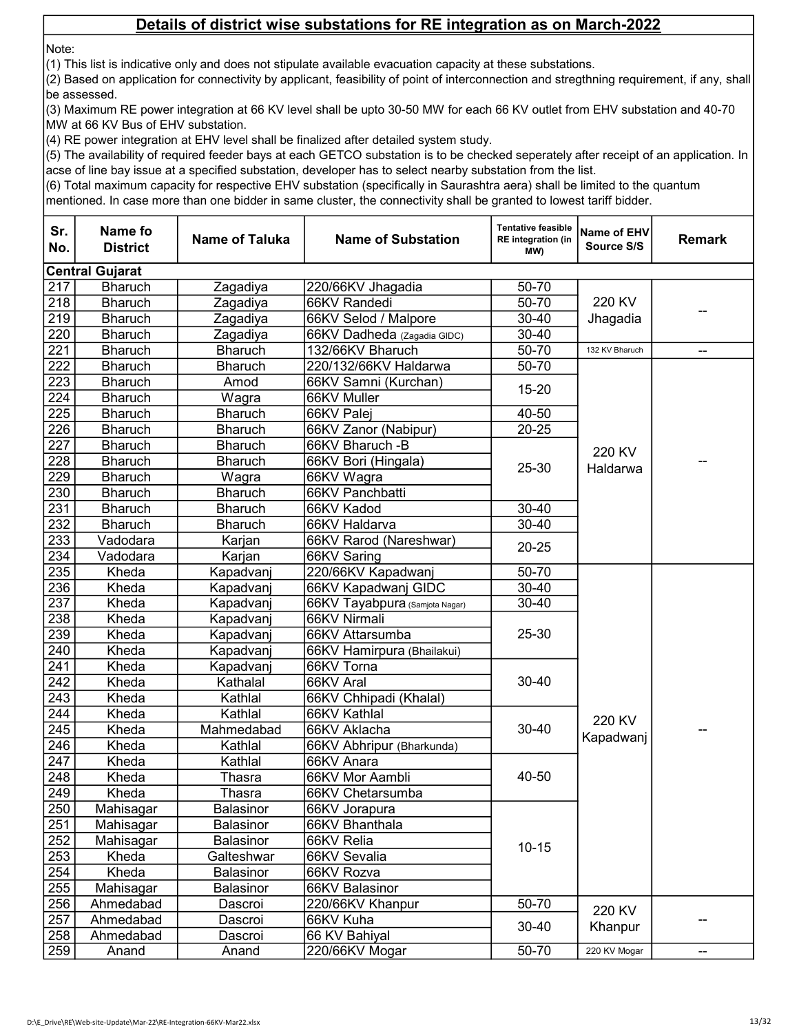Note:

(1) This list is indicative only and does not stipulate available evacuation capacity at these substations.

(2) Based on application for connectivity by applicant, feasibility of point of interconnection and stregthning requirement, if any, shall be assessed.

(3) Maximum RE power integration at 66 KV level shall be upto 30-50 MW for each 66 KV outlet from EHV substation and 40-70 MW at 66 KV Bus of EHV substation.

(4) RE power integration at EHV level shall be finalized after detailed system study.

(5) The availability of required feeder bays at each GETCO substation is to be checked seperately after receipt of an application. In acse of line bay issue at a specified substation, developer has to select nearby substation from the list.

(6) Total maximum capacity for respective EHV substation (specifically in Saurashtra aera) shall be limited to the quantum

| Sr.<br>No.       | Name fo<br><b>District</b> | <b>Name of Taluka</b> | <b>Name of Substation</b>      | <b>Tentative feasible</b><br>RE integration (in<br>MW) | Name of EHV<br>Source S/S | <b>Remark</b> |
|------------------|----------------------------|-----------------------|--------------------------------|--------------------------------------------------------|---------------------------|---------------|
|                  | <b>Central Gujarat</b>     |                       |                                |                                                        |                           |               |
| 217              | <b>Bharuch</b>             | Zagadiya              | 220/66KV Jhagadia              | 50-70                                                  |                           |               |
| 218              | <b>Bharuch</b>             | Zagadiya              | 66KV Randedi                   | $50 - 70$                                              | 220 KV                    |               |
| 219              | <b>Bharuch</b>             | Zagadiya              | 66KV Selod / Malpore           | 30-40                                                  | Jhagadia                  |               |
| 220              | <b>Bharuch</b>             | Zagadiya              | 66KV Dadheda (Zagadia GIDC)    | 30-40                                                  |                           |               |
| 221              | <b>Bharuch</b>             | <b>Bharuch</b>        | 132/66KV Bharuch               | $50 - 70$                                              | 132 KV Bharuch            | --            |
| $\overline{222}$ | <b>Bharuch</b>             | <b>Bharuch</b>        | 220/132/66KV Haldarwa          | $50 - 70$                                              |                           |               |
| 223              | <b>Bharuch</b>             | Amod                  | 66KV Samni (Kurchan)           | $15 - 20$                                              |                           |               |
| 224              | <b>Bharuch</b>             | Wagra                 | 66KV Muller                    |                                                        |                           |               |
| 225              | <b>Bharuch</b>             | <b>Bharuch</b>        | 66KV Palej                     | 40-50                                                  |                           |               |
| 226              | <b>Bharuch</b>             | <b>Bharuch</b>        | 66KV Zanor (Nabipur)           | $20 - 25$                                              |                           |               |
| 227              | <b>Bharuch</b>             | <b>Bharuch</b>        | 66KV Bharuch - B               |                                                        | 220 KV                    |               |
| 228              | <b>Bharuch</b>             | <b>Bharuch</b>        | 66KV Bori (Hingala)            | $25 - 30$                                              | Haldarwa                  |               |
| 229              | <b>Bharuch</b>             | Wagra                 | 66KV Wagra                     |                                                        |                           |               |
| 230              | <b>Bharuch</b>             | <b>Bharuch</b>        | 66KV Panchbatti                |                                                        |                           |               |
| 231              | <b>Bharuch</b>             | <b>Bharuch</b>        | 66KV Kadod                     | $30 - 40$                                              |                           |               |
| 232              | <b>Bharuch</b>             | <b>Bharuch</b>        | 66KV Haldarva                  | 30-40                                                  |                           |               |
| 233              | Vadodara                   | Karjan                | 66KV Rarod (Nareshwar)         | $20 - 25$                                              |                           |               |
| 234              | Vadodara                   | Karjan                | 66KV Saring                    |                                                        |                           |               |
| 235              | Kheda                      | Kapadvanj             | 220/66KV Kapadwanj             | 50-70                                                  |                           |               |
| 236              | Kheda                      | Kapadvanj             | 66KV Kapadwanj GIDC            | 30-40                                                  |                           |               |
| 237              | Kheda                      | Kapadvanj             | 66KV Tayabpura (Samjota Nagar) | 30-40                                                  |                           |               |
| 238              | Kheda                      | Kapadvanj             | 66KV Nirmali                   |                                                        |                           |               |
| 239              | Kheda                      | Kapadvanj             | 66KV Attarsumba                | 25-30                                                  |                           |               |
| 240              | Kheda                      | Kapadvanj             | 66KV Hamirpura (Bhailakui)     |                                                        |                           |               |
| 241              | Kheda                      | Kapadvanj             | 66KV Torna                     |                                                        |                           |               |
| 242              | Kheda                      | Kathalal              | 66KV Aral                      | $30 - 40$                                              |                           |               |
| 243              | Kheda                      | Kathlal               | 66KV Chhipadi (Khalal)         |                                                        |                           |               |
| 244              | Kheda                      | Kathlal               | 66KV Kathlal                   |                                                        | 220 KV                    |               |
| 245              | Kheda                      | Mahmedabad            | 66KV Aklacha                   | $30 - 40$                                              | Kapadwanj                 |               |
| 246              | Kheda                      | Kathlal               | 66KV Abhripur (Bharkunda)      |                                                        |                           |               |
| 247              | Kheda                      | Kathlal               | 66KV Anara                     |                                                        |                           |               |
| 248              | Kheda                      | Thasra                | 66KV Mor Aambli                | 40-50                                                  |                           |               |
| 249              | Kheda                      | Thasra                | 66KV Chetarsumba               |                                                        |                           |               |
| 250              | Mahisagar                  | Balasinor             | 66KV Jorapura                  |                                                        |                           |               |
| 251              | Mahisagar                  | Balasinor             | 66KV Bhanthala                 |                                                        |                           |               |
| 252              | Mahisagar                  | Balasinor             | 66KV Relia                     | $10 - 15$                                              |                           |               |
| 253              | Kheda                      | Galteshwar            | 66KV Sevalia                   |                                                        |                           |               |
| 254              | Kheda                      | Balasinor             | 66KV Rozva                     |                                                        |                           |               |
| 255              | Mahisagar                  | Balasinor             | 66KV Balasinor                 |                                                        |                           |               |
| 256              | Ahmedabad                  | Dascroi               | 220/66KV Khanpur               | $50 - 70$                                              | 220 KV                    |               |
| 257              | Ahmedabad                  | Dascroi               | 66KV Kuha                      | $30 - 40$                                              | Khanpur                   |               |
| 258              | Ahmedabad                  | Dascroi               | 66 KV Bahiyal                  |                                                        |                           |               |
| 259              | Anand                      | Anand                 | 220/66KV Mogar                 | $50 - 70$                                              | 220 KV Mogar              | --            |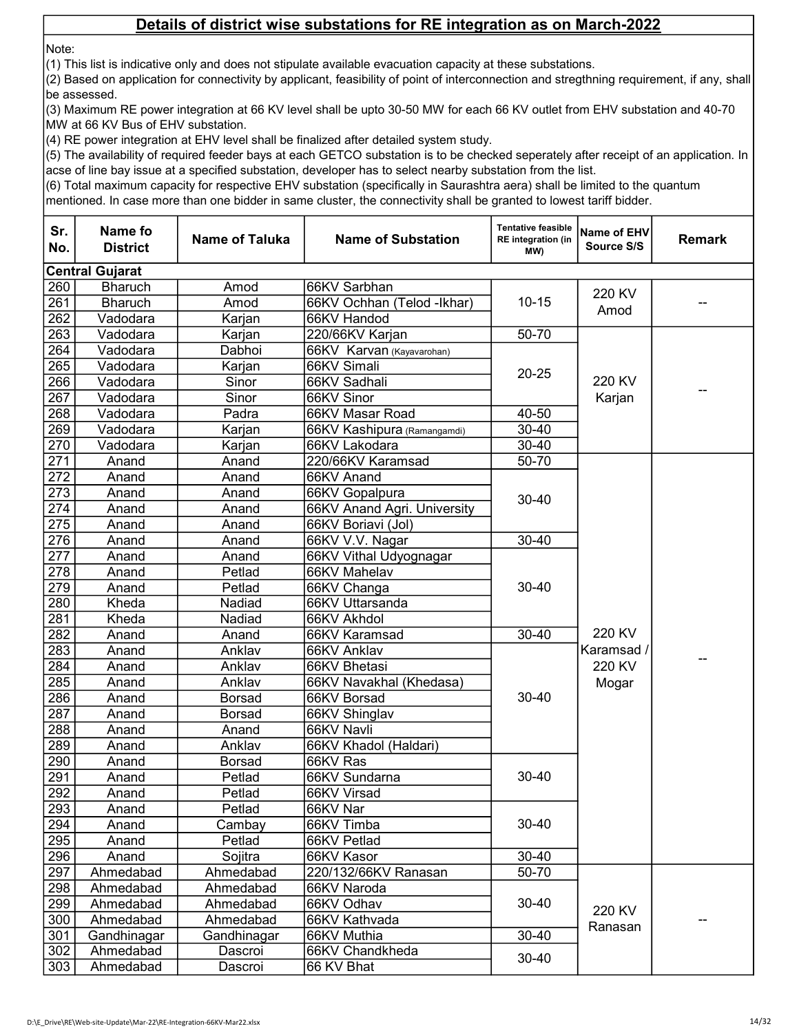Note:

(1) This list is indicative only and does not stipulate available evacuation capacity at these substations.

(2) Based on application for connectivity by applicant, feasibility of point of interconnection and stregthning requirement, if any, shall be assessed.

(3) Maximum RE power integration at 66 KV level shall be upto 30-50 MW for each 66 KV outlet from EHV substation and 40-70 MW at 66 KV Bus of EHV substation.

(4) RE power integration at EHV level shall be finalized after detailed system study.

(5) The availability of required feeder bays at each GETCO substation is to be checked seperately after receipt of an application. In acse of line bay issue at a specified substation, developer has to select nearby substation from the list.

(6) Total maximum capacity for respective EHV substation (specifically in Saurashtra aera) shall be limited to the quantum

| Sr.<br>No. | Name fo<br><b>District</b> | <b>Name of Taluka</b> | <b>Name of Substation</b>   | <b>Tentative feasible</b><br>RE integration (in<br>MW) | Name of EHV<br>Source S/S               | <b>Remark</b> |
|------------|----------------------------|-----------------------|-----------------------------|--------------------------------------------------------|-----------------------------------------|---------------|
|            | <b>Central Gujarat</b>     |                       |                             |                                                        |                                         |               |
| 260        | <b>Bharuch</b>             | Amod                  | 66KV Sarbhan                |                                                        | 220 KV                                  |               |
| 261        | <b>Bharuch</b>             | Amod                  | 66KV Ochhan (Telod -Ikhar)  | $10 - 15$                                              | Amod                                    |               |
| 262        | Vadodara                   | Karjan                | 66KV Handod                 |                                                        |                                         |               |
| 263        | Vadodara                   | Karjan                | 220/66KV Karjan             | 50-70                                                  |                                         |               |
| 264        | Vadodara                   | Dabhoi                | 66KV Karvan (Kayavarohan)   |                                                        |                                         |               |
| 265        | Vadodara                   | Karjan                | 66KV Simali                 | $20 - 25$                                              |                                         |               |
| 266        | Vadodara                   | Sinor                 | 66KV Sadhali                |                                                        | 220 KV                                  |               |
| 267        | Vadodara                   | Sinor                 | 66KV Sinor                  |                                                        | Karjan                                  |               |
| 268        | Vadodara                   | Padra                 | 66KV Masar Road             | 40-50                                                  |                                         |               |
| 269        | Vadodara                   | Karjan                | 66KV Kashipura (Ramangamdi) | 30-40                                                  |                                         |               |
| 270        | Vadodara                   | Karjan                | 66KV Lakodara               | 30-40                                                  |                                         |               |
| 271        | Anand                      | Anand                 | 220/66KV Karamsad           | $50 - 70$                                              |                                         |               |
| 272        | Anand                      | Anand                 | 66KV Anand                  |                                                        |                                         |               |
| 273        | Anand                      | Anand                 | 66KV Gopalpura              | $30 - 40$                                              |                                         |               |
| 274        | Anand                      | Anand                 | 66KV Anand Agri. University |                                                        |                                         |               |
| 275        | Anand                      | Anand                 | 66KV Boriavi (Jol)          |                                                        |                                         |               |
| 276        | Anand                      | Anand                 | 66KV V.V. Nagar             | $30 - 40$                                              |                                         |               |
| 277        | Anand                      | Anand                 | 66KV Vithal Udyognagar      | $30 - 40$                                              |                                         |               |
| 278        | Anand                      | Petlad                | 66KV Mahelav                |                                                        |                                         |               |
| 279        | Anand                      | Petlad                | 66KV Changa                 |                                                        |                                         |               |
| 280        | Kheda                      | Nadiad                | 66KV Uttarsanda             |                                                        |                                         |               |
| 281        | Kheda                      | Nadiad                | 66KV Akhdol                 |                                                        |                                         |               |
| 282        | Anand                      | Anand                 | 66KV Karamsad               | $30 - 40$                                              | 220 KV<br>Karamsad /<br>220 KV<br>Mogar |               |
| 283        | Anand                      | Anklav                | 66KV Anklav                 |                                                        |                                         |               |
| 284        | Anand                      | Anklav                | 66KV Bhetasi                |                                                        |                                         |               |
| 285        | Anand                      | Anklav                | 66KV Navakhal (Khedasa)     |                                                        |                                         |               |
| 286        | Anand                      | <b>Borsad</b>         | 66KV Borsad                 | $30 - 40$                                              |                                         |               |
| 287        | Anand                      | <b>Borsad</b>         | 66KV Shinglav               |                                                        |                                         |               |
| 288        | Anand                      | Anand                 | 66KV Navli                  |                                                        |                                         |               |
| 289        | Anand                      | Anklav                | 66KV Khadol (Haldari)       |                                                        |                                         |               |
| 290        | Anand                      | <b>Borsad</b>         | 66KV Ras                    |                                                        |                                         |               |
| 291        | Anand                      | Petlad                | 66KV Sundarna               | $30 - 40$                                              |                                         |               |
| 292        | Anand                      | Petlad                | 66KV Virsad                 |                                                        |                                         |               |
| 293        | Anand                      | Petlad                | 66KV Nar                    |                                                        |                                         |               |
| 294        | Anand                      | Cambay                | 66KV Timba                  | $30 - 40$                                              |                                         |               |
| 295        | Anand                      | Petlad                | 66KV Petlad                 |                                                        |                                         |               |
| 296        | Anand                      | Sojitra               | 66KV Kasor                  | $30 - 40$                                              |                                         |               |
| 297        | Ahmedabad                  | Ahmedabad             | 220/132/66KV Ranasan        | 50-70                                                  |                                         |               |
| 298        | Ahmedabad                  | Ahmedabad             | 66KV Naroda                 |                                                        |                                         |               |
| 299        | Ahmedabad                  | Ahmedabad             | 66KV Odhav                  | $30 - 40$                                              | 220 KV                                  |               |
| 300        | Ahmedabad                  | Ahmedabad             | 66KV Kathvada               | $30 - 40$                                              | Ranasan                                 |               |
| 301        | Gandhinagar                | Gandhinagar           | 66KV Muthia                 |                                                        |                                         |               |
| 302        | Ahmedabad                  | Dascroi               | 66KV Chandkheda             | $30 - 40$                                              |                                         |               |
| 303        | Ahmedabad                  | Dascroi               | 66 KV Bhat                  |                                                        |                                         |               |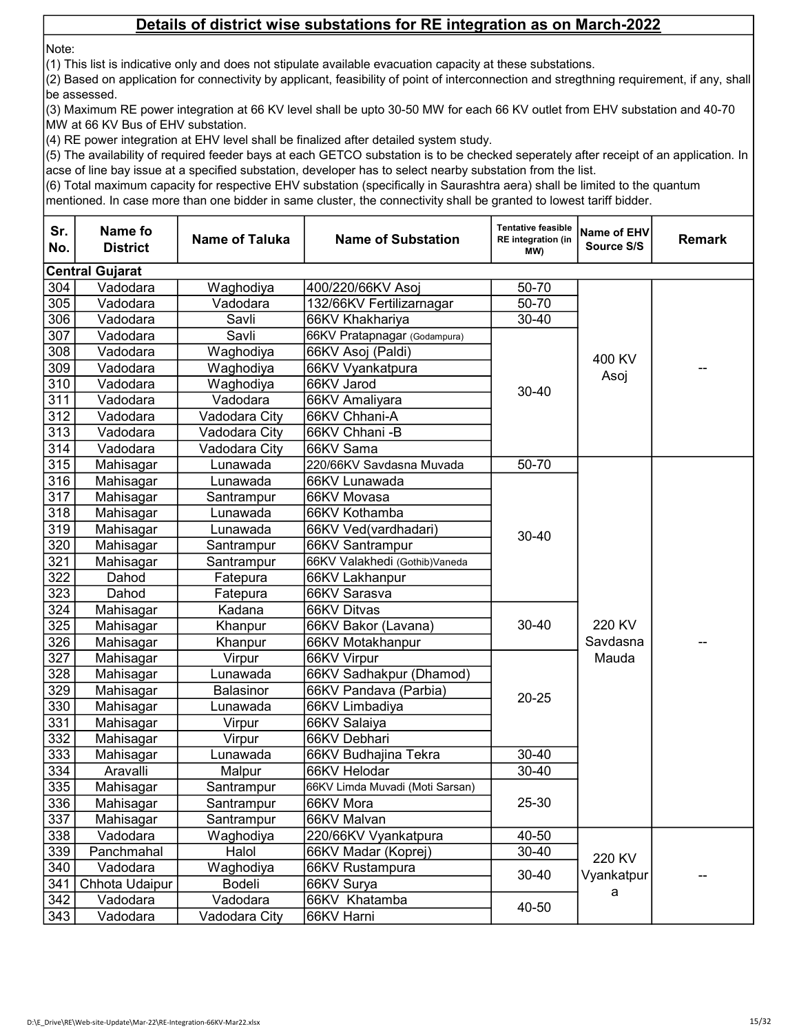Note:

(1) This list is indicative only and does not stipulate available evacuation capacity at these substations.

(2) Based on application for connectivity by applicant, feasibility of point of interconnection and stregthning requirement, if any, shall be assessed.

(3) Maximum RE power integration at 66 KV level shall be upto 30-50 MW for each 66 KV outlet from EHV substation and 40-70 MW at 66 KV Bus of EHV substation.

(4) RE power integration at EHV level shall be finalized after detailed system study.

(5) The availability of required feeder bays at each GETCO substation is to be checked seperately after receipt of an application. In acse of line bay issue at a specified substation, developer has to select nearby substation from the list.

(6) Total maximum capacity for respective EHV substation (specifically in Saurashtra aera) shall be limited to the quantum

| Sr.<br>No. | Name fo<br><b>District</b> | <b>Name of Taluka</b> | <b>Name of Substation</b>       | <b>Tentative feasible</b><br><b>RE</b> integration (in<br>(MW | Name of EHV<br>Source S/S   | <b>Remark</b> |
|------------|----------------------------|-----------------------|---------------------------------|---------------------------------------------------------------|-----------------------------|---------------|
|            | <b>Central Gujarat</b>     |                       |                                 |                                                               |                             |               |
| 304        | Vadodara                   | Waghodiya             | 400/220/66KV Asoj               | 50-70                                                         |                             |               |
| 305        | Vadodara                   | Vadodara              | 132/66KV Fertilizarnagar        | 50-70                                                         |                             |               |
| 306        | Vadodara                   | Savli                 | 66KV Khakhariya                 | 30-40                                                         |                             |               |
| 307        | Vadodara                   | Savli                 | 66KV Pratapnagar (Godampura)    |                                                               |                             |               |
| 308        | Vadodara                   | Waghodiya             | 66KV Asoj (Paldi)               |                                                               |                             |               |
| 309        | Vadodara                   | Waghodiya             | 66KV Vyankatpura                |                                                               | 400 KV                      |               |
| 310        | Vadodara                   | Waghodiya             | 66KV Jarod                      | $30 - 40$                                                     | Asoj                        |               |
| 311        | Vadodara                   | Vadodara              | 66KV Amaliyara                  |                                                               |                             |               |
| 312        | Vadodara                   | Vadodara City         | 66KV Chhani-A                   |                                                               |                             |               |
| 313        | Vadodara                   | Vadodara City         | 66KV Chhani - B                 |                                                               |                             |               |
| 314        | Vadodara                   | Vadodara City         | 66KV Sama                       |                                                               |                             |               |
| 315        | Mahisagar                  | Lunawada              | 220/66KV Savdasna Muvada        | 50-70                                                         |                             |               |
| 316        | Mahisagar                  | Lunawada              | 66KV Lunawada                   |                                                               |                             |               |
| 317        | Mahisagar                  | Santrampur            | 66KV Movasa                     |                                                               |                             |               |
| 318        | Mahisagar                  | Lunawada              | 66KV Kothamba                   |                                                               |                             |               |
| 319        | Mahisagar                  | Lunawada              | 66KV Ved(vardhadari)            | 30-40                                                         |                             |               |
| 320        | Mahisagar                  | Santrampur            | 66KV Santrampur                 |                                                               |                             |               |
| 321        | Mahisagar                  | Santrampur            | 66KV Valakhedi (Gothib) Vaneda  |                                                               |                             |               |
| 322        | Dahod                      | Fatepura              | 66KV Lakhanpur                  |                                                               |                             |               |
| 323        | Dahod                      | Fatepura              | 66KV Sarasva                    |                                                               |                             |               |
| 324        | Mahisagar                  | Kadana                | 66KV Ditvas                     |                                                               |                             |               |
| 325        | Mahisagar                  | Khanpur               | 66KV Bakor (Lavana)             | 30-40                                                         | 220 KV<br>Savdasna<br>Mauda |               |
| 326        | Mahisagar                  | Khanpur               | 66KV Motakhanpur                |                                                               |                             |               |
| 327        | Mahisagar                  | Virpur                | 66KV Virpur                     |                                                               |                             |               |
| 328        | Mahisagar                  | Lunawada              | 66KV Sadhakpur (Dhamod)         |                                                               |                             |               |
| 329        | Mahisagar                  | Balasinor             | 66KV Pandava (Parbia)           | $20 - 25$                                                     |                             |               |
| 330        | Mahisagar                  | Lunawada              | 66KV Limbadiya                  |                                                               |                             |               |
| 331        | Mahisagar                  | Virpur                | 66KV Salaiya                    |                                                               |                             |               |
| 332        | Mahisagar                  | Virpur                | 66KV Debhari                    |                                                               |                             |               |
| 333        | Mahisagar                  | Lunawada              | 66KV Budhajina Tekra            | 30-40                                                         |                             |               |
| 334        | Aravalli                   | Malpur                | 66KV Helodar                    | 30-40                                                         |                             |               |
| 335        | Mahisagar                  | Santrampur            | 66KV Limda Muvadi (Moti Sarsan) |                                                               |                             |               |
| 336        | Mahisagar                  | Santrampur            | 66KV Mora                       | 25-30                                                         |                             |               |
| 337        | Mahisagar                  | Santrampur            | 66KV Malvan                     |                                                               |                             |               |
| 338        | Vadodara                   | Waghodiya             | 220/66KV Vyankatpura            | 40-50                                                         |                             |               |
| 339        | Panchmahal                 | Halol                 | 66KV Madar (Koprej)             | 30-40                                                         | 220 KV                      |               |
| 340        | Vadodara                   | Waghodiya             | 66KV Rustampura                 | $30 - 40$                                                     | Vyankatpur                  |               |
| 341        | Chhota Udaipur             | Bodeli                | 66KV Surya                      |                                                               | a                           |               |
| 342        | Vadodara                   | Vadodara              | 66KV Khatamba                   | 40-50                                                         |                             |               |
| 343        | Vadodara                   | Vadodara City         | 66KV Harni                      |                                                               |                             |               |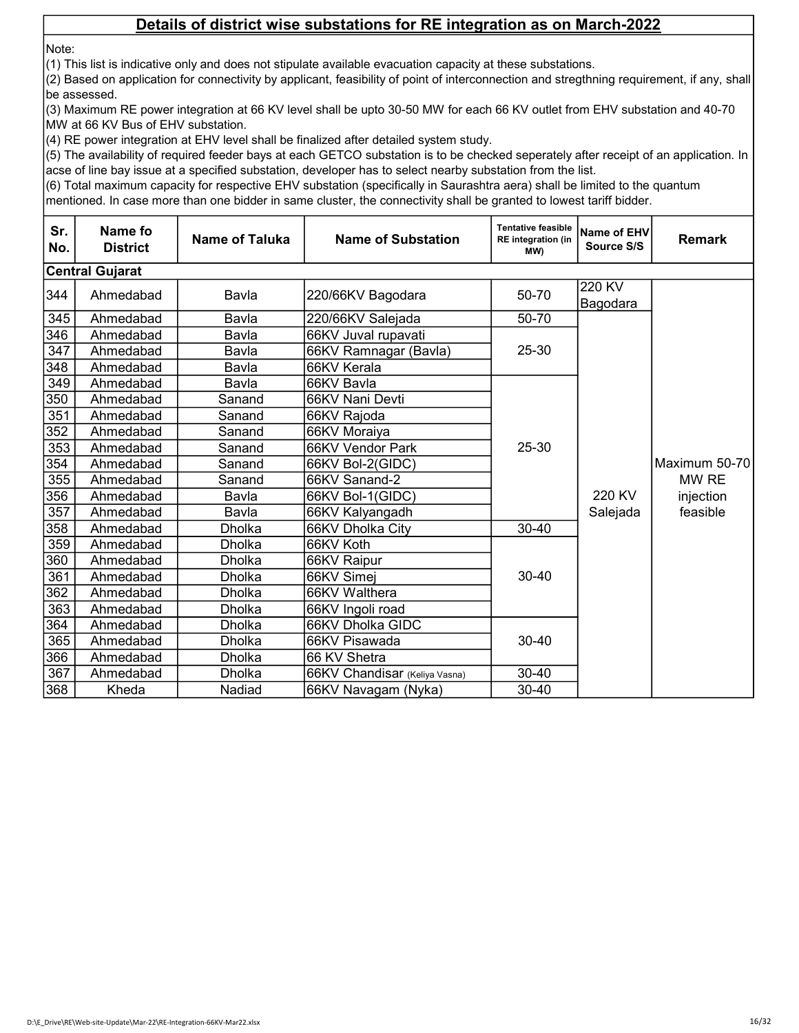Note:

(1) This list is indicative only and does not stipulate available evacuation capacity at these substations.

(2) Based on application for connectivity by applicant, feasibility of point of interconnection and stregthning requirement, if any, shall be assessed.

(3) Maximum RE power integration at 66 KV level shall be upto 30-50 MW for each 66 KV outlet from EHV substation and 40-70 MW at 66 KV Bus of EHV substation.

(4) RE power integration at EHV level shall be finalized after detailed system study.

(5) The availability of required feeder bays at each GETCO substation is to be checked seperately after receipt of an application. In acse of line bay issue at a specified substation, developer has to select nearby substation from the list.

(6) Total maximum capacity for respective EHV substation (specifically in Saurashtra aera) shall be limited to the quantum

| Sr.<br>No. | Name fo<br><b>District</b> | <b>Name of Taluka</b> | <b>Name of Substation</b>     | <b>Tentative feasible</b><br><b>RE</b> integration (in<br>(MW | Name of EHV<br>Source S/S | <b>Remark</b> |
|------------|----------------------------|-----------------------|-------------------------------|---------------------------------------------------------------|---------------------------|---------------|
|            | <b>Central Gujarat</b>     |                       |                               |                                                               |                           |               |
| 344        | Ahmedabad                  | Bavla                 | 220/66KV Bagodara             | 50-70                                                         | 220 KV<br>Bagodara        |               |
| 345        | Ahmedabad                  | Bavla                 | 220/66KV Salejada             | 50-70                                                         |                           |               |
| 346        | Ahmedabad                  | Bavla                 | 66KV Juval rupavati           |                                                               |                           |               |
| 347        | Ahmedabad                  | Bavla                 | 66KV Ramnagar (Bavla)         | 25-30                                                         |                           |               |
| 348        | Ahmedabad                  | Bavla                 | 66KV Kerala                   |                                                               |                           |               |
| 349        | Ahmedabad                  | Bavla                 | 66KV Bavla                    |                                                               |                           |               |
| 350        | Ahmedabad                  | Sanand                | 66KV Nani Devti               |                                                               |                           |               |
| 351        | Ahmedabad                  | Sanand                | 66KV Rajoda                   |                                                               |                           |               |
| 352        | Ahmedabad                  | Sanand                | 66KV Moraiya                  |                                                               |                           |               |
| 353        | Ahmedabad                  | Sanand                | 66KV Vendor Park              | 25-30                                                         |                           |               |
| 354        | Ahmedabad                  | Sanand                | 66KV Bol-2(GIDC)              |                                                               |                           | Maximum 50-70 |
| 355        | Ahmedabad                  | Sanand                | 66KV Sanand-2                 |                                                               |                           | MW RE         |
| 356        | Ahmedabad                  | Bavla                 | 66KV Bol-1(GIDC)              |                                                               | 220 KV                    | injection     |
| 357        | Ahmedabad                  | Bavla                 | 66KV Kalyangadh               |                                                               | Salejada                  | feasible      |
| 358        | Ahmedabad                  | Dholka                | 66KV Dholka City              | $30 - 40$                                                     |                           |               |
| 359        | Ahmedabad                  | <b>Dholka</b>         | 66KV Koth                     |                                                               |                           |               |
| 360        | Ahmedabad                  | Dholka                | 66KV Raipur                   |                                                               |                           |               |
| 361        | Ahmedabad                  | <b>Dholka</b>         | 66KV Simej                    | $30 - 40$                                                     |                           |               |
| 362        | Ahmedabad                  | Dholka                | 66KV Walthera                 |                                                               |                           |               |
| 363        | Ahmedabad                  | <b>Dholka</b>         | 66KV Ingoli road              |                                                               |                           |               |
| 364        | Ahmedabad                  | Dholka                | 66KV Dholka GIDC              |                                                               |                           |               |
| 365        | Ahmedabad                  | <b>Dholka</b>         | 66KV Pisawada                 | $30 - 40$                                                     |                           |               |
| 366        | Ahmedabad                  | Dholka                | 66 KV Shetra                  |                                                               |                           |               |
| 367        | Ahmedabad                  | Dholka                | 66KV Chandisar (Keliya Vasna) | 30-40                                                         |                           |               |
| 368        | Kheda                      | Nadiad                | 66KV Navagam (Nyka)           | $30 - 40$                                                     |                           |               |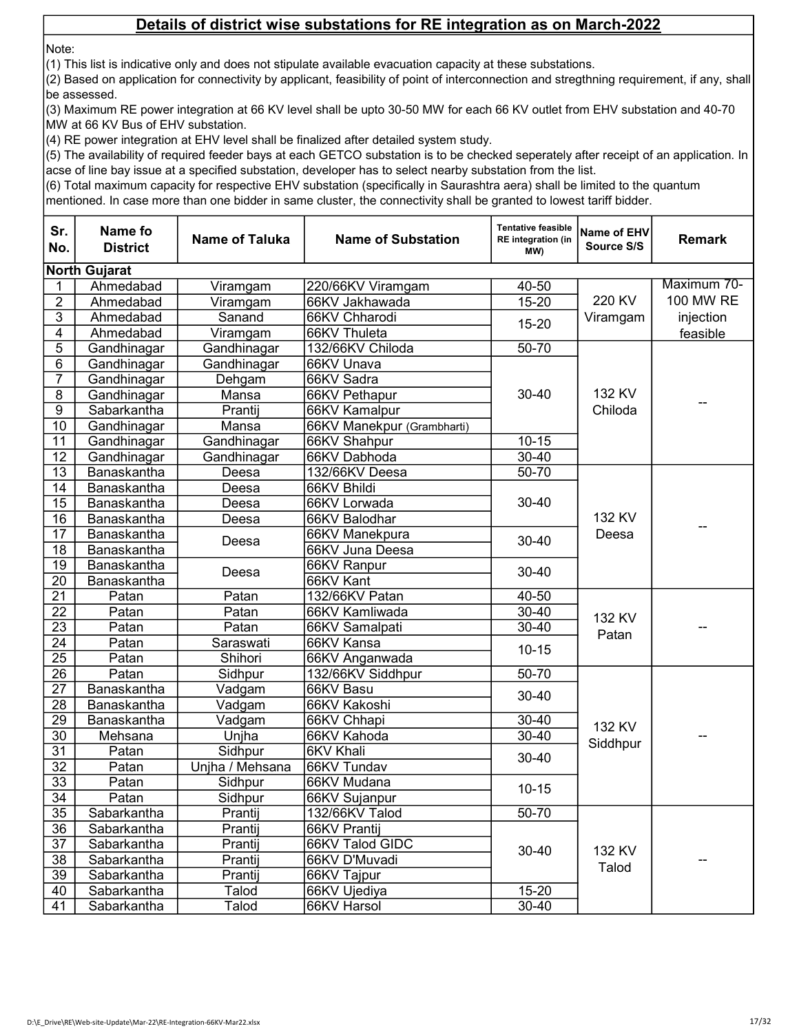Note:

(1) This list is indicative only and does not stipulate available evacuation capacity at these substations.

(2) Based on application for connectivity by applicant, feasibility of point of interconnection and stregthning requirement, if any, shall be assessed.

(3) Maximum RE power integration at 66 KV level shall be upto 30-50 MW for each 66 KV outlet from EHV substation and 40-70 MW at 66 KV Bus of EHV substation.

(4) RE power integration at EHV level shall be finalized after detailed system study.

(5) The availability of required feeder bays at each GETCO substation is to be checked seperately after receipt of an application. In acse of line bay issue at a specified substation, developer has to select nearby substation from the list.

(6) Total maximum capacity for respective EHV substation (specifically in Saurashtra aera) shall be limited to the quantum

| Sr.<br>No.      | Name fo<br><b>District</b> | <b>Name of Taluka</b> | <b>Name of Substation</b>  | <b>Tentative feasible</b><br><b>RE</b> integration (in<br>(MW | Name of EHV<br>Source S/S | <b>Remark</b> |
|-----------------|----------------------------|-----------------------|----------------------------|---------------------------------------------------------------|---------------------------|---------------|
|                 | <b>North Gujarat</b>       |                       |                            |                                                               |                           |               |
| 1               | Ahmedabad                  | Viramgam              | 220/66KV Viramgam          | 40-50                                                         |                           | Maximum 70-   |
| $\overline{2}$  | Ahmedabad                  | Viramgam              | 66KV Jakhawada             | $15 - 20$                                                     | 220 KV                    | 100 MW RE     |
| $\overline{3}$  | Ahmedabad                  | Sanand                | 66KV Chharodi              | $15 - 20$                                                     | Viramgam                  | injection     |
| 4               | Ahmedabad                  | Viramgam              | 66KV Thuleta               |                                                               |                           | feasible      |
| 5               | Gandhinagar                | Gandhinagar           | 132/66KV Chiloda           | 50-70                                                         |                           |               |
| 6               | Gandhinagar                | Gandhinagar           | 66KV Unava                 |                                                               |                           |               |
| $\overline{7}$  | Gandhinagar                | Dehgam                | 66KV Sadra                 |                                                               |                           |               |
| $\overline{8}$  | Gandhinagar                | Mansa                 | 66KV Pethapur              | $30 - 40$                                                     | 132 KV                    |               |
| $\overline{9}$  | Sabarkantha                | Prantij               | 66KV Kamalpur              |                                                               | Chiloda                   |               |
| $\overline{10}$ | Gandhinagar                | Mansa                 | 66KV Manekpur (Grambharti) |                                                               |                           |               |
| 11              | Gandhinagar                | Gandhinagar           | 66KV Shahpur               | $10 - 15$                                                     |                           |               |
| 12              | Gandhinagar                | Gandhinagar           | 66KV Dabhoda               | 30-40                                                         |                           |               |
| $\overline{13}$ | Banaskantha                | Deesa                 | 132/66KV Deesa             | $50 - 70$                                                     |                           |               |
| 14              | Banaskantha                | Deesa                 | 66KV Bhildi                |                                                               |                           |               |
| 15              | Banaskantha                | Deesa                 | 66KV Lorwada               | 30-40                                                         |                           |               |
| 16              | Banaskantha                | Deesa                 | 66KV Balodhar              |                                                               | 132 KV                    |               |
| 17              | Banaskantha                | Deesa                 | 66KV Manekpura             | $30 - 40$                                                     | Deesa                     |               |
| 18              | Banaskantha                |                       | 66KV Juna Deesa            |                                                               |                           |               |
| 19              | Banaskantha                | Deesa                 | 66KV Ranpur                | 30-40                                                         |                           |               |
| 20              | Banaskantha                |                       | 66KV Kant                  |                                                               |                           |               |
| 21              | Patan                      | Patan                 | 132/66KV Patan             | 40-50                                                         |                           |               |
| 22              | Patan                      | Patan                 | 66KV Kamliwada             | $30 - 40$                                                     | 132 KV                    |               |
| 23              | Patan                      | Patan                 | 66KV Samalpati             | 30-40                                                         | Patan                     |               |
| 24              | Patan                      | Saraswati             | 66KV Kansa                 | $10 - 15$                                                     |                           |               |
| 25              | Patan                      | Shihori               | 66KV Anganwada             |                                                               |                           |               |
| $\overline{26}$ | Patan                      | Sidhpur               | 132/66KV Siddhpur          | 50-70                                                         |                           |               |
| 27              | Banaskantha                | Vadgam                | 66KV Basu                  | $30 - 40$                                                     |                           |               |
| 28              | Banaskantha                | Vadgam                | 66KV Kakoshi               |                                                               |                           |               |
| $\overline{29}$ | Banaskantha                | Vadgam                | 66KV Chhapi                | $30 - 40$                                                     | 132 KV                    |               |
| $\overline{30}$ | Mehsana                    | Unjha                 | 66KV Kahoda                | $30 - 40$                                                     | Siddhpur                  |               |
| 31              | Patan                      | Sidhpur               | <b>6KV Khali</b>           | $30 - 40$                                                     |                           |               |
| $\overline{32}$ | Patan                      | Unjha / Mehsana       | 66KV Tundav                |                                                               |                           |               |
| $\overline{33}$ | Patan                      | Sidhpur               | 66KV Mudana                | $10 - 15$                                                     |                           |               |
| $\overline{34}$ | Patan                      | Sidhpur               | 66KV Sujanpur              |                                                               |                           |               |
| 35              | Sabarkantha                | Prantij               | 132/66KV Talod             | 50-70                                                         |                           |               |
| 36              | Sabarkantha                | Prantij               | 66KV Prantij               |                                                               |                           |               |
| $\overline{37}$ | Sabarkantha                | Prantij               | 66KV Talod GIDC            | $30 - 40$                                                     | 132 KV                    |               |
| $\overline{38}$ | Sabarkantha                | Prantij               | 66KV D'Muvadi              |                                                               | Talod                     |               |
| 39              | Sabarkantha                | Prantij               | 66KV Tajpur                |                                                               |                           |               |
| 40              | Sabarkantha                | Talod                 | 66KV Ujediya               | $15 - 20$                                                     |                           |               |
| 41              | Sabarkantha                | Talod                 | 66KV Harsol                | 30-40                                                         |                           |               |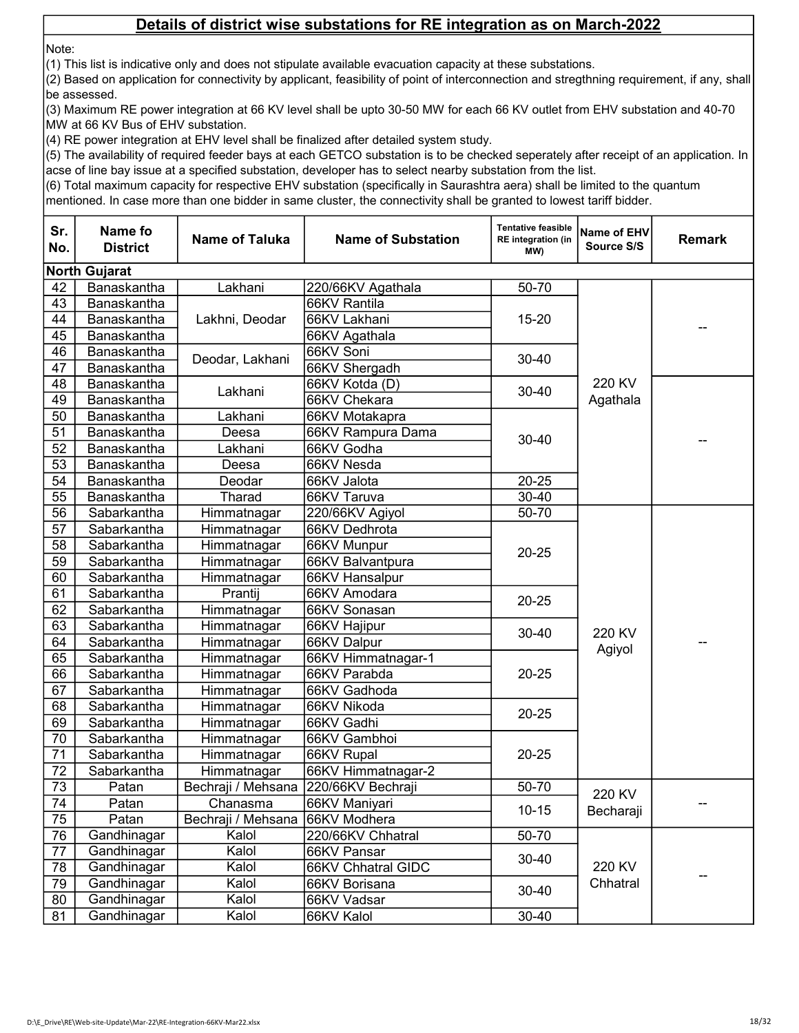Note:

(1) This list is indicative only and does not stipulate available evacuation capacity at these substations.

(2) Based on application for connectivity by applicant, feasibility of point of interconnection and stregthning requirement, if any, shall be assessed.

(3) Maximum RE power integration at 66 KV level shall be upto 30-50 MW for each 66 KV outlet from EHV substation and 40-70 MW at 66 KV Bus of EHV substation.

(4) RE power integration at EHV level shall be finalized after detailed system study.

(5) The availability of required feeder bays at each GETCO substation is to be checked seperately after receipt of an application. In acse of line bay issue at a specified substation, developer has to select nearby substation from the list.

(6) Total maximum capacity for respective EHV substation (specifically in Saurashtra aera) shall be limited to the quantum

| Sr.<br>No.      | Name fo<br><b>District</b> | <b>Name of Taluka</b> | <b>Name of Substation</b> | <b>Tentative feasible</b><br><b>RE</b> integration (in<br>MW) | <b>Name of EHV</b><br>Source S/S | <b>Remark</b> |
|-----------------|----------------------------|-----------------------|---------------------------|---------------------------------------------------------------|----------------------------------|---------------|
|                 | <b>North Gujarat</b>       |                       |                           |                                                               |                                  |               |
| 42              | Banaskantha                | Lakhani               | 220/66KV Agathala         | 50-70                                                         |                                  |               |
| 43              | Banaskantha                |                       | 66KV Rantila              |                                                               |                                  |               |
| 44              | Banaskantha                | Lakhni, Deodar        | 66KV Lakhani              | $15 - 20$                                                     |                                  |               |
| 45              | Banaskantha                |                       | 66KV Agathala             |                                                               |                                  |               |
| 46              | Banaskantha                |                       | 66KV Soni                 | $30 - 40$                                                     |                                  |               |
| 47              | Banaskantha                | Deodar, Lakhani       | 66KV Shergadh             |                                                               |                                  |               |
| 48              | Banaskantha                |                       | 66KV Kotda (D)            | 30-40                                                         | 220 KV                           |               |
| 49              | Banaskantha                | Lakhani               | 66KV Chekara              |                                                               | Agathala                         |               |
| 50              | Banaskantha                | Lakhani               | 66KV Motakapra            |                                                               |                                  |               |
| 51              | Banaskantha                | Deesa                 | 66KV Rampura Dama         |                                                               |                                  |               |
| 52              | Banaskantha                | Lakhani               | 66KV Godha                | 30-40                                                         |                                  |               |
| 53              | Banaskantha                | Deesa                 | 66KV Nesda                |                                                               |                                  |               |
| 54              | Banaskantha                | Deodar                | 66KV Jalota               | $20 - 25$                                                     |                                  |               |
| 55              | Banaskantha                | Tharad                | 66KV Taruva               | 30-40                                                         |                                  |               |
| 56              | Sabarkantha                | Himmatnagar           | 220/66KV Agiyol           | 50-70                                                         |                                  |               |
| 57              | Sabarkantha                | Himmatnagar           | 66KV Dedhrota             |                                                               |                                  |               |
| 58              | Sabarkantha                | Himmatnagar           | 66KV Munpur               | $20 - 25$                                                     |                                  |               |
| 59              | Sabarkantha                | Himmatnagar           | 66KV Balvantpura          |                                                               |                                  |               |
| 60              | Sabarkantha                | Himmatnagar           | 66KV Hansalpur            |                                                               |                                  |               |
| 61              | Sabarkantha                | Prantij               | 66KV Amodara              | $20 - 25$                                                     |                                  |               |
| 62              | Sabarkantha                | Himmatnagar           | 66KV Sonasan              |                                                               | 220 KV<br>Agiyol                 |               |
| 63              | Sabarkantha                | Himmatnagar           | 66KV Hajipur              | $30 - 40$                                                     |                                  |               |
| 64              | Sabarkantha                | Himmatnagar           | 66KV Dalpur               |                                                               |                                  |               |
| 65              | Sabarkantha                | Himmatnagar           | 66KV Himmatnagar-1        |                                                               |                                  |               |
| 66              | Sabarkantha                | Himmatnagar           | 66KV Parabda              | $20 - 25$                                                     |                                  |               |
| 67              | Sabarkantha                | Himmatnagar           | 66KV Gadhoda              |                                                               |                                  |               |
| 68              | Sabarkantha                | Himmatnagar           | 66KV Nikoda               | $20 - 25$                                                     |                                  |               |
| 69              | Sabarkantha                | Himmatnagar           | 66KV Gadhi                |                                                               |                                  |               |
| 70              | Sabarkantha                | Himmatnagar           | 66KV Gambhoi              |                                                               |                                  |               |
| 71              | Sabarkantha                | Himmatnagar           | 66KV Rupal                | $20 - 25$                                                     |                                  |               |
| 72              | Sabarkantha                | Himmatnagar           | 66KV Himmatnagar-2        |                                                               |                                  |               |
| 73              | Patan                      | Bechraji / Mehsana    | 220/66KV Bechraji         | 50-70                                                         | 220 KV                           |               |
| 74              | Patan                      | Chanasma              | 66KV Maniyari             | $10 - 15$                                                     | Becharaji                        |               |
| 75              | Patan                      | Bechraji / Mehsana    | 66KV Modhera              |                                                               |                                  |               |
| 76              | Gandhinagar                | Kalol                 | 220/66KV Chhatral         | 50-70                                                         |                                  |               |
| $\overline{77}$ | Gandhinagar                | Kalol                 | 66KV Pansar               | 30-40<br>$30 - 40$<br>$30 - 40$                               |                                  |               |
| 78              | Gandhinagar                | Kalol                 | 66KV Chhatral GIDC        |                                                               | 220 KV                           |               |
| 79              | Gandhinagar                | Kalol                 | 66KV Borisana             |                                                               | Chhatral                         |               |
| 80              | Gandhinagar                | Kalol                 | 66KV Vadsar               |                                                               |                                  |               |
| 81              | Gandhinagar                | Kalol                 | 66KV Kalol                |                                                               |                                  |               |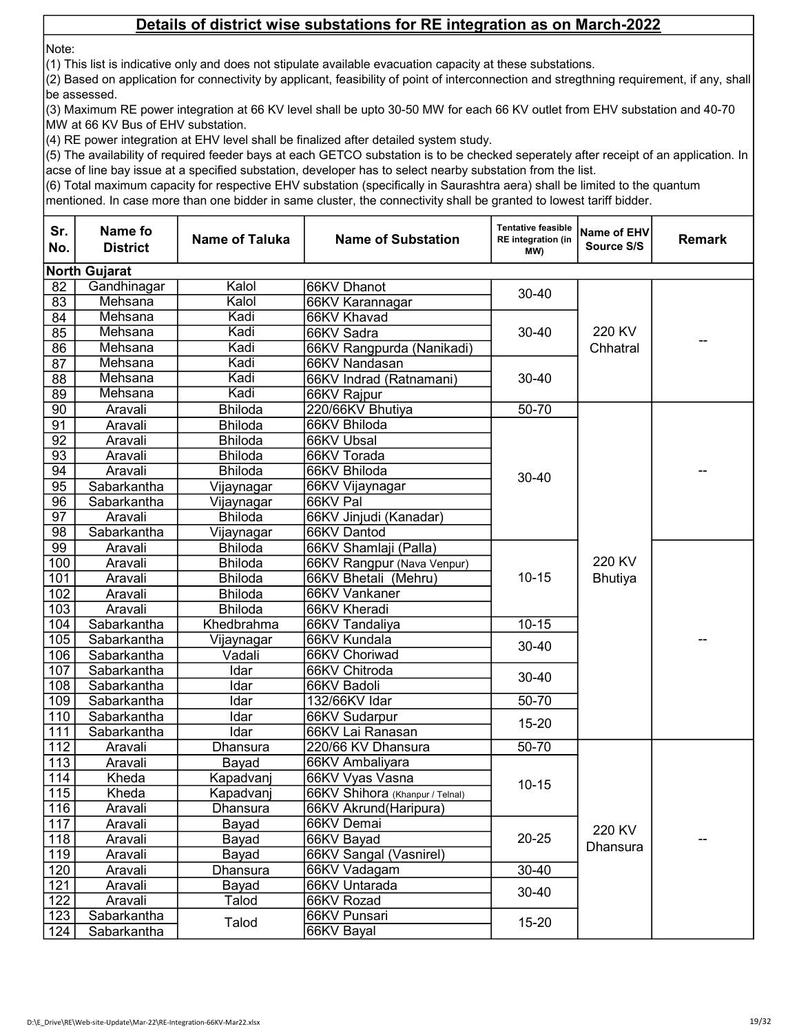Note:

(1) This list is indicative only and does not stipulate available evacuation capacity at these substations.

(2) Based on application for connectivity by applicant, feasibility of point of interconnection and stregthning requirement, if any, shall be assessed.

(3) Maximum RE power integration at 66 KV level shall be upto 30-50 MW for each 66 KV outlet from EHV substation and 40-70 MW at 66 KV Bus of EHV substation.

(4) RE power integration at EHV level shall be finalized after detailed system study.

(5) The availability of required feeder bays at each GETCO substation is to be checked seperately after receipt of an application. In acse of line bay issue at a specified substation, developer has to select nearby substation from the list.

(6) Total maximum capacity for respective EHV substation (specifically in Saurashtra aera) shall be limited to the quantum

| Sr.<br>No.       | Name fo<br><b>District</b> | <b>Name of Taluka</b> | <b>Name of Substation</b>       | <b>Tentative feasible</b><br><b>RE</b> integration (in<br>(MW | Name of EHV<br>Source S/S | <b>Remark</b> |
|------------------|----------------------------|-----------------------|---------------------------------|---------------------------------------------------------------|---------------------------|---------------|
|                  | <b>North Gujarat</b>       |                       |                                 |                                                               |                           |               |
| 82               | Gandhinagar                | Kalol                 | 66KV Dhanot                     |                                                               |                           |               |
| 83               | Mehsana                    | Kalol                 | 66KV Karannagar                 | 30-40                                                         |                           |               |
| 84               | Mehsana                    | Kadi                  | 66KV Khavad                     |                                                               |                           |               |
| 85               | Mehsana                    | Kadi                  | 66KV Sadra                      | $30 - 40$                                                     | 220 KV                    |               |
| $\overline{86}$  | Mehsana                    | Kadi                  | 66KV Rangpurda (Nanikadi)       |                                                               | Chhatral                  |               |
| $\overline{87}$  | Mehsana                    | Kadi                  | 66KV Nandasan                   |                                                               |                           |               |
| 88               | Mehsana                    | Kadi                  | 66KV Indrad (Ratnamani)         | $30 - 40$                                                     |                           |               |
| 89               | Mehsana                    | Kadi                  | 66KV Rajpur                     |                                                               |                           |               |
| 90               | Aravali                    | <b>Bhiloda</b>        | 220/66KV Bhutiya                | 50-70                                                         |                           |               |
| 91               | Aravali                    | <b>Bhiloda</b>        | 66KV Bhiloda                    |                                                               |                           |               |
| $\overline{92}$  | Aravali                    | <b>Bhiloda</b>        | 66KV Ubsal                      |                                                               |                           |               |
| 93               | Aravali                    | <b>Bhiloda</b>        | 66KV Torada                     |                                                               |                           |               |
| 94               | Aravali                    | <b>Bhiloda</b>        | 66KV Bhiloda                    | 30-40                                                         |                           |               |
| $\overline{95}$  | Sabarkantha                | Vijaynagar            | 66KV Vijaynagar                 |                                                               |                           |               |
| 96               | Sabarkantha                | Vijaynagar            | 66KV Pal                        |                                                               |                           |               |
| 97               | Aravali                    | <b>Bhiloda</b>        | 66KV Jinjudi (Kanadar)          |                                                               |                           |               |
| 98               | Sabarkantha                | Vijaynagar            | 66KV Dantod                     |                                                               |                           |               |
| 99               | Aravali                    | <b>Bhiloda</b>        | 66KV Shamlaji (Palla)           |                                                               |                           |               |
| 100              | Aravali                    | <b>Bhiloda</b>        | 66KV Rangpur (Nava Venpur)      |                                                               | 220 KV                    |               |
| 101              | Aravali                    | <b>Bhiloda</b>        | 66KV Bhetali (Mehru)            | $10 - 15$                                                     | <b>Bhutiya</b>            |               |
| 102              | Aravali                    | <b>Bhiloda</b>        | 66KV Vankaner                   |                                                               |                           |               |
| 103              | Aravali                    | <b>Bhiloda</b>        | 66KV Kheradi                    |                                                               |                           |               |
| 104              | Sabarkantha                | Khedbrahma            | 66KV Tandaliya                  | $10 - 15$                                                     |                           |               |
| 105              | Sabarkantha                | Vijaynagar            | 66KV Kundala                    | 30-40                                                         |                           |               |
| 106              | Sabarkantha                | Vadali                | 66KV Choriwad                   |                                                               |                           |               |
| 107              | Sabarkantha                | Idar                  | 66KV Chitroda                   | $30 - 40$                                                     |                           |               |
| 108              | Sabarkantha                | Idar                  | 66KV Badoli                     |                                                               |                           |               |
| 109              | Sabarkantha                | Idar                  | 132/66KV Idar                   | 50-70                                                         |                           |               |
| 110              | Sabarkantha                | Idar                  | 66KV Sudarpur                   | $15 - 20$                                                     |                           |               |
| 111              | Sabarkantha                | Idar                  | 66KV Lai Ranasan                |                                                               |                           |               |
| $\overline{112}$ | Aravali                    | Dhansura              | 220/66 KV Dhansura              | 50-70                                                         |                           |               |
| 113              | Aravali                    | Bayad                 | 66KV Ambaliyara                 |                                                               |                           |               |
| 114              | Kheda                      | Kapadvanj             | 66KV Vyas Vasna                 | $10 - 15$                                                     |                           |               |
| 115              | Kheda                      | Kapadvanj             | 66KV Shihora (Khanpur / Telnal) |                                                               |                           |               |
| $116$            | Aravali                    | Dhansura              | 66KV Akrund(Haripura)           |                                                               |                           |               |
| 117              | Aravali                    | Bayad                 | 66KV Demai                      |                                                               | 220 KV                    |               |
| 118              | Aravali                    | Bayad                 | 66KV Bayad                      | $20 - 25$                                                     | Dhansura                  |               |
| 119              | Aravali                    | Bayad                 | 66KV Sangal (Vasnirel)          |                                                               |                           |               |
| 120              | Aravali                    | Dhansura              | 66KV Vadagam                    | 30-40                                                         |                           |               |
| 121              | Aravali                    | Bayad                 | 66KV Untarada                   | $30 - 40$                                                     |                           |               |
| 122              | Aravali                    | Talod                 | 66KV Rozad                      |                                                               |                           |               |
| 123              | Sabarkantha                | Talod                 | 66KV Punsari                    | $15 - 20$                                                     |                           |               |
| 124              | Sabarkantha                |                       | 66KV Bayal                      |                                                               |                           |               |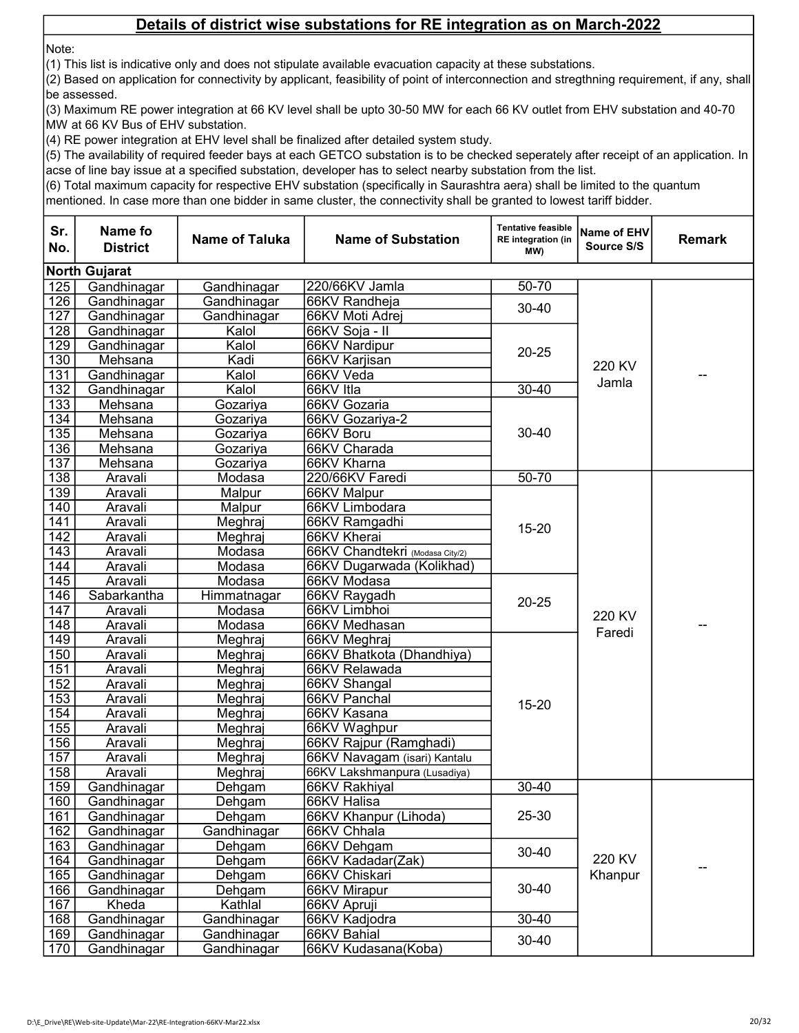Note:

(1) This list is indicative only and does not stipulate available evacuation capacity at these substations.

(2) Based on application for connectivity by applicant, feasibility of point of interconnection and stregthning requirement, if any, shall be assessed.

(3) Maximum RE power integration at 66 KV level shall be upto 30-50 MW for each 66 KV outlet from EHV substation and 40-70 MW at 66 KV Bus of EHV substation.

(4) RE power integration at EHV level shall be finalized after detailed system study.

(5) The availability of required feeder bays at each GETCO substation is to be checked seperately after receipt of an application. In acse of line bay issue at a specified substation, developer has to select nearby substation from the list.

(6) Total maximum capacity for respective EHV substation (specifically in Saurashtra aera) shall be limited to the quantum

| Sr.<br>No.       | Name fo<br><b>District</b> | <b>Name of Taluka</b> | <b>Name of Substation</b>       | <b>Tentative feasible</b><br><b>RE</b> integration (in<br>(MW | Name of EHV<br>Source S/S | <b>Remark</b> |  |  |  |
|------------------|----------------------------|-----------------------|---------------------------------|---------------------------------------------------------------|---------------------------|---------------|--|--|--|
|                  | <b>North Gujarat</b>       |                       |                                 |                                                               |                           |               |  |  |  |
| 125              | Gandhinagar                | Gandhinagar           | 220/66KV Jamla                  | 50-70                                                         |                           |               |  |  |  |
| 126              | Gandhinagar                | Gandhinagar           | 66KV Randheja                   | 30-40                                                         |                           |               |  |  |  |
| 127              | Gandhinagar                | Gandhinagar           | 66KV Moti Adrej                 |                                                               |                           |               |  |  |  |
| 128              | Gandhinagar                | Kalol                 | 66KV Soja - II                  |                                                               |                           |               |  |  |  |
| 129              | Gandhinagar                | Kalol                 | 66KV Nardipur                   | $20 - 25$                                                     |                           |               |  |  |  |
| 130              | Mehsana                    | Kadi                  | 66KV Karjisan                   |                                                               | 220 KV                    |               |  |  |  |
| 131              | Gandhinagar                | Kalol                 | 66KV Veda                       |                                                               | Jamla                     |               |  |  |  |
| 132              | Gandhinagar                | Kalol                 | 66KV Itla                       | $30 - 40$                                                     |                           |               |  |  |  |
| 133              | Mehsana                    | Gozariya              | 66KV Gozaria                    |                                                               |                           |               |  |  |  |
| 134              | Mehsana                    | Gozariya              | 66KV Gozariya-2                 |                                                               |                           |               |  |  |  |
| 135              | Mehsana                    | Gozariya              | 66KV Boru                       | $30 - 40$                                                     |                           |               |  |  |  |
| 136              | Mehsana                    | Gozariya              | 66KV Charada                    |                                                               |                           |               |  |  |  |
| 137              | Mehsana                    | Gozariya              | 66KV Kharna                     |                                                               |                           |               |  |  |  |
| 138              | Aravali                    | Modasa                | 220/66KV Faredi                 | 50-70                                                         |                           |               |  |  |  |
| 139              | Aravali                    | Malpur                | 66KV Malpur                     |                                                               |                           |               |  |  |  |
| 140              | Aravali                    | Malpur                | 66KV Limbodara                  |                                                               |                           |               |  |  |  |
| 141              | Aravali                    | Meghraj               | 66KV Ramgadhi                   | $15 - 20$                                                     |                           |               |  |  |  |
| $\overline{142}$ | Aravali                    | Meghraj               | 66KV Kherai                     |                                                               |                           |               |  |  |  |
| $\overline{143}$ | Aravali                    | Modasa                | 66KV Chandtekri (Modasa City/2) |                                                               |                           |               |  |  |  |
| 144              | Aravali                    | Modasa                | 66KV Dugarwada (Kolikhad)       |                                                               |                           |               |  |  |  |
| 145              | Aravali                    | Modasa                | 66KV Modasa                     |                                                               |                           |               |  |  |  |
| 146              | Sabarkantha                | Himmatnagar           | 66KV Raygadh                    | $20 - 25$                                                     | 220 KV<br>Faredi          |               |  |  |  |
| 147              | Aravali                    | Modasa                | 66KV Limbhoi                    |                                                               |                           |               |  |  |  |
| 148              | Aravali                    | Modasa                | 66KV Medhasan                   |                                                               |                           |               |  |  |  |
| 149              | Aravali                    | Meghraj               | 66KV Meghraj                    |                                                               |                           |               |  |  |  |
| 150              | Aravali                    | Meghraj               | 66KV Bhatkota (Dhandhiya)       |                                                               |                           |               |  |  |  |
| 151              | Aravali                    | Meghraj               | 66KV Relawada                   |                                                               |                           |               |  |  |  |
| 152<br>153       | Aravali                    | Meghraj               | 66KV Shangal                    |                                                               |                           |               |  |  |  |
| 154              | Aravali<br>Aravali         | Meghraj               | 66KV Panchal<br>66KV Kasana     | $15 - 20$                                                     |                           |               |  |  |  |
| 155              | Aravali                    | Meghraj<br>Meghraj    | 66KV Waghpur                    |                                                               |                           |               |  |  |  |
| 156              | Aravali                    | Meghraj               | 66KV Rajpur (Ramghadi)          |                                                               |                           |               |  |  |  |
| 157              | Aravali                    | Meghraj               | 66KV Navagam (isari) Kantalu    |                                                               |                           |               |  |  |  |
| 158              | Aravali                    | Meghraj               | 66KV Lakshmanpura (Lusadiya)    |                                                               |                           |               |  |  |  |
| 159              | Gandhinagar                | Dehgam                | 66KV Rakhiyal                   | $30 - 40$                                                     |                           |               |  |  |  |
| 160              | Gandhinagar                | Dehgam                | 66KV Halisa                     |                                                               |                           |               |  |  |  |
| 161              | Gandhinagar                | Dehgam                | 66KV Khanpur (Lihoda)           | 25-30                                                         |                           |               |  |  |  |
| 162              | Gandhinagar                | Gandhinagar           | 66KV Chhala                     |                                                               |                           |               |  |  |  |
| 163              | Gandhinagar                | Dehgam                | 66KV Dehgam                     |                                                               |                           |               |  |  |  |
| 164              | Gandhinagar                | Dehgam                | 66KV Kadadar(Zak)               | 30-40                                                         | 220 KV                    |               |  |  |  |
| 165              | Gandhinagar                | Dehgam                | 66KV Chiskari                   |                                                               | Khanpur                   |               |  |  |  |
| 166              | Gandhinagar                | Dehgam                | 66KV Mirapur                    | $30 - 40$<br>$30 - 40$                                        |                           |               |  |  |  |
| 167              | Kheda                      | Kathlal               | 66KV Apruji                     |                                                               |                           |               |  |  |  |
| 168              | Gandhinagar                | Gandhinagar           | 66KV Kadjodra                   |                                                               |                           |               |  |  |  |
| 169              | Gandhinagar                | Gandhinagar           | 66KV Bahial                     | 30-40                                                         |                           |               |  |  |  |
| 170              | Gandhinagar                | Gandhinagar           | 66KV Kudasana(Koba)             |                                                               |                           |               |  |  |  |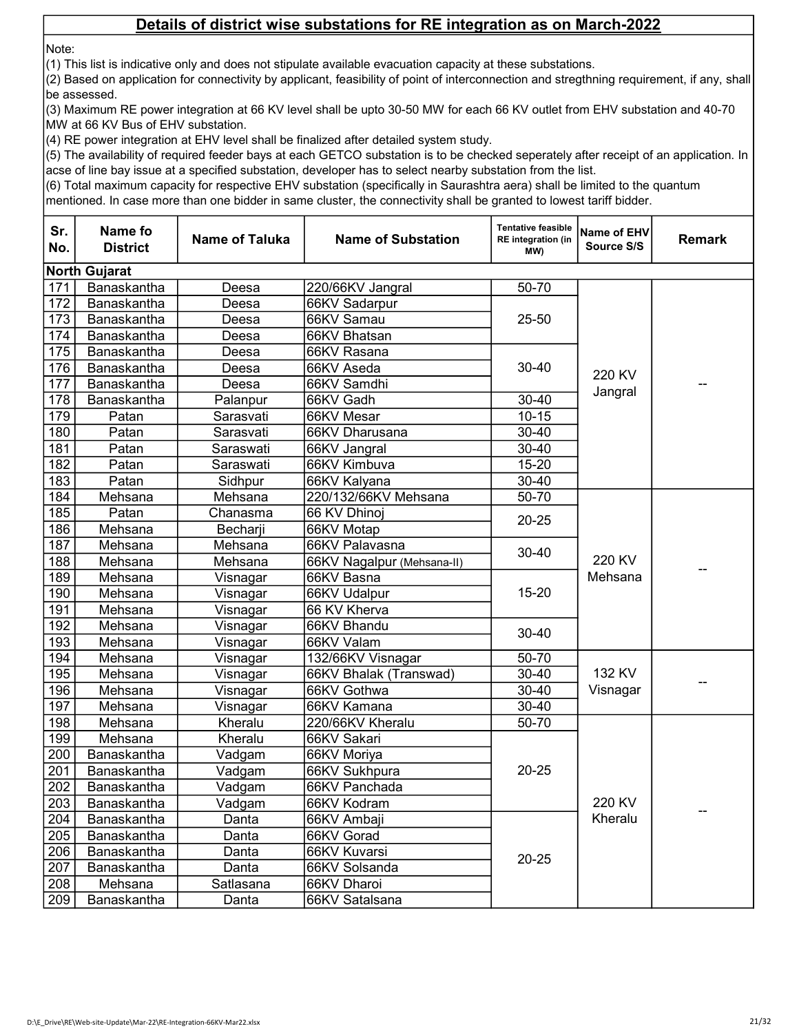Note:

(1) This list is indicative only and does not stipulate available evacuation capacity at these substations.

(2) Based on application for connectivity by applicant, feasibility of point of interconnection and stregthning requirement, if any, shall be assessed.

(3) Maximum RE power integration at 66 KV level shall be upto 30-50 MW for each 66 KV outlet from EHV substation and 40-70 MW at 66 KV Bus of EHV substation.

(4) RE power integration at EHV level shall be finalized after detailed system study.

(5) The availability of required feeder bays at each GETCO substation is to be checked seperately after receipt of an application. In acse of line bay issue at a specified substation, developer has to select nearby substation from the list.

(6) Total maximum capacity for respective EHV substation (specifically in Saurashtra aera) shall be limited to the quantum

| Sr.<br>No. | Name fo<br><b>District</b> | <b>Name of Taluka</b> | <b>Name of Substation</b>  | <b>Tentative feasible</b><br><b>RE</b> integration (in<br>(MW | Name of EHV<br>Source S/S | <b>Remark</b> |  |  |  |
|------------|----------------------------|-----------------------|----------------------------|---------------------------------------------------------------|---------------------------|---------------|--|--|--|
|            | <b>North Gujarat</b>       |                       |                            |                                                               |                           |               |  |  |  |
| 171        | Banaskantha                | Deesa                 | 220/66KV Jangral           | 50-70                                                         |                           |               |  |  |  |
| 172        | Banaskantha                | Deesa                 | 66KV Sadarpur              |                                                               |                           |               |  |  |  |
| 173        | Banaskantha                | Deesa                 | 66KV Samau                 | $25 - 50$                                                     |                           |               |  |  |  |
| 174        | Banaskantha                | Deesa                 | 66KV Bhatsan               |                                                               |                           |               |  |  |  |
| 175        | Banaskantha                | Deesa                 | 66KV Rasana                |                                                               |                           |               |  |  |  |
| 176        | Banaskantha                | Deesa                 | 66KV Aseda                 | 30-40                                                         | 220 KV                    |               |  |  |  |
| 177        | Banaskantha                | Deesa                 | 66KV Samdhi                |                                                               |                           |               |  |  |  |
| 178        | Banaskantha                | Palanpur              | 66KV Gadh                  | $30 - 40$                                                     | Jangral                   |               |  |  |  |
| 179        | Patan                      | Sarasvati             | 66KV Mesar                 | $10 - 15$                                                     |                           |               |  |  |  |
| 180        | Patan                      | Sarasvati             | 66KV Dharusana             | $30 - 40$                                                     |                           |               |  |  |  |
| 181        | Patan                      | Saraswati             | 66KV Jangral               | 30-40                                                         |                           |               |  |  |  |
| 182        | Patan                      | Saraswati             | 66KV Kimbuva               | $15 - 20$                                                     |                           |               |  |  |  |
| 183        | Patan                      | Sidhpur               | 66KV Kalyana               | 30-40                                                         |                           |               |  |  |  |
| 184        | Mehsana                    | Mehsana               | 220/132/66KV Mehsana       | 50-70                                                         |                           |               |  |  |  |
| 185        | Patan                      | Chanasma              | 66 KV Dhinoj               | $20 - 25$                                                     |                           |               |  |  |  |
| 186        | Mehsana                    | Becharji              | 66KV Motap                 | 30-40                                                         |                           |               |  |  |  |
| 187        | Mehsana                    | Mehsana               | 66KV Palavasna             |                                                               |                           |               |  |  |  |
| 188        | Mehsana                    | Mehsana               | 66KV Nagalpur (Mehsana-II) |                                                               | 220 KV                    |               |  |  |  |
| 189        | Mehsana                    | Visnagar              | 66KV Basna                 |                                                               | Mehsana                   |               |  |  |  |
| 190        | Mehsana                    | Visnagar              | 66KV Udalpur               | $15 - 20$                                                     |                           |               |  |  |  |
| 191        | Mehsana                    | Visnagar              | 66 KV Kherva               |                                                               |                           |               |  |  |  |
| 192        | Mehsana                    | Visnagar              | 66KV Bhandu                | 30-40                                                         |                           |               |  |  |  |
| 193        | Mehsana                    | Visnagar              | 66KV Valam                 |                                                               |                           |               |  |  |  |
| 194        | Mehsana                    | Visnagar              | 132/66KV Visnagar          | 50-70                                                         |                           |               |  |  |  |
| 195        | Mehsana                    | Visnagar              | 66KV Bhalak (Transwad)     | 30-40                                                         | 132 KV                    |               |  |  |  |
| 196        | Mehsana                    | Visnagar              | 66KV Gothwa                | 30-40                                                         | Visnagar                  |               |  |  |  |
| 197        | Mehsana                    | Visnagar              | 66KV Kamana                | $30 - 40$                                                     |                           |               |  |  |  |
| 198        | Mehsana                    | Kheralu               | 220/66KV Kheralu           | 50-70                                                         |                           |               |  |  |  |
| 199        | Mehsana                    | Kheralu               | 66KV Sakari                |                                                               |                           |               |  |  |  |
| 200        | Banaskantha                | Vadgam                | 66KV Moriya                |                                                               |                           |               |  |  |  |
| 201        | Banaskantha                | Vadgam                | 66KV Sukhpura              | $20 - 25$                                                     |                           |               |  |  |  |
| 202        | Banaskantha                | Vadgam                | 66KV Panchada              |                                                               |                           |               |  |  |  |
| 203        | Banaskantha                | Vadgam                | 66KV Kodram                |                                                               | 220 KV                    |               |  |  |  |
| 204        | Banaskantha                | Danta                 | 66KV Ambaji                | $20 - 25$                                                     | Kheralu                   |               |  |  |  |
| 205        | Banaskantha                | Danta                 | 66KV Gorad                 |                                                               |                           |               |  |  |  |
| 206        | Banaskantha                | Danta                 | 66KV Kuvarsi               |                                                               |                           |               |  |  |  |
| 207        | Banaskantha                | Danta                 | 66KV Solsanda              |                                                               |                           |               |  |  |  |
| 208        | Mehsana                    | Satlasana             | 66KV Dharoi                |                                                               |                           |               |  |  |  |
| 209        | Banaskantha                | Danta                 | 66KV Satalsana             |                                                               |                           |               |  |  |  |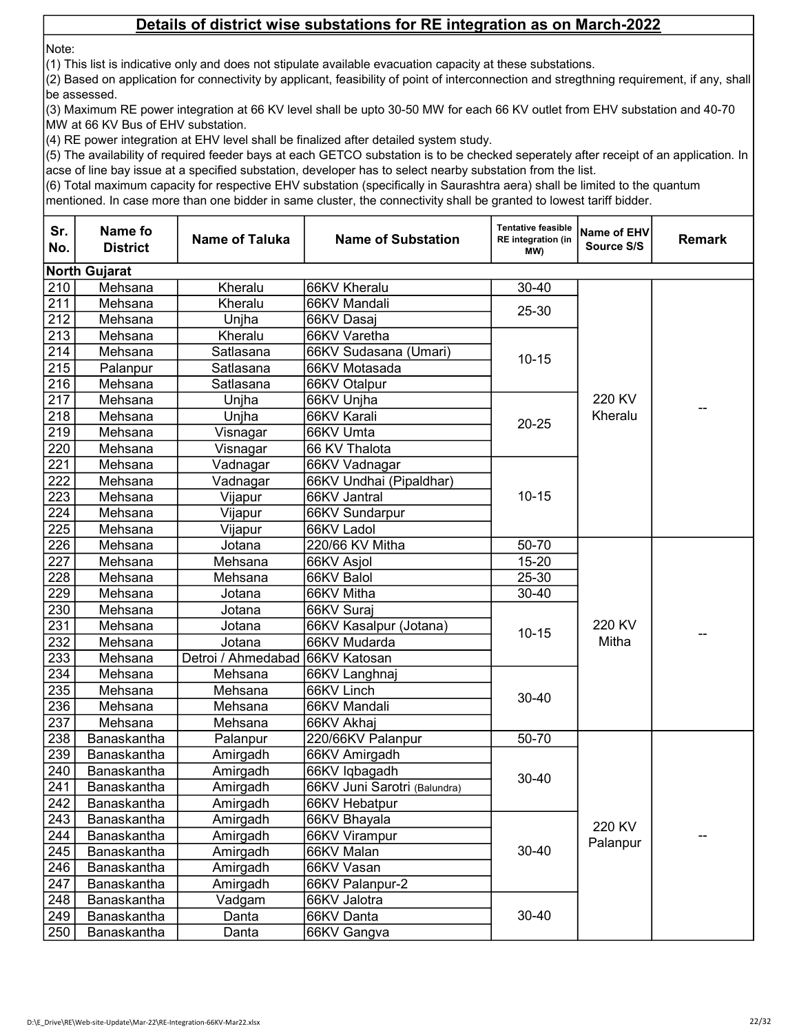Note:

(1) This list is indicative only and does not stipulate available evacuation capacity at these substations.

(2) Based on application for connectivity by applicant, feasibility of point of interconnection and stregthning requirement, if any, shall be assessed.

(3) Maximum RE power integration at 66 KV level shall be upto 30-50 MW for each 66 KV outlet from EHV substation and 40-70 MW at 66 KV Bus of EHV substation.

(4) RE power integration at EHV level shall be finalized after detailed system study.

(5) The availability of required feeder bays at each GETCO substation is to be checked seperately after receipt of an application. In acse of line bay issue at a specified substation, developer has to select nearby substation from the list.

(6) Total maximum capacity for respective EHV substation (specifically in Saurashtra aera) shall be limited to the quantum

| Sr.<br>No. | Name fo<br><b>District</b> | <b>Name of Taluka</b> | <b>Name of Substation</b>    | <b>Tentative feasible</b><br><b>RE</b> integration (in<br>(MW | Name of EHV<br>Source S/S | <b>Remark</b> |
|------------|----------------------------|-----------------------|------------------------------|---------------------------------------------------------------|---------------------------|---------------|
|            | <b>North Gujarat</b>       |                       |                              |                                                               |                           |               |
| 210        | Mehsana                    | Kheralu               | 66KV Kheralu                 | 30-40                                                         |                           |               |
| 211        | Mehsana                    | Kheralu               | 66KV Mandali                 | 25-30                                                         |                           |               |
| 212        | Mehsana                    | Unjha                 | 66KV Dasaj                   |                                                               |                           |               |
| 213        | Mehsana                    | Kheralu               | 66KV Varetha                 |                                                               |                           |               |
| 214        | Mehsana                    | Satlasana             | 66KV Sudasana (Umari)        | $10 - 15$                                                     |                           |               |
| 215        | Palanpur                   | Satlasana             | 66KV Motasada                |                                                               |                           |               |
| 216        | Mehsana                    | Satlasana             | 66KV Otalpur                 |                                                               |                           |               |
| 217        | Mehsana                    | Unjha                 | 66KV Unjha                   |                                                               | 220 KV                    |               |
| 218        | Mehsana                    | Unjha                 | 66KV Karali                  | $20 - 25$                                                     | Kheralu                   | --            |
| 219        | Mehsana                    | Visnagar              | 66KV Umta                    |                                                               |                           |               |
| 220        | Mehsana                    | Visnagar              | 66 KV Thalota                |                                                               |                           |               |
| 221        | Mehsana                    | Vadnagar              | 66KV Vadnagar                |                                                               |                           |               |
| 222        | Mehsana                    | Vadnagar              | 66KV Undhai (Pipaldhar)      |                                                               |                           |               |
| 223        | Mehsana                    | Vijapur               | 66KV Jantral                 | $10 - 15$                                                     |                           |               |
| 224        | Mehsana                    | Vijapur               | 66KV Sundarpur               |                                                               |                           |               |
| 225        | Mehsana                    | Vijapur               | 66KV Ladol                   |                                                               |                           |               |
| 226        | Mehsana                    | Jotana                | 220/66 KV Mitha              | 50-70                                                         |                           |               |
| 227        | Mehsana                    | Mehsana               | 66KV Asjol                   | $15 - 20$                                                     |                           |               |
| 228        | Mehsana                    | Mehsana               | 66KV Balol                   | 25-30                                                         |                           |               |
| 229        | Mehsana                    | Jotana                | 66KV Mitha                   | 30-40                                                         |                           |               |
| 230        | Mehsana                    | Jotana                | 66KV Suraj                   |                                                               |                           |               |
| 231        | Mehsana                    | Jotana                | 66KV Kasalpur (Jotana)       | $10 - 15$                                                     | 220 KV<br>Mitha           |               |
| 232        | Mehsana                    | Jotana                | 66KV Mudarda                 |                                                               |                           |               |
| 233        | Mehsana                    | Detroi / Ahmedabad    | 66KV Katosan                 |                                                               |                           |               |
| 234        | Mehsana                    | Mehsana               | 66KV Langhnaj                |                                                               |                           |               |
| 235        | Mehsana                    | Mehsana               | 66KV Linch                   | 30-40                                                         |                           |               |
| 236        | Mehsana                    | Mehsana               | 66KV Mandali                 |                                                               |                           |               |
| 237        | Mehsana                    | Mehsana               | 66KV Akhaj                   |                                                               |                           |               |
| 238        | Banaskantha                | Palanpur              | 220/66KV Palanpur            | 50-70                                                         |                           |               |
| 239        | Banaskantha                | Amirgadh              | 66KV Amirgadh                |                                                               |                           |               |
| 240        | Banaskantha                | Amirgadh              | 66KV Iqbagadh                | 30-40                                                         |                           |               |
| 241        | Banaskantha                | Amirgadh              | 66KV Juni Sarotri (Balundra) |                                                               |                           |               |
| 242        | Banaskantha                | Amirgadh              | 66KV Hebatpur                |                                                               |                           |               |
| 243        | Banaskantha                | Amirgadh              | 66KV Bhayala                 |                                                               | 220 KV                    |               |
| 244        | Banaskantha                | Amirgadh              | 66KV Virampur                |                                                               | Palanpur                  |               |
| 245        | Banaskantha                | Amirgadh              | 66KV Malan                   | $30 - 40$                                                     |                           |               |
| 246        | Banaskantha                | Amirgadh              | 66KV Vasan                   |                                                               |                           |               |
| 247        | Banaskantha                | Amirgadh              | 66KV Palanpur-2              |                                                               |                           |               |
| 248        | Banaskantha                | Vadgam                | 66KV Jalotra                 |                                                               |                           |               |
| 249        | Banaskantha                | Danta                 | 66KV Danta                   | 30-40                                                         |                           |               |
| 250        | Banaskantha                | Danta                 | 66KV Gangva                  |                                                               |                           |               |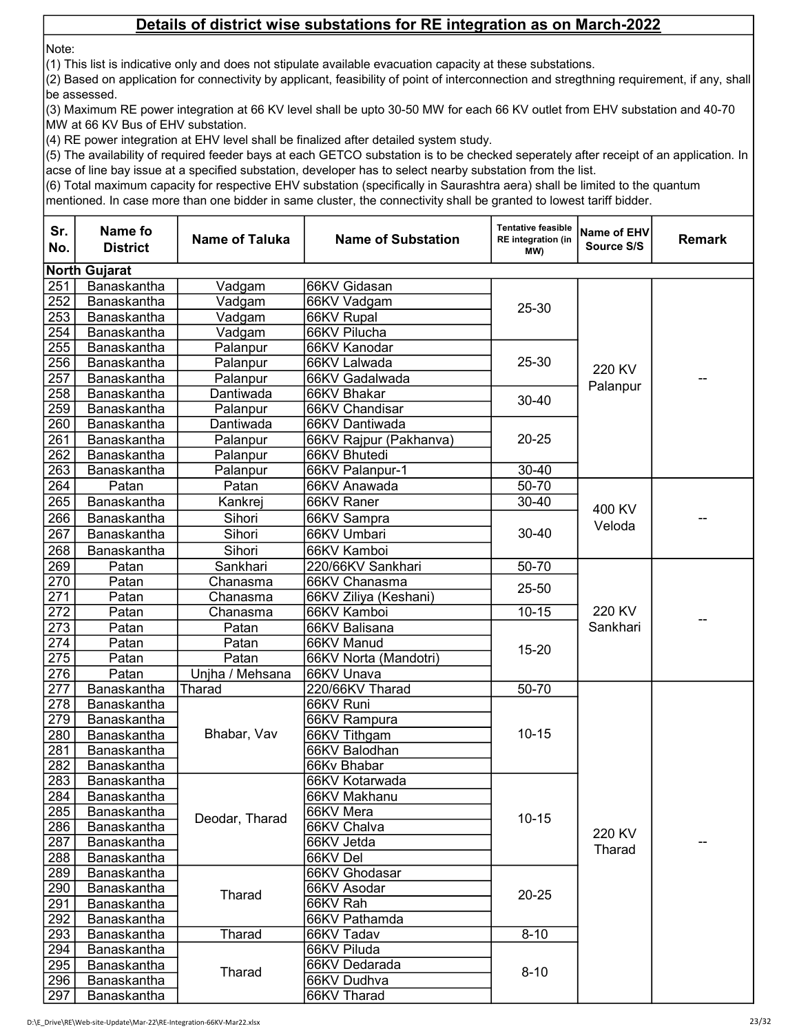Note:

(1) This list is indicative only and does not stipulate available evacuation capacity at these substations.

(2) Based on application for connectivity by applicant, feasibility of point of interconnection and stregthning requirement, if any, shall be assessed.

(3) Maximum RE power integration at 66 KV level shall be upto 30-50 MW for each 66 KV outlet from EHV substation and 40-70 MW at 66 KV Bus of EHV substation.

(4) RE power integration at EHV level shall be finalized after detailed system study.

(5) The availability of required feeder bays at each GETCO substation is to be checked seperately after receipt of an application. In acse of line bay issue at a specified substation, developer has to select nearby substation from the list.

(6) Total maximum capacity for respective EHV substation (specifically in Saurashtra aera) shall be limited to the quantum

| Sr.<br>No. | Name fo<br><b>District</b> | <b>Name of Taluka</b> | <b>Name of Substation</b> | <b>Tentative feasible</b><br>RE integration (in<br>MW) | Name of EHV<br>Source S/S | <b>Remark</b> |  |  |  |
|------------|----------------------------|-----------------------|---------------------------|--------------------------------------------------------|---------------------------|---------------|--|--|--|
|            | <b>North Gujarat</b>       |                       |                           |                                                        |                           |               |  |  |  |
| 251        | Banaskantha                | Vadgam                | 66KV Gidasan              |                                                        |                           |               |  |  |  |
| 252        | Banaskantha                | Vadgam                | 66KV Vadgam               | 25-30                                                  |                           |               |  |  |  |
| 253        | Banaskantha                | Vadgam                | 66KV Rupal                |                                                        |                           |               |  |  |  |
| 254        | Banaskantha                | Vadgam                | 66KV Pilucha              |                                                        |                           |               |  |  |  |
| 255        | Banaskantha                | Palanpur              | 66KV Kanodar              |                                                        |                           |               |  |  |  |
| 256        | Banaskantha                | Palanpur              | 66KV Lalwada              | $25 - 30$                                              | 220 KV                    |               |  |  |  |
| 257        | Banaskantha                | Palanpur              | 66KV Gadalwada            |                                                        | Palanpur                  |               |  |  |  |
| 258        | Banaskantha                | Dantiwada             | 66KV Bhakar               | $30 - 40$                                              |                           |               |  |  |  |
| 259        | Banaskantha                | Palanpur              | 66KV Chandisar            |                                                        |                           |               |  |  |  |
| 260        | Banaskantha                | Dantiwada             | 66KV Dantiwada            |                                                        |                           |               |  |  |  |
| 261        | Banaskantha                | Palanpur              | 66KV Rajpur (Pakhanva)    | $20 - 25$                                              |                           |               |  |  |  |
| 262        | Banaskantha                | Palanpur              | 66KV Bhutedi              |                                                        |                           |               |  |  |  |
| 263        | Banaskantha                | Palanpur              | 66KV Palanpur-1           | $30 - 40$                                              |                           |               |  |  |  |
| 264        | Patan                      | Patan                 | 66KV Anawada              | 50-70                                                  |                           |               |  |  |  |
| 265        | Banaskantha                | Kankrej               | 66KV Raner                | 30-40                                                  | 400 KV                    |               |  |  |  |
| 266        | Banaskantha                | Sihori                | 66KV Sampra               |                                                        |                           |               |  |  |  |
| 267        | Banaskantha                | Sihori                | 66KV Umbari               | $30 - 40$                                              | Veloda                    |               |  |  |  |
| 268        | Banaskantha                | Sihori                | 66KV Kamboi               |                                                        |                           |               |  |  |  |
| 269        | Patan                      | Sankhari              | 220/66KV Sankhari         | 50-70                                                  |                           |               |  |  |  |
| 270        | Patan                      | Chanasma              | 66KV Chanasma             |                                                        |                           |               |  |  |  |
| 271        | Patan                      | Chanasma              | 66KV Ziliya (Keshani)     | $25 - 50$                                              |                           |               |  |  |  |
| 272        | Patan                      | Chanasma              | 66KV Kamboi               | $10 - 15$                                              | 220 KV                    |               |  |  |  |
| 273        | Patan                      | Patan                 | 66KV Balisana             |                                                        | Sankhari                  |               |  |  |  |
| 274        | Patan                      | Patan                 | 66KV Manud                |                                                        |                           |               |  |  |  |
| 275        | Patan                      | Patan                 | 66KV Norta (Mandotri)     | $15 - 20$                                              |                           |               |  |  |  |
| 276        | Patan                      | Unjha / Mehsana       | 66KV Unava                |                                                        |                           |               |  |  |  |
| 277        | Banaskantha                | Tharad                | 220/66KV Tharad           | 50-70                                                  |                           |               |  |  |  |
| 278        | Banaskantha                |                       | 66KV Runi                 |                                                        |                           |               |  |  |  |
| 279        | Banaskantha                |                       | 66KV Rampura              |                                                        |                           |               |  |  |  |
| 280        | Banaskantha                | Bhabar, Vav           | 66KV Tithgam              | $10 - 15$                                              |                           |               |  |  |  |
| 281        | Banaskantha                |                       | 66KV Balodhan             |                                                        |                           |               |  |  |  |
| 282        | Banaskantha                |                       | 66Kv Bhabar               |                                                        |                           |               |  |  |  |
| 283        | Banaskantha                |                       | 66KV Kotarwada            |                                                        |                           |               |  |  |  |
| 284        | Banaskantha                |                       | 66KV Makhanu              |                                                        |                           |               |  |  |  |
| 285        | Banaskantha                |                       | 66KV Mera                 |                                                        |                           |               |  |  |  |
| 286        | Banaskantha                | Deodar, Tharad        | 66KV Chalva               | $10 - 15$                                              | 220 KV                    |               |  |  |  |
| 287        | Banaskantha                |                       | 66KV Jetda                |                                                        |                           |               |  |  |  |
| 288        | <b>Banaskantha</b>         |                       | 66KV Del                  |                                                        | Tharad                    |               |  |  |  |
| 289        | Banaskantha                |                       | 66KV Ghodasar             |                                                        |                           |               |  |  |  |
| 290        | Banaskantha                |                       | 66KV Asodar               |                                                        |                           |               |  |  |  |
| 291        | Banaskantha                | Tharad                | 66KV Rah                  | $20 - 25$                                              |                           |               |  |  |  |
| 292        | Banaskantha                |                       | 66KV Pathamda             |                                                        |                           |               |  |  |  |
| 293        | Banaskantha                | Tharad                | 66KV Tadav                | $8 - 10$                                               |                           |               |  |  |  |
| 294        | Banaskantha                |                       | 66KV Piluda               |                                                        |                           |               |  |  |  |
| 295        | Banaskantha                |                       | 66KV Dedarada             |                                                        |                           |               |  |  |  |
| 296        | Banaskantha                | Tharad                | 66KV Dudhva               | $8 - 10$                                               |                           |               |  |  |  |
| 297        | Banaskantha                |                       | 66KV Tharad               |                                                        |                           |               |  |  |  |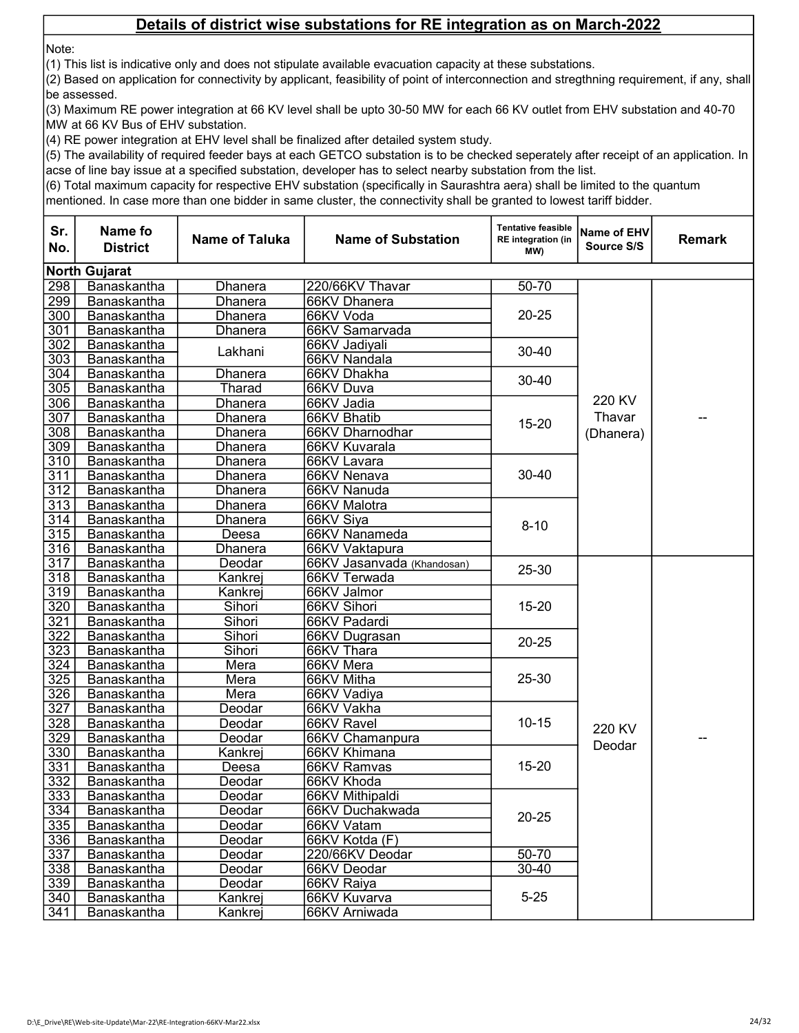Note:

(1) This list is indicative only and does not stipulate available evacuation capacity at these substations.

(2) Based on application for connectivity by applicant, feasibility of point of interconnection and stregthning requirement, if any, shall be assessed.

(3) Maximum RE power integration at 66 KV level shall be upto 30-50 MW for each 66 KV outlet from EHV substation and 40-70 MW at 66 KV Bus of EHV substation.

(4) RE power integration at EHV level shall be finalized after detailed system study.

(5) The availability of required feeder bays at each GETCO substation is to be checked seperately after receipt of an application. In acse of line bay issue at a specified substation, developer has to select nearby substation from the list.

(6) Total maximum capacity for respective EHV substation (specifically in Saurashtra aera) shall be limited to the quantum

| Sr.<br>No.       | Name fo<br><b>District</b> | <b>Name of Taluka</b> | <b>Name of Substation</b>    | <b>Tentative feasible</b><br><b>RE</b> integration (in<br>(MW | Name of EHV<br>Source S/S | Remark |
|------------------|----------------------------|-----------------------|------------------------------|---------------------------------------------------------------|---------------------------|--------|
|                  | <b>North Gujarat</b>       |                       |                              |                                                               |                           |        |
| 298              | Banaskantha                | Dhanera               | 220/66KV Thavar              | 50-70                                                         |                           |        |
| 299              | Banaskantha                | Dhanera               | 66KV Dhanera                 |                                                               |                           |        |
| 300              | Banaskantha                | Dhanera               | 66KV Voda                    | $20 - 25$                                                     |                           |        |
| 301              | Banaskantha                | Dhanera               | 66KV Samarvada               |                                                               |                           |        |
| 302              | Banaskantha                | Lakhani               | 66KV Jadiyali                | $30 - 40$                                                     |                           |        |
| $\overline{303}$ | Banaskantha                |                       | 66KV Nandala                 |                                                               |                           |        |
| 304              | Banaskantha                | <b>Dhanera</b>        | 66KV Dhakha                  | $30 - 40$                                                     |                           |        |
| 305              | Banaskantha                | Tharad                | 66KV Duva                    |                                                               |                           |        |
| 306              | Banaskantha                | Dhanera               | 66KV Jadia                   |                                                               | 220 KV                    |        |
| 307              | Banaskantha                | Dhanera               | 66KV Bhatib                  | $15 - 20$                                                     | Thavar                    |        |
| $\overline{308}$ | Banaskantha                | Dhanera               | 66KV Dharnodhar              |                                                               | (Dhanera)                 |        |
| 309              | Banaskantha                | Dhanera               | 66KV Kuvarala                |                                                               |                           |        |
| 310<br>311       | Banaskantha                | Dhanera<br>Dhanera    | 66KV Lavara                  | 30-40                                                         |                           |        |
| $\overline{312}$ | Banaskantha<br>Banaskantha | Dhanera               | 66KV Nenava<br>66KV Nanuda   |                                                               |                           |        |
| 313              | Banaskantha                | Dhanera               | 66KV Malotra                 |                                                               |                           |        |
| 314              | Banaskantha                | Dhanera               | 66KV Siya                    |                                                               |                           |        |
| 315              | Banaskantha                | Deesa                 | 66KV Nanameda                | $8 - 10$                                                      |                           |        |
| 316              | Banaskantha                | Dhanera               | 66KV Vaktapura               |                                                               |                           |        |
| $\overline{317}$ | Banaskantha                | Deodar                | 66KV Jasanvada (Khandosan)   |                                                               |                           |        |
| 318              | Banaskantha                | Kankrej               | 66KV Terwada                 | 25-30                                                         |                           |        |
| 319              | Banaskantha                | Kankrej               | 66KV Jalmor                  |                                                               |                           |        |
| 320              | Banaskantha                | Sihori                | 66KV Sihori                  | $15 - 20$                                                     |                           |        |
| 321              | Banaskantha                | Sihori                | 66KV Padardi                 |                                                               |                           |        |
| 322              | Banaskantha                | Sihori                | 66KV Dugrasan                | $20 - 25$                                                     |                           |        |
| 323              | Banaskantha                | Sihori                | 66KV Thara                   |                                                               |                           |        |
| 324              | Banaskantha                | Mera                  | 66KV Mera                    |                                                               |                           |        |
| 325              | Banaskantha                | Mera                  | 66KV Mitha                   | $25 - 30$                                                     |                           |        |
| 326              | Banaskantha                | Mera                  | 66KV Vadiya                  |                                                               |                           |        |
| 327              | Banaskantha                | Deodar                | 66KV Vakha                   |                                                               |                           |        |
| 328              | Banaskantha                | Deodar                | 66KV Ravel                   | $10 - 15$                                                     | 220 KV                    |        |
| 329              | Banaskantha                | Deodar                | 66KV Chamanpura              |                                                               | Deodar                    |        |
| 330              | Banaskantha                | Kankrej               | 66KV Khimana                 |                                                               |                           |        |
| 331              | Banaskantha                | Deesa                 | 66KV Ramvas                  | $15 - 20$                                                     |                           |        |
| 332              | Banaskantha                | Deodar                | 66KV Khoda                   |                                                               |                           |        |
| 333              | Banaskantha                | Deodar                | 66KV Mithipaldi              |                                                               |                           |        |
| 334              | Banaskantha                | Deodar                | 66KV Duchakwada              | $20 - 25$                                                     |                           |        |
| 335<br>336       | Banaskantha                | Deodar                | 66KV Vatam<br>66KV Kotda (F) |                                                               |                           |        |
| $\overline{337}$ | Banaskantha<br>Banaskantha | Deodar<br>Deodar      | 220/66KV Deodar              | $50 - 70$<br>$30 - 40$                                        |                           |        |
| 338              | Banaskantha                | Deodar                | 66KV Deodar                  |                                                               |                           |        |
| 339              | Banaskantha                | Deodar                | 66KV Raiya                   |                                                               |                           |        |
| 340              | Banaskantha                | Kankrej               | 66KV Kuvarva                 | $5 - 25$                                                      |                           |        |
| 341              | Banaskantha                | Kankrej               | 66KV Arniwada                |                                                               |                           |        |
|                  |                            |                       |                              |                                                               |                           |        |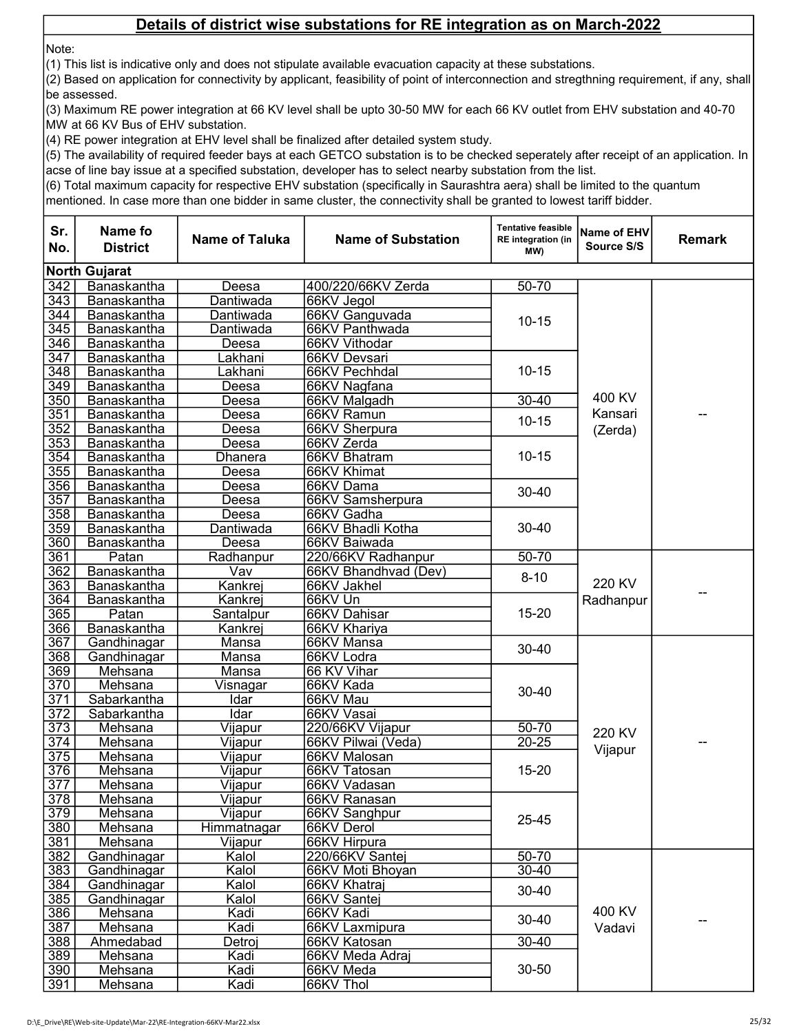Note:

(1) This list is indicative only and does not stipulate available evacuation capacity at these substations.

(2) Based on application for connectivity by applicant, feasibility of point of interconnection and stregthning requirement, if any, shall be assessed.

(3) Maximum RE power integration at 66 KV level shall be upto 30-50 MW for each 66 KV outlet from EHV substation and 40-70 MW at 66 KV Bus of EHV substation.

(4) RE power integration at EHV level shall be finalized after detailed system study.

(5) The availability of required feeder bays at each GETCO substation is to be checked seperately after receipt of an application. In acse of line bay issue at a specified substation, developer has to select nearby substation from the list.

(6) Total maximum capacity for respective EHV substation (specifically in Saurashtra aera) shall be limited to the quantum

| Sr.<br>No.       | Name fo<br><b>District</b> | <b>Name of Taluka</b> | <b>Name of Substation</b> | <b>Tentative feasible</b><br><b>RE</b> integration (in<br>MW) | Name of EHV<br>Source S/S | <b>Remark</b> |
|------------------|----------------------------|-----------------------|---------------------------|---------------------------------------------------------------|---------------------------|---------------|
|                  | <b>North Gujarat</b>       |                       |                           |                                                               |                           |               |
| 342              | Banaskantha                | Deesa                 | 400/220/66KV Zerda        | $50 - 70$                                                     |                           |               |
| $\overline{343}$ | Banaskantha                | Dantiwada             | 66KV Jegol                |                                                               |                           |               |
| 344              | Banaskantha                | Dantiwada             | 66KV Ganguvada            |                                                               |                           |               |
| 345              | Banaskantha                | Dantiwada             | 66KV Panthwada            | $10 - 15$                                                     |                           |               |
| 346              | Banaskantha                | Deesa                 | 66KV Vithodar             |                                                               |                           |               |
| 347              | Banaskantha                | Lakhani               | 66KV Devsari              |                                                               |                           |               |
| $\overline{348}$ | Banaskantha                | Lakhani               | 66KV Pechhdal             | $10 - 15$                                                     |                           |               |
| $\overline{349}$ | Banaskantha                | Deesa                 | 66KV Nagfana              |                                                               |                           |               |
| 350              | Banaskantha                | Deesa                 | 66KV Malgadh              | $30 - 40$                                                     | 400 KV                    |               |
| 351              | Banaskantha                | Deesa                 | 66KV Ramun                |                                                               | Kansari                   |               |
| 352              | Banaskantha                | Deesa                 | 66KV Sherpura             | $10 - 15$                                                     | (Zerda)                   |               |
| 353              | Banaskantha                | Deesa                 | 66KV Zerda                |                                                               |                           |               |
| 354              | Banaskantha                | Dhanera               | 66KV Bhatram              | $10 - 15$                                                     |                           |               |
| 355              | Banaskantha                | Deesa                 | 66KV Khimat               |                                                               |                           |               |
| 356              | Banaskantha                | Deesa                 | 66KV Dama                 |                                                               |                           |               |
| 357              | Banaskantha                | Deesa                 | 66KV Samsherpura          | 30-40                                                         |                           |               |
| 358              | Banaskantha                | Deesa                 | 66KV Gadha                |                                                               |                           |               |
| 359              | Banaskantha                | Dantiwada             | 66KV Bhadli Kotha         | $30 - 40$                                                     |                           |               |
| 360              | Banaskantha                | Deesa                 | 66KV Baiwada              |                                                               |                           |               |
| 361              | Patan                      | Radhanpur             | 220/66KV Radhanpur        | $50 - 70$                                                     |                           |               |
| 362              | Banaskantha                | Vav                   | 66KV Bhandhvad (Dev)      | $8 - 10$<br>$15 - 20$                                         |                           |               |
| 363              | Banaskantha                | Kankrej               | 66KV Jakhel               |                                                               | 220 KV                    |               |
| 364              | Banaskantha                | Kankrej               | 66KV Un                   |                                                               | Radhanpur                 |               |
| 365              | Patan                      | Santalpur             | 66KV Dahisar              |                                                               |                           |               |
| 366              | Banaskantha                | Kankrej               | 66KV Khariya              |                                                               |                           |               |
| 367              | Gandhinagar                | Mansa                 | 66KV Mansa                | 30-40                                                         |                           |               |
| 368              | Gandhinagar                | Mansa                 | 66KV Lodra                |                                                               |                           |               |
| 369              | Mehsana                    | Mansa                 | 66 KV Vihar               |                                                               |                           |               |
| $\overline{370}$ | Mehsana                    | Visnagar              | 66KV Kada                 | $30 - 40$                                                     |                           |               |
| 371              | Sabarkantha                | Idar                  | 66KV Mau                  |                                                               |                           |               |
| 372              | Sabarkantha                | Idar                  | 66KV Vasai                |                                                               |                           |               |
| 373              | Mehsana                    | Vijapur               | 220/66KV Vijapur          | $50 - 70$                                                     | 220 KV                    |               |
| $\overline{374}$ | Mehsana                    | Vijapur               | 66KV Pilwai (Veda)        | $20 - 25$                                                     | Vijapur                   |               |
| 375              | Mehsana                    | <u>Vijapur</u>        | 66KV Malosan              |                                                               |                           |               |
| 376              | Mehsana                    | Vijapur               | 66KV Tatosan              | $15 - 20$                                                     |                           |               |
| $\overline{377}$ | Mehsana                    | Vijapur               | 66KV Vadasan              |                                                               |                           |               |
| $\overline{378}$ | Mehsana                    | Vijapur               | 66KV Ranasan              |                                                               |                           |               |
| 379              | Mehsana                    | Vijapur               | 66KV Sanghpur             | 25-45                                                         |                           |               |
| 380              | Mehsana                    | Himmatnagar           | 66KV Derol                |                                                               |                           |               |
| 381              | Mehsana                    | Vijapur               | 66KV Hirpura              |                                                               |                           |               |
| 382              | Gandhinagar                | Kalol                 | 220/66KV Santej           | $50 - 70$                                                     |                           |               |
| 383              | Gandhinagar                | Kalol                 | 66KV Moti Bhoyan          | 30-40                                                         |                           |               |
| 384              | Gandhinagar                | Kalol                 | 66KV Khatraj              | 30-40                                                         |                           |               |
| 385              | Gandhinagar                | Kalol                 | 66KV Santej               |                                                               |                           |               |
| 386              | Mehsana                    | Kadi                  | 66KV Kadi                 | $30 - 40$                                                     | 400 KV                    |               |
| 387              | Mehsana                    | Kadi                  | 66KV Laxmipura            |                                                               | Vadavi                    |               |
| 388              | Ahmedabad                  | Detroj                | 66KV Katosan              | $30 - 40$                                                     |                           |               |
| 389              | Mehsana                    | Kadi                  | 66KV Meda Adraj           |                                                               |                           |               |
| 390              | Mehsana                    | Kadi                  | 66KV Meda                 | 30-50                                                         |                           |               |
| 391              | Mehsana                    | Kadi                  | 66KV Thol                 |                                                               |                           |               |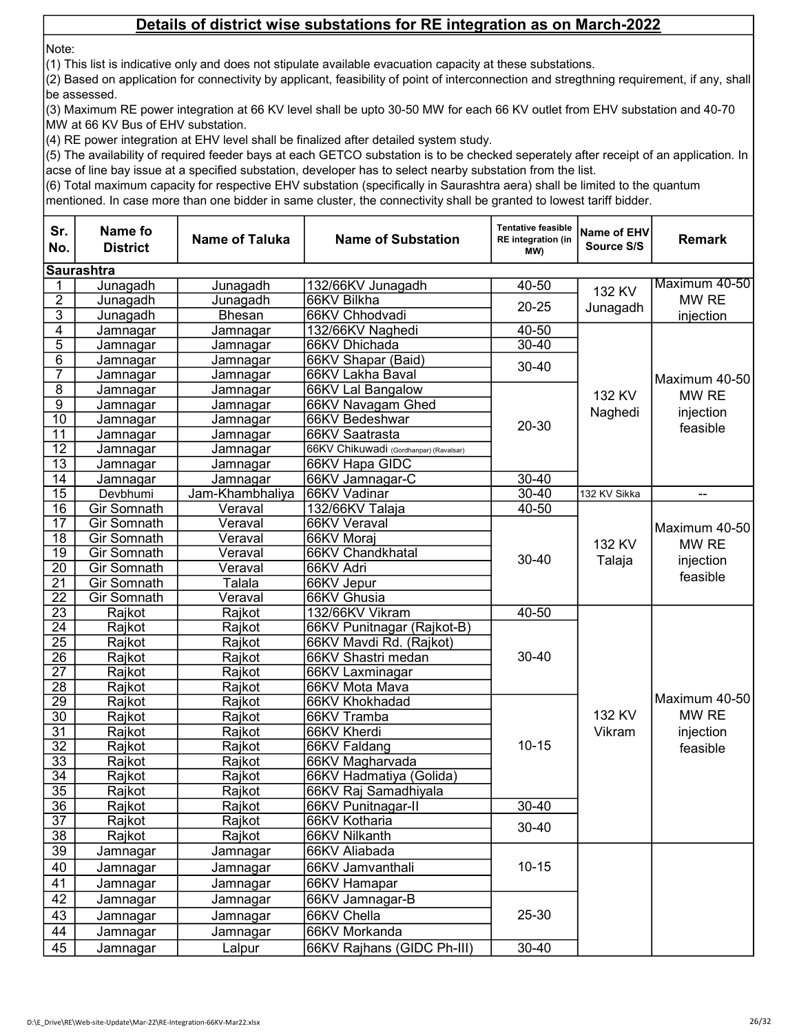Note:

(1) This list is indicative only and does not stipulate available evacuation capacity at these substations.

(2) Based on application for connectivity by applicant, feasibility of point of interconnection and stregthning requirement, if any, shall be assessed.

(3) Maximum RE power integration at 66 KV level shall be upto 30-50 MW for each 66 KV outlet from EHV substation and 40-70 MW at 66 KV Bus of EHV substation.

(4) RE power integration at EHV level shall be finalized after detailed system study.

(5) The availability of required feeder bays at each GETCO substation is to be checked seperately after receipt of an application. In acse of line bay issue at a specified substation, developer has to select nearby substation from the list.

(6) Total maximum capacity for respective EHV substation (specifically in Saurashtra aera) shall be limited to the quantum

| <b>Saurashtra</b><br>Maximum 40-50<br>Junagadh<br>132/66KV Junagadh<br>40-50<br>Junagadh<br>1<br>132 KV<br>$\overline{c}$<br>MW RE<br>66KV Bilkha<br>Junagadh<br>Junagadh<br>$20 - 25$<br>Junagadh<br>3<br>Junagadh<br><b>Bhesan</b><br>66KV Chhodvadi<br>injection<br>$\overline{4}$<br>132/66KV Naghedi<br>40-50<br>Jamnagar<br>Jamnagar<br>$\overline{5}$<br>$30 - 40$<br>66KV Dhichada<br>Jamnagar<br>Jamnagar<br>$\overline{6}$<br>66KV Shapar (Baid)<br>Jamnagar<br>Jamnagar<br>$30 - 40$<br>$\overline{7}$<br>66KV Lakha Baval<br>Jamnagar<br>Jamnagar<br>Maximum 40-50<br>$\overline{8}$<br>66KV Lal Bangalow<br>Jamnagar<br>Jamnagar<br>132 KV<br>MW RE<br>$\overline{9}$<br>66KV Navagam Ghed<br>Jamnagar<br>Jamnagar<br>Naghedi<br>injection<br>$\overline{10}$<br>66KV Bedeshwar<br>Jamnagar<br>Jamnagar<br>20-30<br>feasible<br>$\overline{11}$<br>66KV Saatrasta<br>Jamnagar<br>Jamnagar<br>$\overline{12}$<br>66KV Chikuwadi (Gordhanpar) (Ravalsar)<br>Jamnagar<br>Jamnagar<br>13<br>66KV Hapa GIDC<br>Jamnagar<br>Jamnagar<br>$\overline{14}$<br>66KV Jamnagar-C<br>$30 - 40$<br>Jamnagar<br>Jamnagar<br>$\overline{15}$<br>$30 - 40$<br>Jam-Khambhaliya<br>66KV Vadinar<br>Devbhumi<br>132 KV Sikka<br>$\overline{\phantom{a}}$<br>$\overline{16}$<br>$40 - 50$<br>Gir Somnath<br>Veraval<br>132/66KV Talaja<br>17<br>Gir Somnath<br>Veraval<br>66KV Veraval<br>Maximum 40-50  <br>18<br>66KV Moraj<br>Gir Somnath<br>Veraval<br>132 KV<br>MW RE<br>$\overline{19}$<br>Gir Somnath<br>Veraval<br>66KV Chandkhatal<br>$30 - 40$<br>Talaja<br>injection<br>20<br><b>Gir Somnath</b><br>66KV Adri<br>Veraval<br>feasible<br>$\overline{21}$<br>Gir Somnath<br>66KV Jepur<br>Talala<br>22<br>Gir Somnath<br>66KV Ghusia<br>Veraval<br>23<br>Rajkot<br>132/66KV Vikram<br>40-50<br>Rajkot<br>$\overline{24}$<br>Rajkot<br>Rajkot<br>66KV Punitnagar (Rajkot-B)<br>$\overline{25}$<br>Rajkot<br>Rajkot<br>66KV Mavdi Rd. (Rajkot)<br>$\overline{26}$<br>$30 - 40$<br>Rajkot<br>Rajkot<br>66KV Shastri medan<br>$\overline{27}$<br>Rajkot<br>Rajkot<br>66KV Laxminagar<br>28<br>Rajkot<br>Rajkot<br>66KV Mota Mava<br>Maximum 40-50<br>$\overline{29}$<br>Rajkot<br>66KV Khokhadad<br>Rajkot<br>132 KV<br>MW RE<br>$\overline{30}$<br>Rajkot<br>Rajkot<br>66KV Tramba<br>$\overline{31}$<br>Rajkot<br>Rajkot<br>66KV Kherdi<br>injection<br>Vikram<br>$10 - 15$<br>$\overline{32}$<br>Rajkot<br>66KV Faldang<br>Rajkot<br>feasible |
|-----------------------------------------------------------------------------------------------------------------------------------------------------------------------------------------------------------------------------------------------------------------------------------------------------------------------------------------------------------------------------------------------------------------------------------------------------------------------------------------------------------------------------------------------------------------------------------------------------------------------------------------------------------------------------------------------------------------------------------------------------------------------------------------------------------------------------------------------------------------------------------------------------------------------------------------------------------------------------------------------------------------------------------------------------------------------------------------------------------------------------------------------------------------------------------------------------------------------------------------------------------------------------------------------------------------------------------------------------------------------------------------------------------------------------------------------------------------------------------------------------------------------------------------------------------------------------------------------------------------------------------------------------------------------------------------------------------------------------------------------------------------------------------------------------------------------------------------------------------------------------------------------------------------------------------------------------------------------------------------------------------------------------------------------------------------------------------------------------------------------------------------------------------------------------------------------------------------------------------------------------------------------------------------------------------------------------------------------------------------------------------------------------------------------------------------------|
|                                                                                                                                                                                                                                                                                                                                                                                                                                                                                                                                                                                                                                                                                                                                                                                                                                                                                                                                                                                                                                                                                                                                                                                                                                                                                                                                                                                                                                                                                                                                                                                                                                                                                                                                                                                                                                                                                                                                                                                                                                                                                                                                                                                                                                                                                                                                                                                                                                               |
|                                                                                                                                                                                                                                                                                                                                                                                                                                                                                                                                                                                                                                                                                                                                                                                                                                                                                                                                                                                                                                                                                                                                                                                                                                                                                                                                                                                                                                                                                                                                                                                                                                                                                                                                                                                                                                                                                                                                                                                                                                                                                                                                                                                                                                                                                                                                                                                                                                               |
|                                                                                                                                                                                                                                                                                                                                                                                                                                                                                                                                                                                                                                                                                                                                                                                                                                                                                                                                                                                                                                                                                                                                                                                                                                                                                                                                                                                                                                                                                                                                                                                                                                                                                                                                                                                                                                                                                                                                                                                                                                                                                                                                                                                                                                                                                                                                                                                                                                               |
|                                                                                                                                                                                                                                                                                                                                                                                                                                                                                                                                                                                                                                                                                                                                                                                                                                                                                                                                                                                                                                                                                                                                                                                                                                                                                                                                                                                                                                                                                                                                                                                                                                                                                                                                                                                                                                                                                                                                                                                                                                                                                                                                                                                                                                                                                                                                                                                                                                               |
|                                                                                                                                                                                                                                                                                                                                                                                                                                                                                                                                                                                                                                                                                                                                                                                                                                                                                                                                                                                                                                                                                                                                                                                                                                                                                                                                                                                                                                                                                                                                                                                                                                                                                                                                                                                                                                                                                                                                                                                                                                                                                                                                                                                                                                                                                                                                                                                                                                               |
|                                                                                                                                                                                                                                                                                                                                                                                                                                                                                                                                                                                                                                                                                                                                                                                                                                                                                                                                                                                                                                                                                                                                                                                                                                                                                                                                                                                                                                                                                                                                                                                                                                                                                                                                                                                                                                                                                                                                                                                                                                                                                                                                                                                                                                                                                                                                                                                                                                               |
|                                                                                                                                                                                                                                                                                                                                                                                                                                                                                                                                                                                                                                                                                                                                                                                                                                                                                                                                                                                                                                                                                                                                                                                                                                                                                                                                                                                                                                                                                                                                                                                                                                                                                                                                                                                                                                                                                                                                                                                                                                                                                                                                                                                                                                                                                                                                                                                                                                               |
|                                                                                                                                                                                                                                                                                                                                                                                                                                                                                                                                                                                                                                                                                                                                                                                                                                                                                                                                                                                                                                                                                                                                                                                                                                                                                                                                                                                                                                                                                                                                                                                                                                                                                                                                                                                                                                                                                                                                                                                                                                                                                                                                                                                                                                                                                                                                                                                                                                               |
|                                                                                                                                                                                                                                                                                                                                                                                                                                                                                                                                                                                                                                                                                                                                                                                                                                                                                                                                                                                                                                                                                                                                                                                                                                                                                                                                                                                                                                                                                                                                                                                                                                                                                                                                                                                                                                                                                                                                                                                                                                                                                                                                                                                                                                                                                                                                                                                                                                               |
|                                                                                                                                                                                                                                                                                                                                                                                                                                                                                                                                                                                                                                                                                                                                                                                                                                                                                                                                                                                                                                                                                                                                                                                                                                                                                                                                                                                                                                                                                                                                                                                                                                                                                                                                                                                                                                                                                                                                                                                                                                                                                                                                                                                                                                                                                                                                                                                                                                               |
|                                                                                                                                                                                                                                                                                                                                                                                                                                                                                                                                                                                                                                                                                                                                                                                                                                                                                                                                                                                                                                                                                                                                                                                                                                                                                                                                                                                                                                                                                                                                                                                                                                                                                                                                                                                                                                                                                                                                                                                                                                                                                                                                                                                                                                                                                                                                                                                                                                               |
|                                                                                                                                                                                                                                                                                                                                                                                                                                                                                                                                                                                                                                                                                                                                                                                                                                                                                                                                                                                                                                                                                                                                                                                                                                                                                                                                                                                                                                                                                                                                                                                                                                                                                                                                                                                                                                                                                                                                                                                                                                                                                                                                                                                                                                                                                                                                                                                                                                               |
|                                                                                                                                                                                                                                                                                                                                                                                                                                                                                                                                                                                                                                                                                                                                                                                                                                                                                                                                                                                                                                                                                                                                                                                                                                                                                                                                                                                                                                                                                                                                                                                                                                                                                                                                                                                                                                                                                                                                                                                                                                                                                                                                                                                                                                                                                                                                                                                                                                               |
|                                                                                                                                                                                                                                                                                                                                                                                                                                                                                                                                                                                                                                                                                                                                                                                                                                                                                                                                                                                                                                                                                                                                                                                                                                                                                                                                                                                                                                                                                                                                                                                                                                                                                                                                                                                                                                                                                                                                                                                                                                                                                                                                                                                                                                                                                                                                                                                                                                               |
|                                                                                                                                                                                                                                                                                                                                                                                                                                                                                                                                                                                                                                                                                                                                                                                                                                                                                                                                                                                                                                                                                                                                                                                                                                                                                                                                                                                                                                                                                                                                                                                                                                                                                                                                                                                                                                                                                                                                                                                                                                                                                                                                                                                                                                                                                                                                                                                                                                               |
|                                                                                                                                                                                                                                                                                                                                                                                                                                                                                                                                                                                                                                                                                                                                                                                                                                                                                                                                                                                                                                                                                                                                                                                                                                                                                                                                                                                                                                                                                                                                                                                                                                                                                                                                                                                                                                                                                                                                                                                                                                                                                                                                                                                                                                                                                                                                                                                                                                               |
|                                                                                                                                                                                                                                                                                                                                                                                                                                                                                                                                                                                                                                                                                                                                                                                                                                                                                                                                                                                                                                                                                                                                                                                                                                                                                                                                                                                                                                                                                                                                                                                                                                                                                                                                                                                                                                                                                                                                                                                                                                                                                                                                                                                                                                                                                                                                                                                                                                               |
|                                                                                                                                                                                                                                                                                                                                                                                                                                                                                                                                                                                                                                                                                                                                                                                                                                                                                                                                                                                                                                                                                                                                                                                                                                                                                                                                                                                                                                                                                                                                                                                                                                                                                                                                                                                                                                                                                                                                                                                                                                                                                                                                                                                                                                                                                                                                                                                                                                               |
|                                                                                                                                                                                                                                                                                                                                                                                                                                                                                                                                                                                                                                                                                                                                                                                                                                                                                                                                                                                                                                                                                                                                                                                                                                                                                                                                                                                                                                                                                                                                                                                                                                                                                                                                                                                                                                                                                                                                                                                                                                                                                                                                                                                                                                                                                                                                                                                                                                               |
|                                                                                                                                                                                                                                                                                                                                                                                                                                                                                                                                                                                                                                                                                                                                                                                                                                                                                                                                                                                                                                                                                                                                                                                                                                                                                                                                                                                                                                                                                                                                                                                                                                                                                                                                                                                                                                                                                                                                                                                                                                                                                                                                                                                                                                                                                                                                                                                                                                               |
|                                                                                                                                                                                                                                                                                                                                                                                                                                                                                                                                                                                                                                                                                                                                                                                                                                                                                                                                                                                                                                                                                                                                                                                                                                                                                                                                                                                                                                                                                                                                                                                                                                                                                                                                                                                                                                                                                                                                                                                                                                                                                                                                                                                                                                                                                                                                                                                                                                               |
|                                                                                                                                                                                                                                                                                                                                                                                                                                                                                                                                                                                                                                                                                                                                                                                                                                                                                                                                                                                                                                                                                                                                                                                                                                                                                                                                                                                                                                                                                                                                                                                                                                                                                                                                                                                                                                                                                                                                                                                                                                                                                                                                                                                                                                                                                                                                                                                                                                               |
|                                                                                                                                                                                                                                                                                                                                                                                                                                                                                                                                                                                                                                                                                                                                                                                                                                                                                                                                                                                                                                                                                                                                                                                                                                                                                                                                                                                                                                                                                                                                                                                                                                                                                                                                                                                                                                                                                                                                                                                                                                                                                                                                                                                                                                                                                                                                                                                                                                               |
|                                                                                                                                                                                                                                                                                                                                                                                                                                                                                                                                                                                                                                                                                                                                                                                                                                                                                                                                                                                                                                                                                                                                                                                                                                                                                                                                                                                                                                                                                                                                                                                                                                                                                                                                                                                                                                                                                                                                                                                                                                                                                                                                                                                                                                                                                                                                                                                                                                               |
|                                                                                                                                                                                                                                                                                                                                                                                                                                                                                                                                                                                                                                                                                                                                                                                                                                                                                                                                                                                                                                                                                                                                                                                                                                                                                                                                                                                                                                                                                                                                                                                                                                                                                                                                                                                                                                                                                                                                                                                                                                                                                                                                                                                                                                                                                                                                                                                                                                               |
|                                                                                                                                                                                                                                                                                                                                                                                                                                                                                                                                                                                                                                                                                                                                                                                                                                                                                                                                                                                                                                                                                                                                                                                                                                                                                                                                                                                                                                                                                                                                                                                                                                                                                                                                                                                                                                                                                                                                                                                                                                                                                                                                                                                                                                                                                                                                                                                                                                               |
|                                                                                                                                                                                                                                                                                                                                                                                                                                                                                                                                                                                                                                                                                                                                                                                                                                                                                                                                                                                                                                                                                                                                                                                                                                                                                                                                                                                                                                                                                                                                                                                                                                                                                                                                                                                                                                                                                                                                                                                                                                                                                                                                                                                                                                                                                                                                                                                                                                               |
|                                                                                                                                                                                                                                                                                                                                                                                                                                                                                                                                                                                                                                                                                                                                                                                                                                                                                                                                                                                                                                                                                                                                                                                                                                                                                                                                                                                                                                                                                                                                                                                                                                                                                                                                                                                                                                                                                                                                                                                                                                                                                                                                                                                                                                                                                                                                                                                                                                               |
|                                                                                                                                                                                                                                                                                                                                                                                                                                                                                                                                                                                                                                                                                                                                                                                                                                                                                                                                                                                                                                                                                                                                                                                                                                                                                                                                                                                                                                                                                                                                                                                                                                                                                                                                                                                                                                                                                                                                                                                                                                                                                                                                                                                                                                                                                                                                                                                                                                               |
|                                                                                                                                                                                                                                                                                                                                                                                                                                                                                                                                                                                                                                                                                                                                                                                                                                                                                                                                                                                                                                                                                                                                                                                                                                                                                                                                                                                                                                                                                                                                                                                                                                                                                                                                                                                                                                                                                                                                                                                                                                                                                                                                                                                                                                                                                                                                                                                                                                               |
|                                                                                                                                                                                                                                                                                                                                                                                                                                                                                                                                                                                                                                                                                                                                                                                                                                                                                                                                                                                                                                                                                                                                                                                                                                                                                                                                                                                                                                                                                                                                                                                                                                                                                                                                                                                                                                                                                                                                                                                                                                                                                                                                                                                                                                                                                                                                                                                                                                               |
|                                                                                                                                                                                                                                                                                                                                                                                                                                                                                                                                                                                                                                                                                                                                                                                                                                                                                                                                                                                                                                                                                                                                                                                                                                                                                                                                                                                                                                                                                                                                                                                                                                                                                                                                                                                                                                                                                                                                                                                                                                                                                                                                                                                                                                                                                                                                                                                                                                               |
|                                                                                                                                                                                                                                                                                                                                                                                                                                                                                                                                                                                                                                                                                                                                                                                                                                                                                                                                                                                                                                                                                                                                                                                                                                                                                                                                                                                                                                                                                                                                                                                                                                                                                                                                                                                                                                                                                                                                                                                                                                                                                                                                                                                                                                                                                                                                                                                                                                               |
| $\overline{33}$<br>Rajkot<br>Rajkot<br>66KV Magharvada                                                                                                                                                                                                                                                                                                                                                                                                                                                                                                                                                                                                                                                                                                                                                                                                                                                                                                                                                                                                                                                                                                                                                                                                                                                                                                                                                                                                                                                                                                                                                                                                                                                                                                                                                                                                                                                                                                                                                                                                                                                                                                                                                                                                                                                                                                                                                                                        |
| $\overline{34}$<br>Rajkot<br>Rajkot<br>66KV Hadmatiya (Golida)                                                                                                                                                                                                                                                                                                                                                                                                                                                                                                                                                                                                                                                                                                                                                                                                                                                                                                                                                                                                                                                                                                                                                                                                                                                                                                                                                                                                                                                                                                                                                                                                                                                                                                                                                                                                                                                                                                                                                                                                                                                                                                                                                                                                                                                                                                                                                                                |
| $\overline{35}$<br>Rajkot<br>Rajkot<br>66KV Raj Samadhiyala                                                                                                                                                                                                                                                                                                                                                                                                                                                                                                                                                                                                                                                                                                                                                                                                                                                                                                                                                                                                                                                                                                                                                                                                                                                                                                                                                                                                                                                                                                                                                                                                                                                                                                                                                                                                                                                                                                                                                                                                                                                                                                                                                                                                                                                                                                                                                                                   |
| $\overline{36}$<br>Rajkot<br>Rajkot<br>66KV Punitnagar-II<br>$30 - 40$                                                                                                                                                                                                                                                                                                                                                                                                                                                                                                                                                                                                                                                                                                                                                                                                                                                                                                                                                                                                                                                                                                                                                                                                                                                                                                                                                                                                                                                                                                                                                                                                                                                                                                                                                                                                                                                                                                                                                                                                                                                                                                                                                                                                                                                                                                                                                                        |
| $\overline{37}$<br>Rajkot<br>Rajkot<br>66KV Kotharia<br>30-40                                                                                                                                                                                                                                                                                                                                                                                                                                                                                                                                                                                                                                                                                                                                                                                                                                                                                                                                                                                                                                                                                                                                                                                                                                                                                                                                                                                                                                                                                                                                                                                                                                                                                                                                                                                                                                                                                                                                                                                                                                                                                                                                                                                                                                                                                                                                                                                 |
| $\overline{38}$<br>Rajkot<br>Rajkot<br>66KV Nilkanth                                                                                                                                                                                                                                                                                                                                                                                                                                                                                                                                                                                                                                                                                                                                                                                                                                                                                                                                                                                                                                                                                                                                                                                                                                                                                                                                                                                                                                                                                                                                                                                                                                                                                                                                                                                                                                                                                                                                                                                                                                                                                                                                                                                                                                                                                                                                                                                          |
| 39<br>66KV Aliabada<br>Jamnagar<br>Jamnagar                                                                                                                                                                                                                                                                                                                                                                                                                                                                                                                                                                                                                                                                                                                                                                                                                                                                                                                                                                                                                                                                                                                                                                                                                                                                                                                                                                                                                                                                                                                                                                                                                                                                                                                                                                                                                                                                                                                                                                                                                                                                                                                                                                                                                                                                                                                                                                                                   |
| $10 - 15$<br>40<br>66KV Jamvanthali<br>Jamnagar<br>Jamnagar                                                                                                                                                                                                                                                                                                                                                                                                                                                                                                                                                                                                                                                                                                                                                                                                                                                                                                                                                                                                                                                                                                                                                                                                                                                                                                                                                                                                                                                                                                                                                                                                                                                                                                                                                                                                                                                                                                                                                                                                                                                                                                                                                                                                                                                                                                                                                                                   |
| 41<br>66KV Hamapar<br>Jamnagar<br>Jamnagar                                                                                                                                                                                                                                                                                                                                                                                                                                                                                                                                                                                                                                                                                                                                                                                                                                                                                                                                                                                                                                                                                                                                                                                                                                                                                                                                                                                                                                                                                                                                                                                                                                                                                                                                                                                                                                                                                                                                                                                                                                                                                                                                                                                                                                                                                                                                                                                                    |
| 42<br>66KV Jamnagar-B<br>Jamnagar<br>Jamnagar                                                                                                                                                                                                                                                                                                                                                                                                                                                                                                                                                                                                                                                                                                                                                                                                                                                                                                                                                                                                                                                                                                                                                                                                                                                                                                                                                                                                                                                                                                                                                                                                                                                                                                                                                                                                                                                                                                                                                                                                                                                                                                                                                                                                                                                                                                                                                                                                 |
| 25-30<br>43<br>66KV Chella<br>Jamnagar<br>Jamnagar                                                                                                                                                                                                                                                                                                                                                                                                                                                                                                                                                                                                                                                                                                                                                                                                                                                                                                                                                                                                                                                                                                                                                                                                                                                                                                                                                                                                                                                                                                                                                                                                                                                                                                                                                                                                                                                                                                                                                                                                                                                                                                                                                                                                                                                                                                                                                                                            |
| 44<br>66KV Morkanda<br>Jamnagar<br>Jamnagar                                                                                                                                                                                                                                                                                                                                                                                                                                                                                                                                                                                                                                                                                                                                                                                                                                                                                                                                                                                                                                                                                                                                                                                                                                                                                                                                                                                                                                                                                                                                                                                                                                                                                                                                                                                                                                                                                                                                                                                                                                                                                                                                                                                                                                                                                                                                                                                                   |
| 30-40<br>45<br>66KV Rajhans (GIDC Ph-III)<br>Jamnagar<br>Lalpur                                                                                                                                                                                                                                                                                                                                                                                                                                                                                                                                                                                                                                                                                                                                                                                                                                                                                                                                                                                                                                                                                                                                                                                                                                                                                                                                                                                                                                                                                                                                                                                                                                                                                                                                                                                                                                                                                                                                                                                                                                                                                                                                                                                                                                                                                                                                                                               |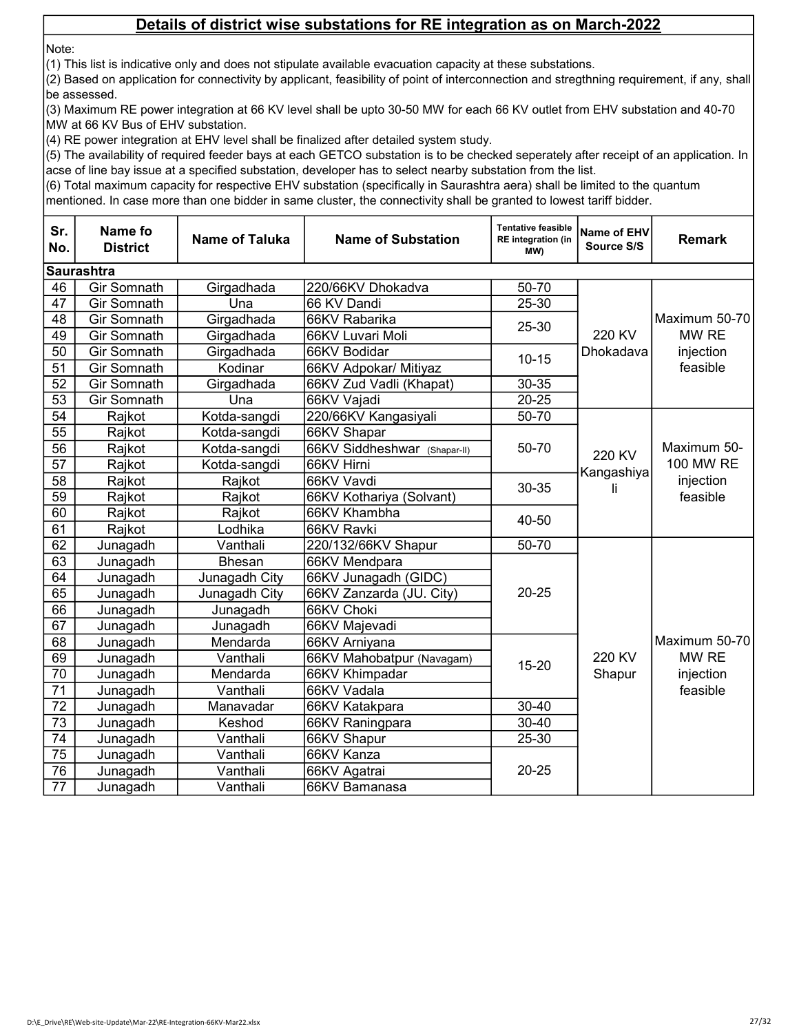Note:

(1) This list is indicative only and does not stipulate available evacuation capacity at these substations.

(2) Based on application for connectivity by applicant, feasibility of point of interconnection and stregthning requirement, if any, shall be assessed.

(3) Maximum RE power integration at 66 KV level shall be upto 30-50 MW for each 66 KV outlet from EHV substation and 40-70 MW at 66 KV Bus of EHV substation.

(4) RE power integration at EHV level shall be finalized after detailed system study.

(5) The availability of required feeder bays at each GETCO substation is to be checked seperately after receipt of an application. In acse of line bay issue at a specified substation, developer has to select nearby substation from the list.

(6) Total maximum capacity for respective EHV substation (specifically in Saurashtra aera) shall be limited to the quantum

| Sr.<br>No.      | <b>Name fo</b><br><b>District</b> | <b>Name of Taluka</b> | <b>Name of Substation</b>    | <b>Tentative feasible</b><br>RE integration (in<br>(MW | <b>Name of EHV</b><br>Source S/S | <b>Remark</b>                                     |
|-----------------|-----------------------------------|-----------------------|------------------------------|--------------------------------------------------------|----------------------------------|---------------------------------------------------|
|                 | <b>Saurashtra</b>                 |                       |                              |                                                        |                                  |                                                   |
| 46              | <b>Gir Somnath</b>                | Girgadhada            | 220/66KV Dhokadva            | 50-70                                                  |                                  |                                                   |
| 47              | <b>Gir Somnath</b>                | Una                   | 66 KV Dandi                  | 25-30                                                  |                                  |                                                   |
| 48              | <b>Gir Somnath</b>                | Girgadhada            | 66KV Rabarika                | $25 - 30$                                              |                                  | Maximum 50-70                                     |
| 49              | Gir Somnath                       | Girgadhada            | 66KV Luvari Moli             |                                                        | 220 KV                           | MW RE                                             |
| 50              | Gir Somnath                       | Girgadhada            | 66KV Bodidar                 | $10 - 15$                                              | Dhokadava                        | injection                                         |
| 51              | <b>Gir Somnath</b>                | Kodinar               | 66KV Adpokar/ Mitiyaz        |                                                        |                                  | feasible                                          |
| 52              | Gir Somnath                       | Girgadhada            | 66KV Zud Vadli (Khapat)      | 30-35                                                  |                                  |                                                   |
| 53              | Gir Somnath                       | Una                   | 66KV Vajadi                  | $20 - 25$                                              |                                  |                                                   |
| 54              | Rajkot                            | Kotda-sangdi          | 220/66KV Kangasiyali         | 50-70                                                  |                                  |                                                   |
| 55              | Rajkot                            | Kotda-sangdi          | 66KV Shapar                  |                                                        |                                  | Maximum 50-<br>100 MW RE<br>injection<br>feasible |
| $\overline{56}$ | Rajkot                            | Kotda-sangdi          | 66KV Siddheshwar (Shapar-II) | 50-70                                                  | 220 KV<br>Kangashiya             |                                                   |
| $\overline{57}$ | Rajkot                            | Kotda-sangdi          | 66KV Hirni                   |                                                        |                                  |                                                   |
| 58              | Rajkot                            | Rajkot                | 66KV Vavdi                   | 30-35                                                  |                                  |                                                   |
| 59              | Rajkot                            | Rajkot                | 66KV Kothariya (Solvant)     |                                                        | Iı                               |                                                   |
| 60              | Rajkot                            | Rajkot                | 66KV Khambha                 | 40-50                                                  |                                  |                                                   |
| 61              | Rajkot                            | Lodhika               | 66KV Ravki                   |                                                        |                                  |                                                   |
| 62              | Junagadh                          | Vanthali              | 220/132/66KV Shapur          | 50-70                                                  |                                  |                                                   |
| 63              | Junagadh                          | <b>Bhesan</b>         | 66KV Mendpara                |                                                        | 220 KV                           |                                                   |
| 64              | Junagadh                          | Junagadh City         | 66KV Junagadh (GIDC)         |                                                        |                                  |                                                   |
| 65              | Junagadh                          | Junagadh City         | 66KV Zanzarda (JU. City)     | $20 - 25$                                              |                                  |                                                   |
| 66              | Junagadh                          | Junagadh              | 66KV Choki                   |                                                        |                                  |                                                   |
| 67              | Junagadh                          | Junagadh              | 66KV Majevadi                |                                                        |                                  |                                                   |
| 68              | Junagadh                          | Mendarda              | 66KV Arniyana                |                                                        |                                  | Maximum 50-70                                     |
| 69              | Junagadh                          | Vanthali              | 66KV Mahobatpur (Navagam)    | $15 - 20$                                              |                                  | MW RE                                             |
| 70              | Junagadh                          | Mendarda              | 66KV Khimpadar               |                                                        | Shapur                           | injection                                         |
| $\overline{71}$ | Junagadh                          | Vanthali              | 66KV Vadala                  |                                                        |                                  | feasible                                          |
| 72              | Junagadh                          | Manavadar             | 66KV Katakpara               | 30-40                                                  |                                  |                                                   |
| 73              | Junagadh                          | Keshod                | 66KV Raningpara              | 30-40                                                  |                                  |                                                   |
| $\overline{74}$ | Junagadh                          | Vanthali              | 66KV Shapur                  | 25-30                                                  |                                  |                                                   |
| 75              | Junagadh                          | Vanthali              | 66KV Kanza                   |                                                        |                                  |                                                   |
| 76              | Junagadh                          | Vanthali              | 66KV Agatrai                 | $20 - 25$                                              |                                  |                                                   |
| 77              | Junagadh                          | Vanthali              | 66KV Bamanasa                |                                                        |                                  |                                                   |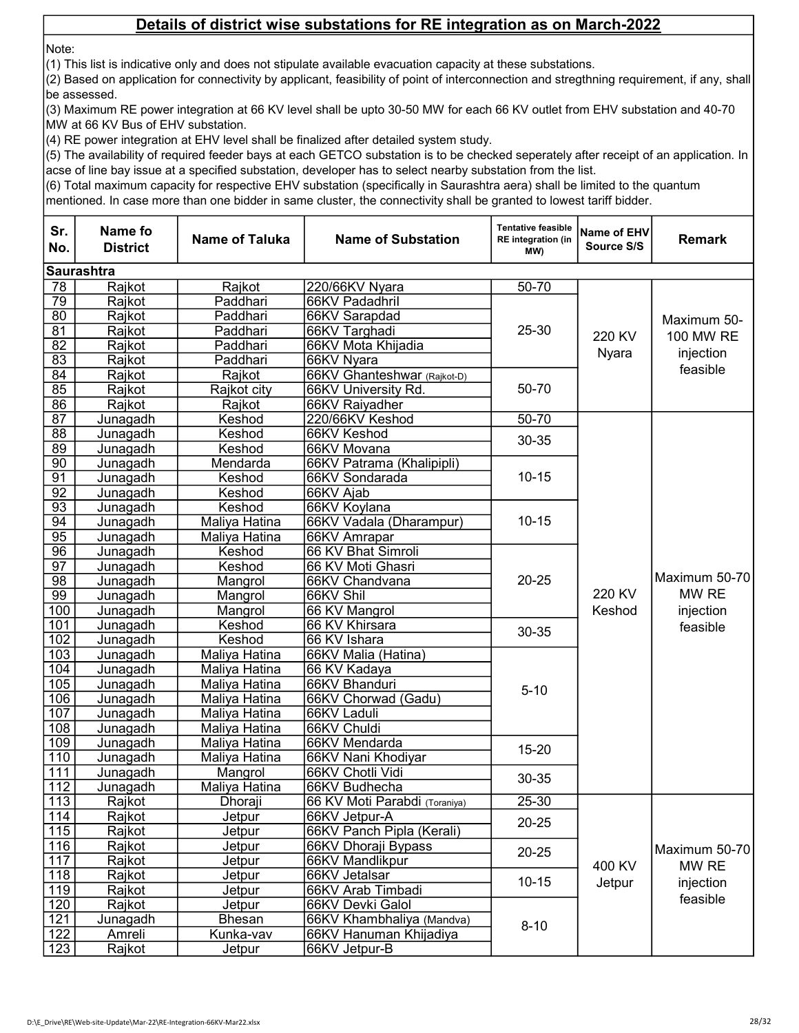Note:

(1) This list is indicative only and does not stipulate available evacuation capacity at these substations.

(2) Based on application for connectivity by applicant, feasibility of point of interconnection and stregthning requirement, if any, shall be assessed.

(3) Maximum RE power integration at 66 KV level shall be upto 30-50 MW for each 66 KV outlet from EHV substation and 40-70 MW at 66 KV Bus of EHV substation.

(4) RE power integration at EHV level shall be finalized after detailed system study.

(5) The availability of required feeder bays at each GETCO substation is to be checked seperately after receipt of an application. In acse of line bay issue at a specified substation, developer has to select nearby substation from the list.

(6) Total maximum capacity for respective EHV substation (specifically in Saurashtra aera) shall be limited to the quantum

| Sr.<br>No.       | Name fo<br><b>District</b> | <b>Name of Taluka</b> | <b>Name of Substation</b>                           | <b>Tentative feasible</b><br>RE integration (in<br>MW) | Name of EHV<br>Source S/S | <b>Remark</b>                                   |  |  |
|------------------|----------------------------|-----------------------|-----------------------------------------------------|--------------------------------------------------------|---------------------------|-------------------------------------------------|--|--|
|                  | <b>Saurashtra</b>          |                       |                                                     |                                                        |                           |                                                 |  |  |
| 78               | Rajkot                     | Rajkot                | 220/66KV Nyara                                      | 50-70                                                  |                           |                                                 |  |  |
| 79               | Rajkot                     | Paddhari              | 66KV Padadhril                                      |                                                        |                           | Maximum 50-<br><b>100 MW RE</b>                 |  |  |
| 80               | Rajkot                     | Paddhari              | 66KV Sarapdad                                       |                                                        |                           |                                                 |  |  |
| 81               | Rajkot                     | Paddhari              | 66KV Targhadi                                       | 25-30                                                  | 220 KV                    |                                                 |  |  |
| 82               | Rajkot                     | Paddhari              | 66KV Mota Khijadia                                  |                                                        |                           |                                                 |  |  |
| 83               | Rajkot                     | Paddhari              | 66KV Nyara                                          |                                                        | Nyara                     | injection                                       |  |  |
| 84               | Rajkot                     | Rajkot                | 66KV Ghanteshwar (Rajkot-D)                         |                                                        |                           | feasible                                        |  |  |
| 85               | Rajkot                     | Rajkot city           | 66KV University Rd.                                 | 50-70                                                  |                           |                                                 |  |  |
| 86               | Rajkot                     | Rajkot                | 66KV Raiyadher                                      |                                                        |                           |                                                 |  |  |
| 87               | Junagadh                   | Keshod                | 220/66KV Keshod                                     | 50-70                                                  |                           |                                                 |  |  |
| $\overline{88}$  | Junagadh                   | Keshod                | 66KV Keshod                                         | 30-35                                                  |                           |                                                 |  |  |
| 89               | Junagadh                   | Keshod                | 66KV Movana                                         |                                                        |                           |                                                 |  |  |
| 90               | Junagadh                   | Mendarda              | 66KV Patrama (Khalipipli)                           |                                                        |                           |                                                 |  |  |
| 91               | Junagadh                   | Keshod                | 66KV Sondarada                                      | $10 - 15$                                              |                           | Maximum 50-70<br>MW RE<br>injection<br>feasible |  |  |
| 92               | Junagadh                   | Keshod                | 66KV Ajab                                           |                                                        |                           |                                                 |  |  |
| 93               | Junagadh                   | Keshod                | 66KV Koylana                                        |                                                        | 220 KV<br>Keshod          |                                                 |  |  |
| 94               | Junagadh                   | Maliya Hatina         | 66KV Vadala (Dharampur)                             | $10 - 15$                                              |                           |                                                 |  |  |
| 95               | Junagadh                   | Maliya Hatina         | 66KV Amrapar                                        |                                                        |                           |                                                 |  |  |
| 96               | Junagadh                   | Keshod                | 66 KV Bhat Simroli                                  |                                                        |                           |                                                 |  |  |
| $\overline{97}$  | Junagadh                   | Keshod                | 66 KV Moti Ghasri                                   |                                                        |                           |                                                 |  |  |
| $\overline{98}$  | Junagadh                   | Mangrol               | 66KV Chandvana                                      | $20 - 25$                                              |                           |                                                 |  |  |
| 99               | Junagadh                   | Mangrol               | 66KV Shil                                           |                                                        |                           |                                                 |  |  |
| 100              | Junagadh                   | Mangrol               | 66 KV Mangrol                                       |                                                        |                           |                                                 |  |  |
| 101              | Junagadh                   | Keshod                | 66 KV Khirsara                                      | 30-35                                                  |                           |                                                 |  |  |
| 102              | Junagadh                   | Keshod                | 66 KV Ishara                                        |                                                        |                           |                                                 |  |  |
| 103              | Junagadh                   | Maliya Hatina         | 66KV Malia (Hatina)                                 |                                                        |                           |                                                 |  |  |
| 104              | Junagadh                   | Maliya Hatina         | 66 KV Kadaya                                        |                                                        |                           |                                                 |  |  |
| 105              | Junagadh                   | Maliya Hatina         | 66KV Bhanduri                                       | $5 - 10$                                               |                           |                                                 |  |  |
| 106              | Junagadh                   | Maliya Hatina         | 66KV Chorwad (Gadu)                                 |                                                        |                           |                                                 |  |  |
| 107              | Junagadh                   | Maliya Hatina         | 66KV Laduli                                         |                                                        |                           |                                                 |  |  |
| 108              | Junagadh                   | Maliya Hatina         | 66KV Chuldi                                         |                                                        |                           |                                                 |  |  |
| 109              | Junagadh                   | Maliya Hatina         | 66KV Mendarda                                       | $15 - 20$                                              |                           |                                                 |  |  |
| 110              | Junagadh                   | Maliya Hatina         | 66KV Nani Khodiyar                                  |                                                        |                           |                                                 |  |  |
| $\overline{111}$ | Junagadh                   | Mangrol               | 66KV Chotli Vidi                                    | 30-35                                                  |                           |                                                 |  |  |
| 112              | Junagadh                   | Maliya Hatina         | 66KV Budhecha                                       |                                                        |                           |                                                 |  |  |
| $\overline{113}$ | Rajkot                     | Dhoraji               | 66 KV Moti Parabdi (Toraniya)                       | $25 - 30$                                              |                           |                                                 |  |  |
| 114              | Rajkot                     | Jetpur                | 66KV Jetpur-A                                       | $20 - 25$                                              |                           |                                                 |  |  |
| 115              | Rajkot                     | Jetpur                | 66KV Panch Pipla (Kerali)                           |                                                        |                           |                                                 |  |  |
| 116              | Rajkot                     | Jetpur                | 66KV Dhoraji Bypass                                 | $20 - 25$                                              |                           | Maximum 50-70                                   |  |  |
| 117              | Rajkot                     | Jetpur                | 66KV Mandlikpur                                     |                                                        | 400 KV                    | MW RE                                           |  |  |
| 118              | Rajkot                     | Jetpur                | 66KV Jetalsar                                       | $10 - 15$                                              | Jetpur                    | injection                                       |  |  |
| 119              | Rajkot                     | Jetpur                | 66KV Arab Timbadi                                   |                                                        |                           | feasible                                        |  |  |
| 120              | Rajkot                     | Jetpur                | <b>66KV Devki Galol</b>                             |                                                        |                           |                                                 |  |  |
| 121<br>122       | Junagadh                   | <b>Bhesan</b>         | 66KV Khambhaliya (Mandva)<br>66KV Hanuman Khijadiya | $8 - 10$                                               |                           |                                                 |  |  |
| 123              | Amreli                     | Kunka-vav             | 66KV Jetpur-B                                       |                                                        |                           |                                                 |  |  |
|                  | Rajkot                     | Jetpur                |                                                     |                                                        |                           |                                                 |  |  |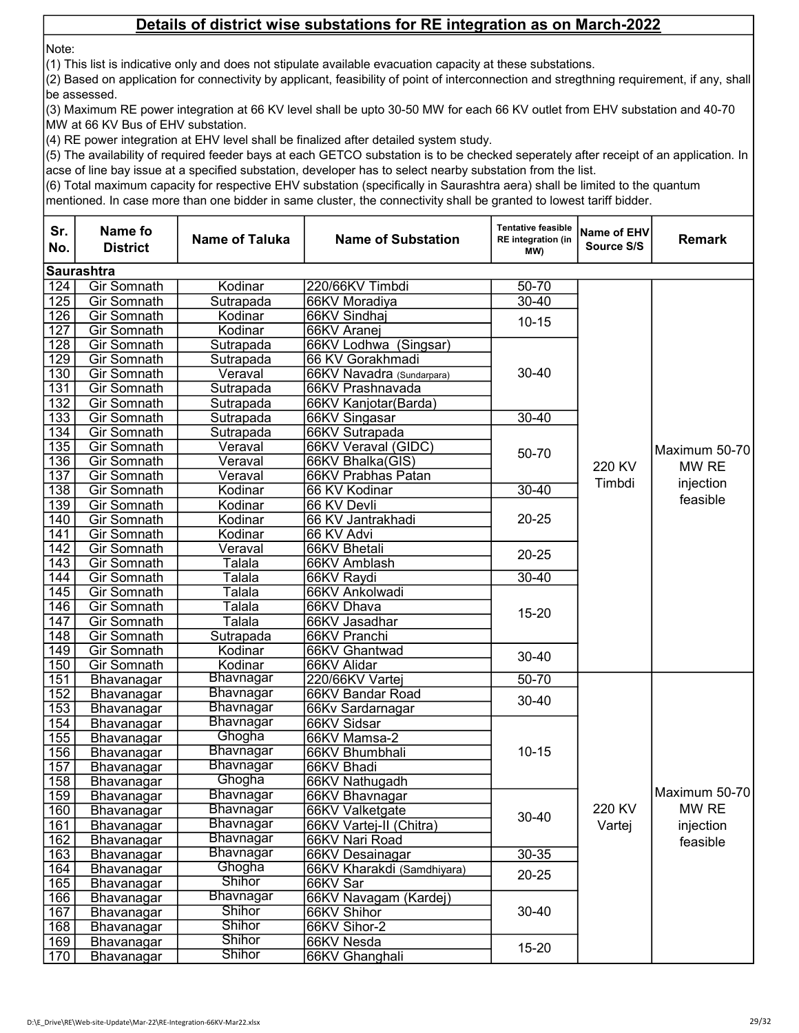Note:

(1) This list is indicative only and does not stipulate available evacuation capacity at these substations.

(2) Based on application for connectivity by applicant, feasibility of point of interconnection and stregthning requirement, if any, shall be assessed.

(3) Maximum RE power integration at 66 KV level shall be upto 30-50 MW for each 66 KV outlet from EHV substation and 40-70 MW at 66 KV Bus of EHV substation.

(4) RE power integration at EHV level shall be finalized after detailed system study.

(5) The availability of required feeder bays at each GETCO substation is to be checked seperately after receipt of an application. In acse of line bay issue at a specified substation, developer has to select nearby substation from the list.

(6) Total maximum capacity for respective EHV substation (specifically in Saurashtra aera) shall be limited to the quantum

| Sr.<br>No.       | Name fo<br><b>District</b> | <b>Name of Taluka</b> | <b>Name of Substation</b>       | <b>Tentative feasible</b><br>RE integration (in<br>MW) | Name of EHV<br>Source S/S | <b>Remark</b>                  |
|------------------|----------------------------|-----------------------|---------------------------------|--------------------------------------------------------|---------------------------|--------------------------------|
|                  | <b>Saurashtra</b>          |                       |                                 |                                                        |                           |                                |
| 124              | <b>Gir Somnath</b>         | Kodinar               | 220/66KV Timbdi                 | 50-70                                                  |                           |                                |
| 125              | Gir Somnath                | Sutrapada             | 66KV Moradiya                   | $30 - 40$                                              |                           |                                |
| 126              | Gir Somnath                | Kodinar               | 66KV Sindhaj                    | $10 - 15$                                              |                           |                                |
| 127              | Gir Somnath                | Kodinar               | 66KV Aranej                     |                                                        |                           |                                |
| 128              | Gir Somnath                | Sutrapada             | 66KV Lodhwa (Singsar)           |                                                        |                           |                                |
| 129              | Gir Somnath                | Sutrapada             | 66 KV Gorakhmadi                |                                                        |                           |                                |
| 130              | Gir Somnath                | Veraval               | 66KV Navadra (Sundarpara)       | 30-40                                                  |                           |                                |
| 131              | Gir Somnath                | Sutrapada             | 66KV Prashnavada                |                                                        |                           |                                |
| 132              | Gir Somnath                | Sutrapada             | 66KV Kanjotar(Barda)            |                                                        |                           |                                |
| 133              | Gir Somnath                | Sutrapada             | 66KV Singasar                   | $30 - 40$                                              |                           |                                |
| 134              | Gir Somnath                | Sutrapada             | 66KV Sutrapada                  |                                                        |                           |                                |
| 135              | Gir Somnath                | Veraval               | 66KV Veraval (GIDC)             | 50-70                                                  |                           | Maximum 50-70                  |
| 136              | Gir Somnath                | Veraval               | 66KV Bhalka(GIS)                |                                                        | 220 KV<br>Timbdi          | MW RE<br>injection<br>feasible |
| 137              | Gir Somnath                | Veraval               | 66KV Prabhas Patan              |                                                        |                           |                                |
| 138              | Gir Somnath                | Kodinar               | 66 KV Kodinar                   | $30 - 40$                                              |                           |                                |
| 139              | Gir Somnath                | Kodinar               | 66 KV Devli                     |                                                        |                           |                                |
| 140              | <b>Gir Somnath</b>         | Kodinar               | 66 KV Jantrakhadi               | $20 - 25$                                              |                           |                                |
| 141              | <b>Gir Somnath</b>         | Kodinar               | 66 KV Advi                      |                                                        |                           |                                |
| 142              | Gir Somnath                | Veraval               | 66KV Bhetali                    | $20 - 25$                                              |                           |                                |
| 143              | <b>Gir Somnath</b>         | Talala                | 66KV Amblash                    |                                                        |                           |                                |
| 144              | Gir Somnath                | Talala                | 66KV Raydi                      | $30 - 40$                                              |                           |                                |
| 145              | <b>Gir Somnath</b>         | Talala                | 66KV Ankolwadi                  |                                                        |                           |                                |
| 146              | Gir Somnath                | Talala                | 66KV Dhava                      | $15 - 20$                                              |                           |                                |
| $\overline{147}$ | Gir Somnath                | Talala                | 66KV Jasadhar                   |                                                        |                           |                                |
| 148              | Gir Somnath                | Sutrapada             | 66KV Pranchi                    |                                                        |                           |                                |
| 149              | Gir Somnath                | Kodinar               | 66KV Ghantwad                   | 30-40                                                  |                           |                                |
| 150              | Gir Somnath                | Kodinar<br>Bhavnagar  | 66KV Alidar                     |                                                        |                           |                                |
| 151              | Bhavanagar                 | <b>Bhavnagar</b>      | 220/66KV Vartej                 | 50-70                                                  |                           |                                |
| 152<br>153       | Bhavanagar                 | Bhavnagar             | 66KV Bandar Road                | 30-40                                                  |                           |                                |
| 154              | Bhavanagar                 | Bhavnagar             | 66Kv Sardarnagar<br>66KV Sidsar |                                                        |                           |                                |
| 155              | Bhavanagar<br>Bhavanagar   | Ghogha                | 66KV Mamsa-2                    |                                                        |                           |                                |
| 156              | Bhavanagar                 | <b>Bhavnagar</b>      | 66KV Bhumbhali                  | $10 - 15$                                              |                           |                                |
| 157              | Bhavanagar                 | Bhavnagar             | 66KV Bhadi                      |                                                        |                           |                                |
| 158              | Bhavanagar                 | Ghogha                | 66KV Nathugadh                  |                                                        |                           |                                |
| 159              | Bhavanagar                 | Bhavnagar             | 66KV Bhavnagar                  |                                                        |                           | Maximum 50-70                  |
| 160              | Bhavanagar                 | <b>Bhavnagar</b>      | 66KV Valketgate                 |                                                        | 220 KV                    | MW RE                          |
| 161              | Bhavanagar                 | Bhavnagar             | 66KV Vartej-II (Chitra)         | 30-40                                                  | Vartej                    | injection                      |
| 162              | Bhavanagar                 | Bhavnagar             | 66KV Nari Road                  |                                                        |                           | feasible                       |
| 163              | Bhavanagar                 | <b>Bhavnagar</b>      | 66KV Desainagar                 | $30 - 35$                                              |                           |                                |
| 164              | Bhavanagar                 | Ghogha                | 66KV Kharakdi (Samdhiyara)      |                                                        |                           |                                |
| 165              | Bhavanagar                 | <b>Shihor</b>         | 66KV Sar                        | $20 - 25$                                              |                           |                                |
| 166              | Bhavanagar                 | Bhavnagar             | 66KV Navagam (Kardej)           |                                                        |                           |                                |
| 167              | Bhavanagar                 | <b>Shihor</b>         | 66KV Shihor                     | $30 - 40$                                              |                           |                                |
| 168              | Bhavanagar                 | <b>Shihor</b>         | 66KV Sihor-2                    |                                                        |                           |                                |
| 169              | Bhavanagar                 | <b>Shihor</b>         | 66KV Nesda                      |                                                        |                           |                                |
| 170              | Bhavanagar                 | Shihor                | 66KV Ghanghali                  | $15 - 20$                                              |                           |                                |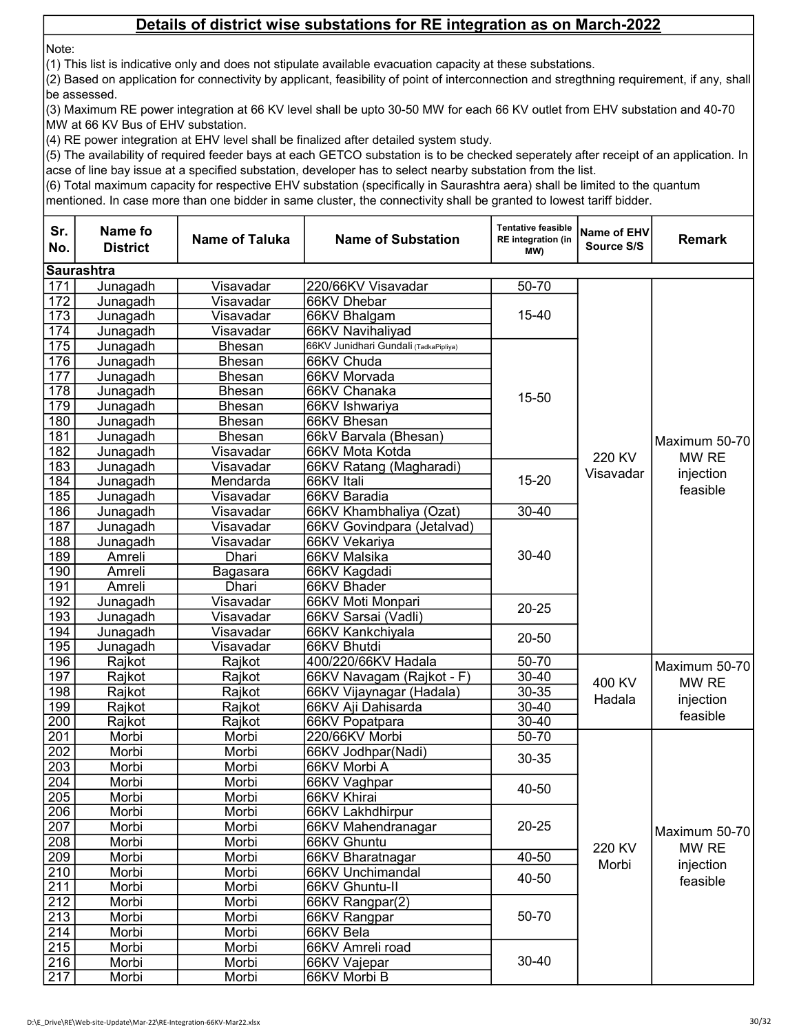Note:

(1) This list is indicative only and does not stipulate available evacuation capacity at these substations.

(2) Based on application for connectivity by applicant, feasibility of point of interconnection and stregthning requirement, if any, shall be assessed.

(3) Maximum RE power integration at 66 KV level shall be upto 30-50 MW for each 66 KV outlet from EHV substation and 40-70 MW at 66 KV Bus of EHV substation.

(4) RE power integration at EHV level shall be finalized after detailed system study.

(5) The availability of required feeder bays at each GETCO substation is to be checked seperately after receipt of an application. In acse of line bay issue at a specified substation, developer has to select nearby substation from the list.

(6) Total maximum capacity for respective EHV substation (specifically in Saurashtra aera) shall be limited to the quantum

| Sr.<br>No.       | Name fo<br><b>District</b> | <b>Name of Taluka</b> | <b>Name of Substation</b>             | <b>Tentative feasible</b><br><b>RE</b> integration (in<br>MW) | <b>Name of EHV</b><br>Source S/S | <b>Remark</b>         |
|------------------|----------------------------|-----------------------|---------------------------------------|---------------------------------------------------------------|----------------------------------|-----------------------|
|                  | <b>Saurashtra</b>          |                       |                                       |                                                               |                                  |                       |
| 171              | Junagadh                   | Visavadar             | 220/66KV Visavadar                    | 50-70                                                         |                                  |                       |
| $\overline{172}$ | Junagadh                   | Visavadar             | 66KV Dhebar                           |                                                               |                                  |                       |
| $\overline{173}$ | Junagadh                   | Visavadar             | 66KV Bhalgam                          | 15-40                                                         |                                  |                       |
| 174              | Junagadh                   | Visavadar             | 66KV Navihaliyad                      |                                                               |                                  |                       |
| 175              | Junagadh                   | <b>Bhesan</b>         | 66KV Junidhari Gundali (TadkaPipliya) |                                                               |                                  |                       |
| 176              | Junagadh                   | <b>Bhesan</b>         | 66KV Chuda                            |                                                               |                                  |                       |
| 177              | Junagadh                   | <b>Bhesan</b>         | 66KV Morvada                          |                                                               |                                  |                       |
| 178              | Junagadh                   | Bhesan                | 66KV Chanaka                          | 15-50                                                         |                                  |                       |
| 179              | Junagadh                   | <b>Bhesan</b>         | 66KV Ishwariya                        |                                                               |                                  |                       |
| 180              | Junagadh                   | <b>Bhesan</b>         | 66KV Bhesan                           |                                                               |                                  |                       |
| 181              | Junagadh                   | <b>Bhesan</b>         | 66kV Barvala (Bhesan)                 |                                                               |                                  | Maximum 50-70         |
| 182              | Junagadh                   | Visavadar             | 66KV Mota Kotda                       |                                                               | 220 KV                           | MW RE                 |
| 183              | Junagadh                   | Visavadar             | 66KV Ratang (Magharadi)               |                                                               | Visavadar                        |                       |
| 184              | Junagadh                   | Mendarda              | 66KV Itali                            | $15 - 20$                                                     |                                  | injection<br>feasible |
| 185              | Junagadh                   | Visavadar             | 66KV Baradia                          |                                                               |                                  |                       |
| 186              | Junagadh                   | Visavadar             | 66KV Khambhaliya (Ozat)               | $30 - 40$                                                     |                                  |                       |
| 187              | Junagadh                   | Visavadar             | 66KV Govindpara (Jetalvad)            |                                                               |                                  |                       |
| 188              | Junagadh                   | Visavadar             | 66KV Vekariya                         | $30 - 40$                                                     |                                  |                       |
| 189              | Amreli                     | Dhari                 | 66KV Malsika                          |                                                               |                                  |                       |
| 190              | Amreli                     | Bagasara              | 66KV Kagdadi                          |                                                               |                                  |                       |
| 191              | Amreli                     | Dhari                 | 66KV Bhader                           |                                                               |                                  |                       |
| 192              | Junagadh                   | Visavadar             | 66KV Moti Monpari                     | $20 - 25$                                                     |                                  |                       |
| 193              | Junagadh                   | Visavadar             | 66KV Sarsai (Vadli)                   |                                                               |                                  |                       |
| 194              | Junagadh                   | Visavadar             | 66KV Kankchiyala                      | $20 - 50$                                                     |                                  |                       |
| $\overline{195}$ | Junagadh                   | Visavadar             | 66KV Bhutdi                           |                                                               |                                  |                       |
| 196              | Rajkot                     | Rajkot                | 400/220/66KV Hadala                   | 50-70                                                         |                                  | Maximum 50-70         |
| 197              | Rajkot                     | Rajkot                | 66KV Navagam (Rajkot - F)             | $30 - 40$                                                     | 400 KV                           | MW RE                 |
| 198              | Rajkot                     | Rajkot                | 66KV Vijaynagar (Hadala)              | 30-35                                                         | Hadala                           | injection             |
| 199              | Rajkot                     | Rajkot                | 66KV Aji Dahisarda                    | 30-40                                                         |                                  | feasible              |
| 200              | Rajkot                     | Rajkot                | 66KV Popatpara                        | $30 - 40$                                                     |                                  |                       |
| 201              | Morbi                      | Morbi                 | 220/66KV Morbi                        | 50-70                                                         |                                  |                       |
| 202              | Morbi                      | Morbi                 | 66KV Jodhpar(Nadi)                    | 30-35                                                         |                                  |                       |
| 203              | Morbi                      | Morbi                 | 66KV Morbi A                          |                                                               |                                  |                       |
| 204              | Morbi                      | Morbi                 | 66KV Vaghpar                          | 40-50                                                         |                                  |                       |
| $\overline{205}$ | Morbi                      | Morbi                 | 66KV Khirai                           |                                                               |                                  |                       |
| 206              | Morbi                      | Morbi                 | 66KV Lakhdhirpur                      |                                                               |                                  |                       |
| 207              | Morbi                      | Morbi                 | 66KV Mahendranagar                    | $20 - 25$                                                     |                                  | Maximum 50-70         |
| 208              | Morbi                      | Morbi                 | 66KV Ghuntu                           |                                                               | 220 KV                           | MW RE                 |
| $\overline{209}$ | Morbi                      | Morbi                 | 66KV Bharatnagar                      | $40 - 50$                                                     | Morbi                            | injection             |
| 210              | Morbi                      | Morbi                 | 66KV Unchimandal                      | 40-50                                                         |                                  | feasible              |
| 211              | Morbi                      | Morbi                 | 66KV Ghuntu-II                        |                                                               |                                  |                       |
| 212              | Morbi                      | Morbi                 | 66KV Rangpar(2)                       |                                                               |                                  |                       |
| 213              | Morbi                      | Morbi                 | 66KV Rangpar                          |                                                               | 50-70                            |                       |
| 214              | Morbi                      | Morbi                 | 66KV Bela                             |                                                               |                                  |                       |
| $\overline{215}$ | Morbi                      | Morbi                 | 66KV Amreli road                      |                                                               |                                  |                       |
| 216              | Morbi                      | Morbi                 | 66KV Vajepar                          | $30 - 40$                                                     |                                  |                       |
| $\overline{217}$ | Morbi                      | Morbi                 | 66KV Morbi B                          |                                                               |                                  |                       |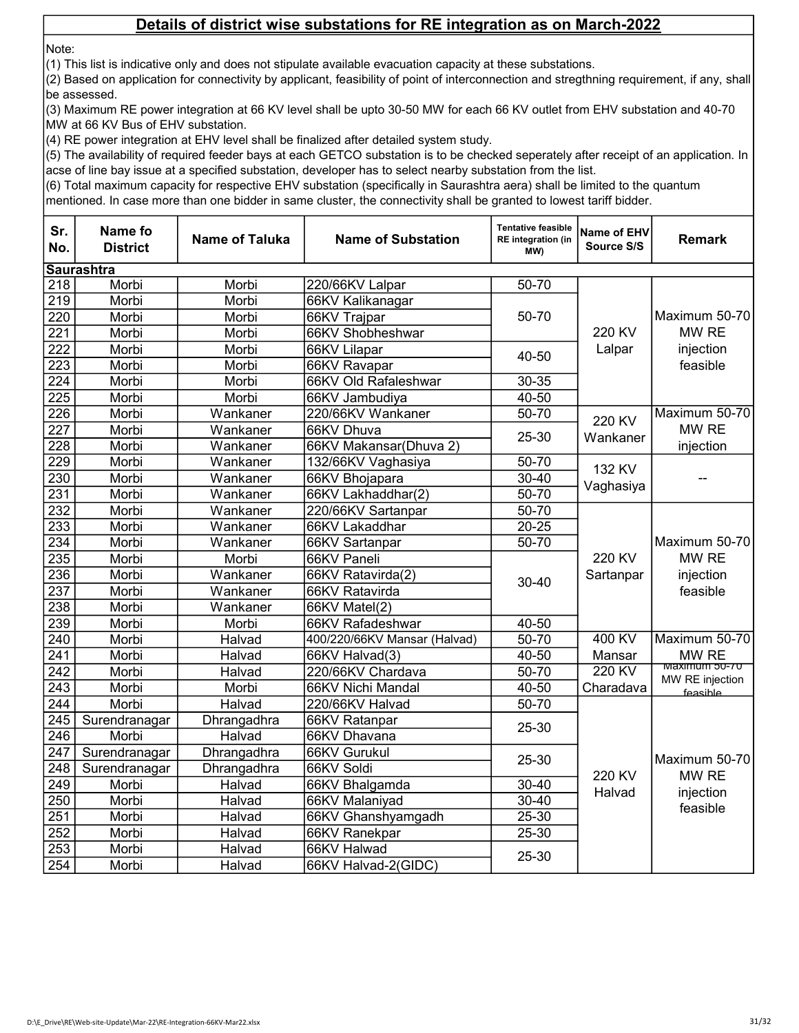Note:

(1) This list is indicative only and does not stipulate available evacuation capacity at these substations.

(2) Based on application for connectivity by applicant, feasibility of point of interconnection and stregthning requirement, if any, shall be assessed.

(3) Maximum RE power integration at 66 KV level shall be upto 30-50 MW for each 66 KV outlet from EHV substation and 40-70 MW at 66 KV Bus of EHV substation.

(4) RE power integration at EHV level shall be finalized after detailed system study.

(5) The availability of required feeder bays at each GETCO substation is to be checked seperately after receipt of an application. In acse of line bay issue at a specified substation, developer has to select nearby substation from the list.

(6) Total maximum capacity for respective EHV substation (specifically in Saurashtra aera) shall be limited to the quantum

| Sr.<br>No.       | <b>Name fo</b><br><b>District</b> | <b>Name of Taluka</b> | <b>Name of Substation</b>    | <b>Tentative feasible</b><br><b>RE</b> integration (in<br>(MW | Name of EHV<br><b>Source S/S</b> | <b>Remark</b>                                   |
|------------------|-----------------------------------|-----------------------|------------------------------|---------------------------------------------------------------|----------------------------------|-------------------------------------------------|
|                  | <b>Saurashtra</b>                 |                       |                              |                                                               |                                  |                                                 |
| 218              | Morbi                             | Morbi                 | 220/66KV Lalpar              | 50-70                                                         |                                  |                                                 |
| $\overline{219}$ | Morbi                             | Morbi                 | 66KV Kalikanagar             |                                                               |                                  |                                                 |
| 220              | Morbi                             | Morbi                 | 66KV Trajpar                 | 50-70                                                         |                                  | Maximum 50-70                                   |
| $\overline{221}$ | Morbi                             | Morbi                 | 66KV Shobheshwar             |                                                               | 220 KV                           | MW RE                                           |
| 222              | Morbi                             | Morbi                 | 66KV Lilapar                 | 40-50                                                         | Lalpar                           | injection                                       |
| 223              | Morbi                             | Morbi                 | 66KV Ravapar                 |                                                               |                                  | feasible                                        |
| 224              | Morbi                             | Morbi                 | 66KV Old Rafaleshwar         | 30-35                                                         |                                  |                                                 |
| 225              | Morbi                             | Morbi                 | 66KV Jambudiya               | 40-50                                                         |                                  |                                                 |
| 226              | Morbi                             | Wankaner              | 220/66KV Wankaner            | 50-70                                                         | 220 KV                           | Maximum 50-70                                   |
| 227              | Morbi                             | Wankaner              | 66KV Dhuva                   | 25-30                                                         |                                  | MW RE                                           |
| 228              | Morbi                             | Wankaner              | 66KV Makansar(Dhuva 2)       |                                                               | Wankaner                         | injection                                       |
| 229              | Morbi                             | Wankaner              | 132/66KV Vaghasiya           | 50-70                                                         | 132 KV                           |                                                 |
| 230              | Morbi                             | Wankaner              | 66KV Bhojapara               | 30-40                                                         |                                  |                                                 |
| 231              | Morbi                             | Wankaner              | 66KV Lakhaddhar(2)           | 50-70                                                         | Vaghasiya                        |                                                 |
| 232              | Morbi                             | Wankaner              | 220/66KV Sartanpar           | 50-70                                                         |                                  | Maximum 50-70<br>MW RE<br>injection<br>feasible |
| 233              | Morbi                             | Wankaner              | 66KV Lakaddhar               | $20 - 25$                                                     |                                  |                                                 |
| 234              | Morbi                             | Wankaner              | 66KV Sartanpar               | 50-70                                                         |                                  |                                                 |
| 235              | Morbi                             | Morbi                 | 66KV Paneli                  |                                                               | 220 KV                           |                                                 |
| 236              | Morbi                             | Wankaner              | 66KV Ratavirda(2)            | $30 - 40$                                                     | Sartanpar                        |                                                 |
| 237              | Morbi                             | Wankaner              | 66KV Ratavirda               |                                                               |                                  |                                                 |
| 238              | Morbi                             | Wankaner              | 66KV Matel(2)                |                                                               |                                  |                                                 |
| 239              | Morbi                             | Morbi                 | 66KV Rafadeshwar             | 40-50                                                         |                                  |                                                 |
| 240              | Morbi                             | Halvad                | 400/220/66KV Mansar (Halvad) | 50-70                                                         | 400 KV                           | Maximum 50-70                                   |
| 241              | Morbi                             | Halvad                | 66KV Halvad(3)               | 40-50                                                         | Mansar                           | MW RE                                           |
| 242              | Morbi                             | Halvad                | 220/66KV Chardava            | 50-70                                                         | 220 KV                           | waximum 50-70<br>MW RE injection                |
| 243              | Morbi                             | Morbi                 | 66KV Nichi Mandal            | 40-50                                                         | Charadava                        | feasible                                        |
| 244              | Morbi                             | Halvad                | 220/66KV Halvad              | 50-70                                                         |                                  |                                                 |
| 245              | Surendranagar                     | Dhrangadhra           | 66KV Ratanpar                | 25-30                                                         |                                  |                                                 |
| 246              | Morbi                             | Halvad                | 66KV Dhavana                 |                                                               |                                  |                                                 |
| 247              | Surendranagar                     | Dhrangadhra           | 66KV Gurukul                 | 25-30                                                         |                                  | Maximum 50-70                                   |
| 248              | Surendranagar                     | Dhrangadhra           | 66KV Soldi                   |                                                               | 220 KV<br>Halvad                 | MW RE                                           |
| 249              | Morbi                             | Halvad                | 66KV Bhalgamda               | $30 - 40$                                                     |                                  |                                                 |
| 250              | Morbi                             | Halvad                | 66KV Malaniyad               | $30 - 40$                                                     |                                  | injection                                       |
| 251              | Morbi                             | Halvad                | 66KV Ghanshyamgadh           | 25-30                                                         |                                  | feasible                                        |
| 252              | Morbi                             | Halvad                | 66KV Ranekpar                | 25-30                                                         |                                  |                                                 |
| 253              | Morbi                             | Halvad                | 66KV Halwad                  | 25-30                                                         |                                  |                                                 |
| 254              | Morbi                             | Halvad                | 66KV Halvad-2(GIDC)          |                                                               |                                  |                                                 |